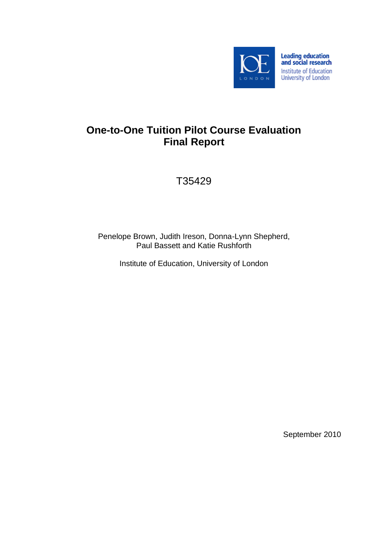

# **One-to-One Tuition Pilot Course Evaluation Final Report**

T35429

Penelope Brown, Judith Ireson, Donna-Lynn Shepherd, Paul Bassett and Katie Rushforth

Institute of Education, University of London

September 2010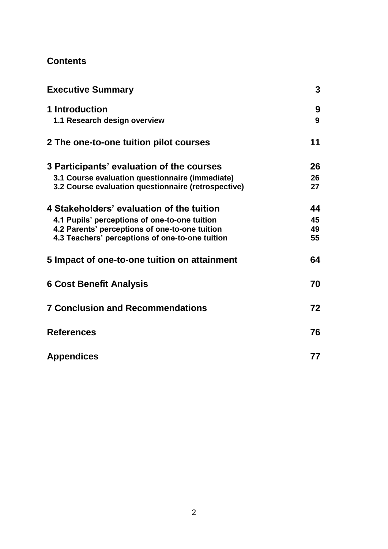# **Contents**

| <b>Executive Summary</b>                            | 3  |
|-----------------------------------------------------|----|
| 1 Introduction                                      | 9  |
| 1.1 Research design overview                        | 9  |
| 2 The one-to-one tuition pilot courses              | 11 |
| 3 Participants' evaluation of the courses           | 26 |
| 3.1 Course evaluation questionnaire (immediate)     | 26 |
| 3.2 Course evaluation questionnaire (retrospective) | 27 |
| 4 Stakeholders' evaluation of the tuition           | 44 |
| 4.1 Pupils' perceptions of one-to-one tuition       | 45 |
| 4.2 Parents' perceptions of one-to-one tuition      | 49 |
| 4.3 Teachers' perceptions of one-to-one tuition     | 55 |
| 5 Impact of one-to-one tuition on attainment        | 64 |
| <b>6 Cost Benefit Analysis</b>                      | 70 |
| <b>7 Conclusion and Recommendations</b>             | 72 |
| <b>References</b>                                   | 76 |
| <b>Appendices</b>                                   | 77 |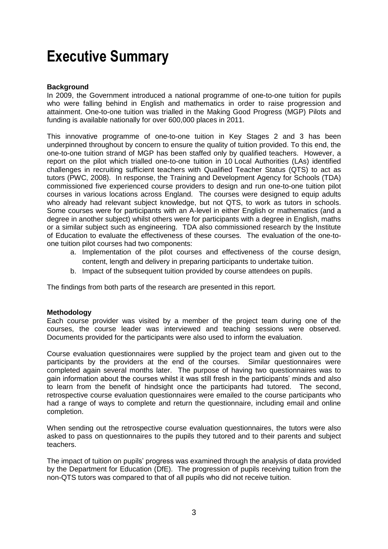# <span id="page-2-0"></span>**Executive Summary**

# **Background**

In 2009, the Government introduced a national programme of one-to-one tuition for pupils who were falling behind in English and mathematics in order to raise progression and attainment. One-to-one tuition was trialled in the Making Good Progress (MGP) Pilots and funding is available nationally for over 600,000 places in 2011.

This innovative programme of one-to-one tuition in Key Stages 2 and 3 has been underpinned throughout by concern to ensure the quality of tuition provided. To this end, the one-to-one tuition strand of MGP has been staffed only by qualified teachers. However, a report on the pilot which trialled one-to-one tuition in 10 Local Authorities (LAs) identified challenges in recruiting sufficient teachers with Qualified Teacher Status (QTS) to act as tutors (PWC, 2008). In response, the Training and Development Agency for Schools (TDA) commissioned five experienced course providers to design and run one-to-one tuition pilot courses in various locations across England. The courses were designed to equip adults who already had relevant subject knowledge, but not QTS, to work as tutors in schools. Some courses were for participants with an A-level in either English or mathematics (and a degree in another subject) whilst others were for participants with a degree in English, maths or a similar subject such as engineering. TDA also commissioned research by the Institute of Education to evaluate the effectiveness of these courses. The evaluation of the one-toone tuition pilot courses had two components:

- a. Implementation of the pilot courses and effectiveness of the course design, content, length and delivery in preparing participants to undertake tuition.
- b. Impact of the subsequent tuition provided by course attendees on pupils.

The findings from both parts of the research are presented in this report.

# **Methodology**

Each course provider was visited by a member of the project team during one of the courses, the course leader was interviewed and teaching sessions were observed. Documents provided for the participants were also used to inform the evaluation.

Course evaluation questionnaires were supplied by the project team and given out to the participants by the providers at the end of the courses. Similar questionnaires were completed again several months later. The purpose of having two questionnaires was to gain information about the courses whilst it was still fresh in the participants" minds and also to learn from the benefit of hindsight once the participants had tutored. The second, retrospective course evaluation questionnaires were emailed to the course participants who had a range of ways to complete and return the questionnaire, including email and online completion.

When sending out the retrospective course evaluation questionnaires, the tutors were also asked to pass on questionnaires to the pupils they tutored and to their parents and subject teachers.

The impact of tuition on pupils" progress was examined through the analysis of data provided by the Department for Education (DfE). The progression of pupils receiving tuition from the non-QTS tutors was compared to that of all pupils who did not receive tuition.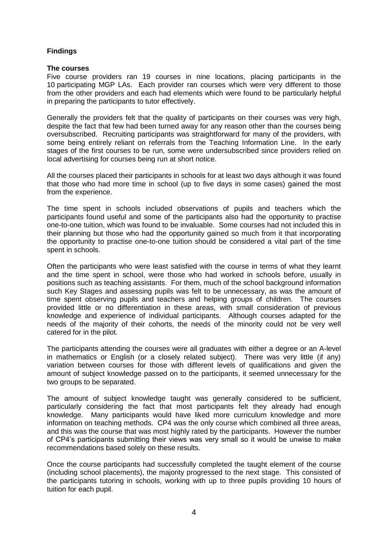# **Findings**

#### **The courses**

Five course providers ran 19 courses in nine locations, placing participants in the 10 participating MGP LAs. Each provider ran courses which were very different to those from the other providers and each had elements which were found to be particularly helpful in preparing the participants to tutor effectively.

Generally the providers felt that the quality of participants on their courses was very high, despite the fact that few had been turned away for any reason other than the courses being oversubscribed. Recruiting participants was straightforward for many of the providers, with some being entirely reliant on referrals from the Teaching Information Line. In the early stages of the first courses to be run, some were undersubscribed since providers relied on local advertising for courses being run at short notice.

All the courses placed their participants in schools for at least two days although it was found that those who had more time in school (up to five days in some cases) gained the most from the experience.

The time spent in schools included observations of pupils and teachers which the participants found useful and some of the participants also had the opportunity to practise one-to-one tuition, which was found to be invaluable. Some courses had not included this in their planning but those who had the opportunity gained so much from it that incorporating the opportunity to practise one-to-one tuition should be considered a vital part of the time spent in schools.

Often the participants who were least satisfied with the course in terms of what they learnt and the time spent in school, were those who had worked in schools before, usually in positions such as teaching assistants. For them, much of the school background information such Key Stages and assessing pupils was felt to be unnecessary, as was the amount of time spent observing pupils and teachers and helping groups of children. The courses provided little or no differentiation in these areas, with small consideration of previous knowledge and experience of individual participants. Although courses adapted for the needs of the majority of their cohorts, the needs of the minority could not be very well catered for in the pilot.

The participants attending the courses were all graduates with either a degree or an A-level in mathematics or English (or a closely related subject). There was very little (if any) variation between courses for those with different levels of qualifications and given the amount of subject knowledge passed on to the participants, it seemed unnecessary for the two groups to be separated.

The amount of subject knowledge taught was generally considered to be sufficient, particularly considering the fact that most participants felt they already had enough knowledge. Many participants would have liked more curriculum knowledge and more information on teaching methods. CP4 was the only course which combined all three areas, and this was the course that was most highly rated by the participants. However the number of CP4"s participants submitting their views was very small so it would be unwise to make recommendations based solely on these results.

Once the course participants had successfully completed the taught element of the course (including school placements), the majority progressed to the next stage. This consisted of the participants tutoring in schools, working with up to three pupils providing 10 hours of tuition for each pupil.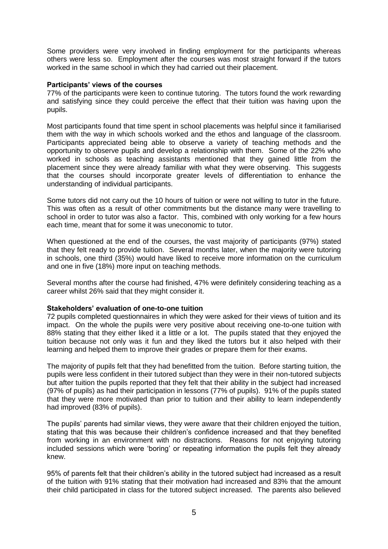Some providers were very involved in finding employment for the participants whereas others were less so. Employment after the courses was most straight forward if the tutors worked in the same school in which they had carried out their placement.

# **Participants' views of the courses**

77% of the participants were keen to continue tutoring. The tutors found the work rewarding and satisfying since they could perceive the effect that their tuition was having upon the pupils.

Most participants found that time spent in school placements was helpful since it familiarised them with the way in which schools worked and the ethos and language of the classroom. Participants appreciated being able to observe a variety of teaching methods and the opportunity to observe pupils and develop a relationship with them. Some of the 22% who worked in schools as teaching assistants mentioned that they gained little from the placement since they were already familiar with what they were observing. This suggests that the courses should incorporate greater levels of differentiation to enhance the understanding of individual participants.

Some tutors did not carry out the 10 hours of tuition or were not willing to tutor in the future. This was often as a result of other commitments but the distance many were travelling to school in order to tutor was also a factor. This, combined with only working for a few hours each time, meant that for some it was uneconomic to tutor.

When questioned at the end of the courses, the vast majority of participants (97%) stated that they felt ready to provide tuition. Several months later, when the majority were tutoring in schools, one third (35%) would have liked to receive more information on the curriculum and one in five (18%) more input on teaching methods.

Several months after the course had finished, 47% were definitely considering teaching as a career whilst 26% said that they might consider it.

#### **Stakeholders' evaluation of one-to-one tuition**

72 pupils completed questionnaires in which they were asked for their views of tuition and its impact. On the whole the pupils were very positive about receiving one-to-one tuition with 88% stating that they either liked it a little or a lot. The pupils stated that they enjoyed the tuition because not only was it fun and they liked the tutors but it also helped with their learning and helped them to improve their grades or prepare them for their exams.

The majority of pupils felt that they had benefitted from the tuition. Before starting tuition, the pupils were less confident in their tutored subject than they were in their non-tutored subjects but after tuition the pupils reported that they felt that their ability in the subject had increased (97% of pupils) as had their participation in lessons (77% of pupils). 91% of the pupils stated that they were more motivated than prior to tuition and their ability to learn independently had improved (83% of pupils).

The pupils" parents had similar views, they were aware that their children enjoyed the tuition, stating that this was because their children"s confidence increased and that they benefited from working in an environment with no distractions. Reasons for not enjoying tutoring included sessions which were "boring" or repeating information the pupils felt they already knew.

95% of parents felt that their children"s ability in the tutored subject had increased as a result of the tuition with 91% stating that their motivation had increased and 83% that the amount their child participated in class for the tutored subject increased. The parents also believed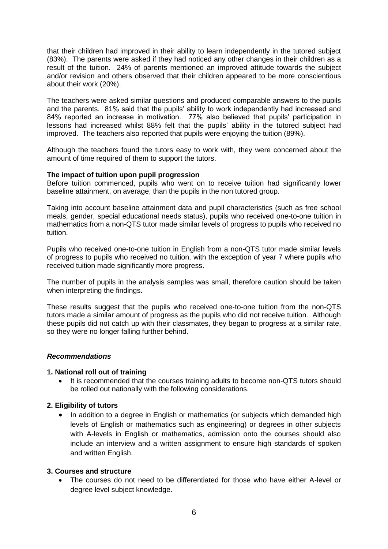that their children had improved in their ability to learn independently in the tutored subject (83%). The parents were asked if they had noticed any other changes in their children as a result of the tuition. 24% of parents mentioned an improved attitude towards the subject and/or revision and others observed that their children appeared to be more conscientious about their work (20%).

The teachers were asked similar questions and produced comparable answers to the pupils and the parents. 81% said that the pupils' ability to work independently had increased and 84% reported an increase in motivation. 77% also believed that pupils' participation in lessons had increased whilst 88% felt that the pupils' ability in the tutored subject had improved. The teachers also reported that pupils were enjoying the tuition (89%).

Although the teachers found the tutors easy to work with, they were concerned about the amount of time required of them to support the tutors.

#### **The impact of tuition upon pupil progression**

Before tuition commenced, pupils who went on to receive tuition had significantly lower baseline attainment, on average, than the pupils in the non tutored group.

Taking into account baseline attainment data and pupil characteristics (such as free school meals, gender, special educational needs status), pupils who received one-to-one tuition in mathematics from a non-QTS tutor made similar levels of progress to pupils who received no tuition.

Pupils who received one-to-one tuition in English from a non-QTS tutor made similar levels of progress to pupils who received no tuition, with the exception of year 7 where pupils who received tuition made significantly more progress.

The number of pupils in the analysis samples was small, therefore caution should be taken when interpreting the findings.

These results suggest that the pupils who received one-to-one tuition from the non-QTS tutors made a similar amount of progress as the pupils who did not receive tuition. Although these pupils did not catch up with their classmates, they began to progress at a similar rate, so they were no longer falling further behind.

#### *Recommendations*

#### **1. National roll out of training**

• It is recommended that the courses training adults to become non-QTS tutors should be rolled out nationally with the following considerations.

#### **2. Eligibility of tutors**

• In addition to a degree in English or mathematics (or subjects which demanded high levels of English or mathematics such as engineering) or degrees in other subjects with A-levels in English or mathematics, admission onto the courses should also include an interview and a written assignment to ensure high standards of spoken and written English.

#### **3. Courses and structure**

 The courses do not need to be differentiated for those who have either A-level or degree level subject knowledge.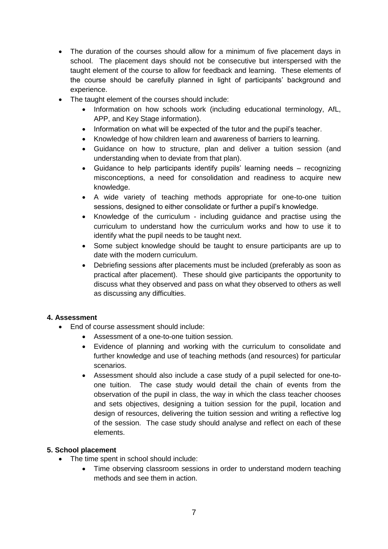- The duration of the courses should allow for a minimum of five placement days in school. The placement days should not be consecutive but interspersed with the taught element of the course to allow for feedback and learning. These elements of the course should be carefully planned in light of participants" background and experience.
- The taught element of the courses should include:
	- Information on how schools work (including educational terminology, AfL, APP, and Key Stage information).
	- Information on what will be expected of the tutor and the pupil's teacher.
	- Knowledge of how children learn and awareness of barriers to learning.
	- Guidance on how to structure, plan and deliver a tuition session (and understanding when to deviate from that plan).
	- Guidance to help participants identify pupils" learning needs recognizing misconceptions, a need for consolidation and readiness to acquire new knowledge.
	- A wide variety of teaching methods appropriate for one-to-one tuition sessions, designed to either consolidate or further a pupil"s knowledge.
	- Knowledge of the curriculum including guidance and practise using the curriculum to understand how the curriculum works and how to use it to identify what the pupil needs to be taught next.
	- Some subject knowledge should be taught to ensure participants are up to date with the modern curriculum.
	- Debriefing sessions after placements must be included (preferably as soon as practical after placement). These should give participants the opportunity to discuss what they observed and pass on what they observed to others as well as discussing any difficulties.

# **4. Assessment**

- End of course assessment should include:
	- Assessment of a one-to-one tuition session.
	- Evidence of planning and working with the curriculum to consolidate and further knowledge and use of teaching methods (and resources) for particular scenarios.
	- Assessment should also include a case study of a pupil selected for one-toone tuition. The case study would detail the chain of events from the observation of the pupil in class, the way in which the class teacher chooses and sets objectives, designing a tuition session for the pupil, location and design of resources, delivering the tuition session and writing a reflective log of the session. The case study should analyse and reflect on each of these elements.

# **5. School placement**

- The time spent in school should include:
	- Time observing classroom sessions in order to understand modern teaching methods and see them in action.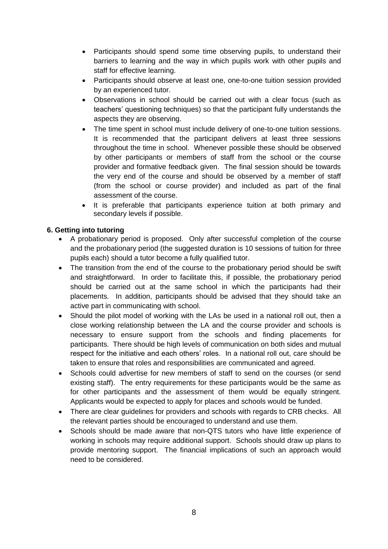- Participants should spend some time observing pupils, to understand their barriers to learning and the way in which pupils work with other pupils and staff for effective learning.
- Participants should observe at least one, one-to-one tuition session provided by an experienced tutor.
- Observations in school should be carried out with a clear focus (such as teachers" questioning techniques) so that the participant fully understands the aspects they are observing.
- The time spent in school must include delivery of one-to-one tuition sessions. It is recommended that the participant delivers at least three sessions throughout the time in school. Whenever possible these should be observed by other participants or members of staff from the school or the course provider and formative feedback given. The final session should be towards the very end of the course and should be observed by a member of staff (from the school or course provider) and included as part of the final assessment of the course.
- It is preferable that participants experience tuition at both primary and secondary levels if possible.

# **6. Getting into tutoring**

- A probationary period is proposed. Only after successful completion of the course and the probationary period (the suggested duration is 10 sessions of tuition for three pupils each) should a tutor become a fully qualified tutor.
- The transition from the end of the course to the probationary period should be swift and straightforward. In order to facilitate this, if possible, the probationary period should be carried out at the same school in which the participants had their placements. In addition, participants should be advised that they should take an active part in communicating with school.
- Should the pilot model of working with the LAs be used in a national roll out, then a close working relationship between the LA and the course provider and schools is necessary to ensure support from the schools and finding placements for participants. There should be high levels of communication on both sides and mutual respect for the initiative and each others" roles. In a national roll out, care should be taken to ensure that roles and responsibilities are communicated and agreed.
- Schools could advertise for new members of staff to send on the courses (or send existing staff). The entry requirements for these participants would be the same as for other participants and the assessment of them would be equally stringent. Applicants would be expected to apply for places and schools would be funded.
- There are clear guidelines for providers and schools with regards to CRB checks. All the relevant parties should be encouraged to understand and use them.
- Schools should be made aware that non-QTS tutors who have little experience of working in schools may require additional support. Schools should draw up plans to provide mentoring support. The financial implications of such an approach would need to be considered.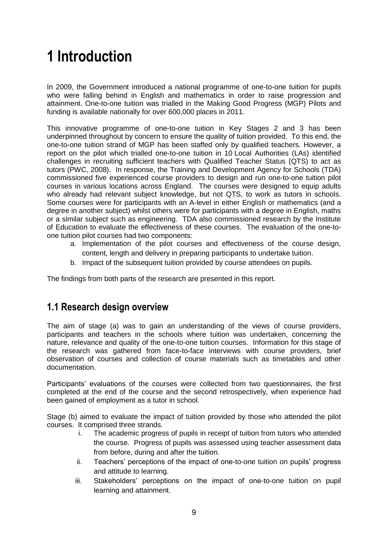# <span id="page-8-0"></span>**1 Introduction**

In 2009, the Government introduced a national programme of one-to-one tuition for pupils who were falling behind in English and mathematics in order to raise progression and attainment. One-to-one tuition was trialled in the Making Good Progress (MGP) Pilots and funding is available nationally for over 600,000 places in 2011.

This innovative programme of one-to-one tuition in Key Stages 2 and 3 has been underpinned throughout by concern to ensure the quality of tuition provided. To this end, the one-to-one tuition strand of MGP has been staffed only by qualified teachers. However, a report on the pilot which trialled one-to-one tuition in 10 Local Authorities (LAs) identified challenges in recruiting sufficient teachers with Qualified Teacher Status (QTS) to act as tutors (PWC, 2008). In response, the Training and Development Agency for Schools (TDA) commissioned five experienced course providers to design and run one-to-one tuition pilot courses in various locations across England. The courses were designed to equip adults who already had relevant subject knowledge, but not QTS, to work as tutors in schools. Some courses were for participants with an A-level in either English or mathematics (and a degree in another subject) whilst others were for participants with a degree in English, maths or a similar subject such as engineering. TDA also commissioned research by the Institute of Education to evaluate the effectiveness of these courses. The evaluation of the one-toone tuition pilot courses had two components:

- a. Implementation of the pilot courses and effectiveness of the course design, content, length and delivery in preparing participants to undertake tuition.
- b. Impact of the subsequent tuition provided by course attendees on pupils.

The findings from both parts of the research are presented in this report.

# <span id="page-8-1"></span>**1.1 Research design overview**

The aim of stage (a) was to gain an understanding of the views of course providers, participants and teachers in the schools where tuition was undertaken, concerning the nature, relevance and quality of the one-to-one tuition courses. Information for this stage of the research was gathered from face-to-face interviews with course providers, brief observation of courses and collection of course materials such as timetables and other documentation.

Participants" evaluations of the courses were collected from two questionnaires, the first completed at the end of the course and the second retrospectively, when experience had been gained of employment as a tutor in school.

Stage (b) aimed to evaluate the impact of tuition provided by those who attended the pilot courses. It comprised three strands.

- i. The academic progress of pupils in receipt of tuition from tutors who attended the course. Progress of pupils was assessed using teacher assessment data from before, during and after the tuition.
- ii. Teachers" perceptions of the impact of one-to-one tuition on pupils" progress and attitude to learning.
- iii. Stakeholders' perceptions on the impact of one-to-one tuition on pupil learning and attainment.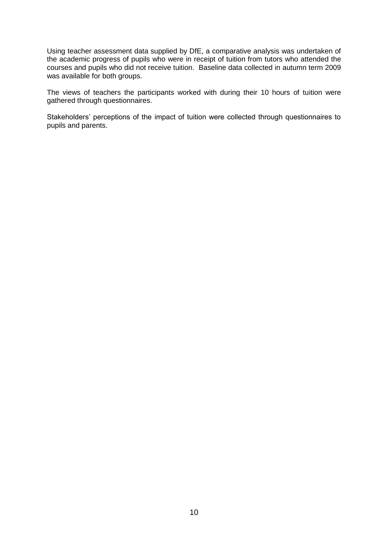Using teacher assessment data supplied by DfE, a comparative analysis was undertaken of the academic progress of pupils who were in receipt of tuition from tutors who attended the courses and pupils who did not receive tuition. Baseline data collected in autumn term 2009 was available for both groups.

The views of teachers the participants worked with during their 10 hours of tuition were gathered through questionnaires.

Stakeholders' perceptions of the impact of tuition were collected through questionnaires to pupils and parents.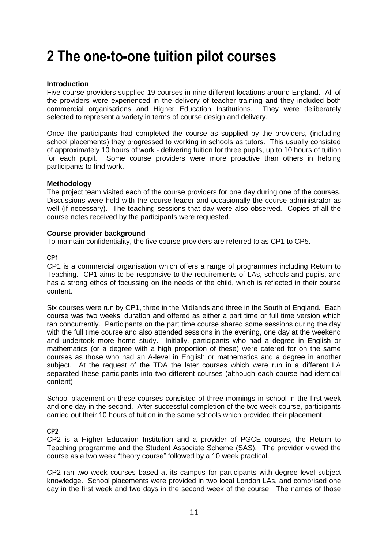# <span id="page-10-0"></span>**2 The one-to-one tuition pilot courses**

# **Introduction**

Five course providers supplied 19 courses in nine different locations around England. All of the providers were experienced in the delivery of teacher training and they included both commercial organisations and Higher Education Institutions. They were deliberately selected to represent a variety in terms of course design and delivery.

Once the participants had completed the course as supplied by the providers, (including school placements) they progressed to working in schools as tutors. This usually consisted of approximately 10 hours of work - delivering tuition for three pupils, up to 10 hours of tuition for each pupil. Some course providers were more proactive than others in helping participants to find work.

# **Methodology**

The project team visited each of the course providers for one day during one of the courses. Discussions were held with the course leader and occasionally the course administrator as well (if necessary). The teaching sessions that day were also observed. Copies of all the course notes received by the participants were requested.

#### **Course provider background**

To maintain confidentiality, the five course providers are referred to as CP1 to CP5.

#### **CP1**

CP1 is a commercial organisation which offers a range of programmes including Return to Teaching. CP1 aims to be responsive to the requirements of LAs, schools and pupils, and has a strong ethos of focussing on the needs of the child, which is reflected in their course content.

Six courses were run by CP1, three in the Midlands and three in the South of England. Each course was two weeks" duration and offered as either a part time or full time version which ran concurrently. Participants on the part time course shared some sessions during the day with the full time course and also attended sessions in the evening, one day at the weekend and undertook more home study. Initially, participants who had a degree in English or mathematics (or a degree with a high proportion of these) were catered for on the same courses as those who had an A-level in English or mathematics and a degree in another subject. At the request of the TDA the later courses which were run in a different LA separated these participants into two different courses (although each course had identical content).

School placement on these courses consisted of three mornings in school in the first week and one day in the second. After successful completion of the two week course, participants carried out their 10 hours of tuition in the same schools which provided their placement.

# **CP2**

CP2 is a Higher Education Institution and a provider of PGCE courses, the Return to Teaching programme and the Student Associate Scheme (SAS). The provider viewed the course as a two week "theory course" followed by a 10 week practical.

CP2 ran two-week courses based at its campus for participants with degree level subject knowledge. School placements were provided in two local London LAs, and comprised one day in the first week and two days in the second week of the course. The names of those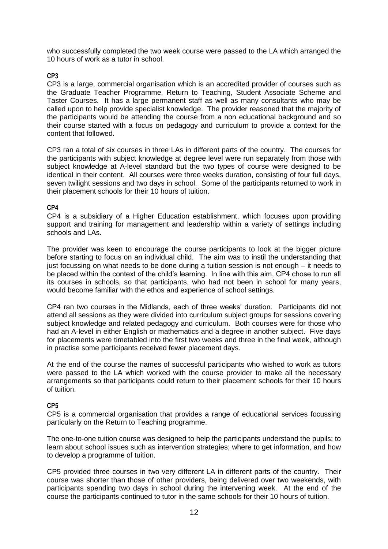who successfully completed the two week course were passed to the LA which arranged the 10 hours of work as a tutor in school.

# **CP3**

CP3 is a large, commercial organisation which is an accredited provider of courses such as the Graduate Teacher Programme, Return to Teaching, Student Associate Scheme and Taster Courses. It has a large permanent staff as well as many consultants who may be called upon to help provide specialist knowledge. The provider reasoned that the majority of the participants would be attending the course from a non educational background and so their course started with a focus on pedagogy and curriculum to provide a context for the content that followed.

CP3 ran a total of six courses in three LAs in different parts of the country. The courses for the participants with subject knowledge at degree level were run separately from those with subject knowledge at A-level standard but the two types of course were designed to be identical in their content. All courses were three weeks duration, consisting of four full days, seven twilight sessions and two days in school. Some of the participants returned to work in their placement schools for their 10 hours of tuition.

# **CP4**

CP4 is a subsidiary of a Higher Education establishment, which focuses upon providing support and training for management and leadership within a variety of settings including schools and LAs.

The provider was keen to encourage the course participants to look at the bigger picture before starting to focus on an individual child. The aim was to instil the understanding that just focussing on what needs to be done during a tuition session is not enough – it needs to be placed within the context of the child's learning. In line with this aim, CP4 chose to run all its courses in schools, so that participants, who had not been in school for many years, would become familiar with the ethos and experience of school settings.

CP4 ran two courses in the Midlands, each of three weeks" duration. Participants did not attend all sessions as they were divided into curriculum subject groups for sessions covering subject knowledge and related pedagogy and curriculum. Both courses were for those who had an A-level in either English or mathematics and a degree in another subject. Five days for placements were timetabled into the first two weeks and three in the final week, although in practise some participants received fewer placement days.

At the end of the course the names of successful participants who wished to work as tutors were passed to the LA which worked with the course provider to make all the necessary arrangements so that participants could return to their placement schools for their 10 hours of tuition.

# **CP5**

CP5 is a commercial organisation that provides a range of educational services focussing particularly on the Return to Teaching programme.

The one-to-one tuition course was designed to help the participants understand the pupils; to learn about school issues such as intervention strategies; where to get information, and how to develop a programme of tuition.

CP5 provided three courses in two very different LA in different parts of the country. Their course was shorter than those of other providers, being delivered over two weekends, with participants spending two days in school during the intervening week. At the end of the course the participants continued to tutor in the same schools for their 10 hours of tuition.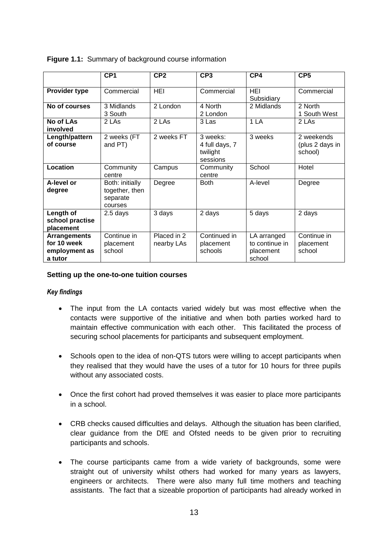|                                                                | CP <sub>1</sub>                                          | CP <sub>2</sub>           | CP <sub>3</sub>                                    | CP4                                                  | CP <sub>5</sub>                          |
|----------------------------------------------------------------|----------------------------------------------------------|---------------------------|----------------------------------------------------|------------------------------------------------------|------------------------------------------|
| Provider type                                                  | Commercial                                               | <b>HEI</b>                | Commercial                                         | <b>HEI</b><br>Subsidiary                             | Commercial                               |
| No of courses                                                  | 3 Midlands<br>3 South                                    | 2 London                  | 4 North<br>2 London                                | 2 Midlands                                           | 2 North<br>1 South West                  |
| No of LAs<br>involved                                          | 2 LAs                                                    | 2 LAs                     | 3 Las                                              | 1 LA                                                 | 2 LAs                                    |
| Length/pattern<br>of course                                    | 2 weeks (FT<br>and PT)                                   | 2 weeks FT                | 3 weeks:<br>4 full days, 7<br>twilight<br>sessions | 3 weeks                                              | 2 weekends<br>(plus 2 days in<br>school) |
| Location                                                       | Community<br>centre                                      | Campus                    | Community<br>centre                                | School                                               | Hotel                                    |
| A-level or<br>degree                                           | Both: initially<br>together, then<br>separate<br>courses | Degree                    | <b>Both</b>                                        | A-level                                              | Degree                                   |
| Length of<br>school practise<br>placement                      | 2.5 days                                                 | 3 days                    | 2 days                                             | 5 days                                               | 2 days                                   |
| <b>Arrangements</b><br>for 10 week<br>employment as<br>a tutor | Continue in<br>placement<br>school                       | Placed in 2<br>nearby LAs | Continued in<br>placement<br>schools               | LA arranged<br>to continue in<br>placement<br>school | Continue in<br>placement<br>school       |

**Figure 1.1:** Summary of background course information

# **Setting up the one-to-one tuition courses**

# *Key findings*

- The input from the LA contacts varied widely but was most effective when the contacts were supportive of the initiative and when both parties worked hard to maintain effective communication with each other. This facilitated the process of securing school placements for participants and subsequent employment.
- Schools open to the idea of non-QTS tutors were willing to accept participants when they realised that they would have the uses of a tutor for 10 hours for three pupils without any associated costs.
- Once the first cohort had proved themselves it was easier to place more participants in a school.
- CRB checks caused difficulties and delays. Although the situation has been clarified, clear guidance from the DfE and Ofsted needs to be given prior to recruiting participants and schools.
- The course participants came from a wide variety of backgrounds, some were straight out of university whilst others had worked for many years as lawyers, engineers or architects. There were also many full time mothers and teaching assistants. The fact that a sizeable proportion of participants had already worked in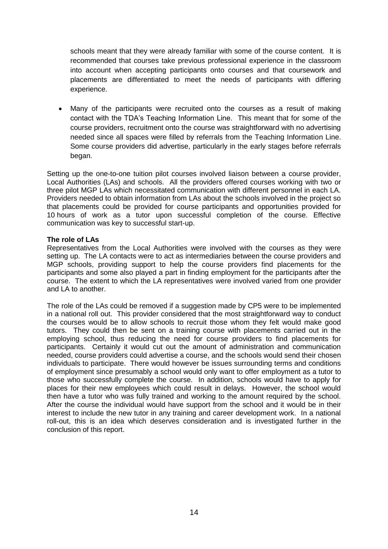schools meant that they were already familiar with some of the course content. It is recommended that courses take previous professional experience in the classroom into account when accepting participants onto courses and that coursework and placements are differentiated to meet the needs of participants with differing experience.

 Many of the participants were recruited onto the courses as a result of making contact with the TDA"s Teaching Information Line. This meant that for some of the course providers, recruitment onto the course was straightforward with no advertising needed since all spaces were filled by referrals from the Teaching Information Line. Some course providers did advertise, particularly in the early stages before referrals began.

Setting up the one-to-one tuition pilot courses involved liaison between a course provider, Local Authorities (LAs) and schools. All the providers offered courses working with two or three pilot MGP LAs which necessitated communication with different personnel in each LA. Providers needed to obtain information from LAs about the schools involved in the project so that placements could be provided for course participants and opportunities provided for 10 hours of work as a tutor upon successful completion of the course. Effective communication was key to successful start-up.

#### **The role of LAs**

Representatives from the Local Authorities were involved with the courses as they were setting up. The LA contacts were to act as intermediaries between the course providers and MGP schools, providing support to help the course providers find placements for the participants and some also played a part in finding employment for the participants after the course. The extent to which the LA representatives were involved varied from one provider and LA to another.

The role of the LAs could be removed if a suggestion made by CP5 were to be implemented in a national roll out. This provider considered that the most straightforward way to conduct the courses would be to allow schools to recruit those whom they felt would make good tutors. They could then be sent on a training course with placements carried out in the employing school, thus reducing the need for course providers to find placements for participants. Certainly it would cut out the amount of administration and communication needed, course providers could advertise a course, and the schools would send their chosen individuals to participate. There would however be issues surrounding terms and conditions of employment since presumably a school would only want to offer employment as a tutor to those who successfully complete the course. In addition, schools would have to apply for places for their new employees which could result in delays. However, the school would then have a tutor who was fully trained and working to the amount required by the school. After the course the individual would have support from the school and it would be in their interest to include the new tutor in any training and career development work. In a national roll-out, this is an idea which deserves consideration and is investigated further in the conclusion of this report.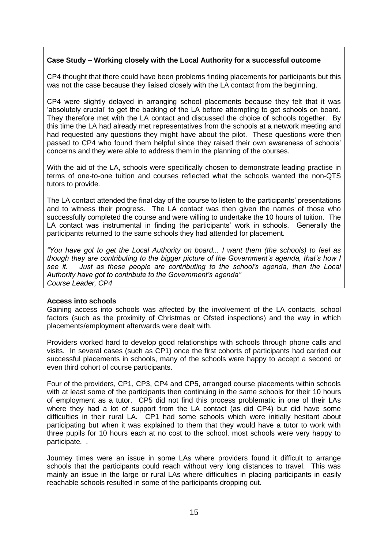# **Case Study – Working closely with the Local Authority for a successful outcome**

CP4 thought that there could have been problems finding placements for participants but this was not the case because they liaised closely with the LA contact from the beginning.

CP4 were slightly delayed in arranging school placements because they felt that it was "absolutely crucial" to get the backing of the LA before attempting to get schools on board. They therefore met with the LA contact and discussed the choice of schools together. By this time the LA had already met representatives from the schools at a network meeting and had requested any questions they might have about the pilot. These questions were then passed to CP4 who found them helpful since they raised their own awareness of schools" concerns and they were able to address them in the planning of the courses.

With the aid of the LA, schools were specifically chosen to demonstrate leading practise in terms of one-to-one tuition and courses reflected what the schools wanted the non-QTS tutors to provide.

The LA contact attended the final day of the course to listen to the participants' presentations and to witness their progress. The LA contact was then given the names of those who successfully completed the course and were willing to undertake the 10 hours of tuition. The LA contact was instrumental in finding the participants' work in schools. Generally the participants returned to the same schools they had attended for placement.

*"You have got to get the Local Authority on board... I want them (the schools) to feel as though they are contributing to the bigger picture of the Government"s agenda, that"s how I see it. Just as these people are contributing to the school"s agenda, then the Local Authority have got to contribute to the Government"s agenda" Course Leader, CP4*

# **Access into schools**

Gaining access into schools was affected by the involvement of the LA contacts, school factors (such as the proximity of Christmas or Ofsted inspections) and the way in which placements/employment afterwards were dealt with.

Providers worked hard to develop good relationships with schools through phone calls and visits. In several cases (such as CP1) once the first cohorts of participants had carried out successful placements in schools, many of the schools were happy to accept a second or even third cohort of course participants.

Four of the providers, CP1, CP3, CP4 and CP5, arranged course placements within schools with at least some of the participants then continuing in the same schools for their 10 hours of employment as a tutor. CP5 did not find this process problematic in one of their LAs where they had a lot of support from the LA contact (as did CP4) but did have some difficulties in their rural LA. CP1 had some schools which were initially hesitant about participating but when it was explained to them that they would have a tutor to work with three pupils for 10 hours each at no cost to the school, most schools were very happy to participate. .

Journey times were an issue in some LAs where providers found it difficult to arrange schools that the participants could reach without very long distances to travel. This was mainly an issue in the large or rural LAs where difficulties in placing participants in easily reachable schools resulted in some of the participants dropping out.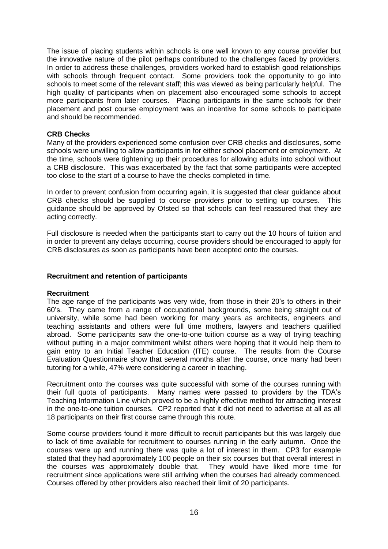The issue of placing students within schools is one well known to any course provider but the innovative nature of the pilot perhaps contributed to the challenges faced by providers. In order to address these challenges, providers worked hard to establish good relationships with schools through frequent contact. Some providers took the opportunity to go into schools to meet some of the relevant staff; this was viewed as being particularly helpful. The high quality of participants when on placement also encouraged some schools to accept more participants from later courses. Placing participants in the same schools for their placement and post course employment was an incentive for some schools to participate and should be recommended.

#### **CRB Checks**

Many of the providers experienced some confusion over CRB checks and disclosures, some schools were unwilling to allow participants in for either school placement or employment. At the time, schools were tightening up their procedures for allowing adults into school without a CRB disclosure. This was exacerbated by the fact that some participants were accepted too close to the start of a course to have the checks completed in time.

In order to prevent confusion from occurring again, it is suggested that clear guidance about CRB checks should be supplied to course providers prior to setting up courses. This guidance should be approved by Ofsted so that schools can feel reassured that they are acting correctly.

Full disclosure is needed when the participants start to carry out the 10 hours of tuition and in order to prevent any delays occurring, course providers should be encouraged to apply for CRB disclosures as soon as participants have been accepted onto the courses.

#### **Recruitment and retention of participants**

#### **Recruitment**

The age range of the participants was very wide, from those in their 20"s to others in their 60"s. They came from a range of occupational backgrounds, some being straight out of university, while some had been working for many years as architects, engineers and teaching assistants and others were full time mothers, lawyers and teachers qualified abroad. Some participants saw the one-to-one tuition course as a way of trying teaching without putting in a major commitment whilst others were hoping that it would help them to gain entry to an Initial Teacher Education (ITE) course. The results from the Course Evaluation Questionnaire show that several months after the course, once many had been tutoring for a while, 47% were considering a career in teaching.

Recruitment onto the courses was quite successful with some of the courses running with their full quota of participants. Many names were passed to providers by the TDA"s Teaching Information Line which proved to be a highly effective method for attracting interest in the one-to-one tuition courses. CP2 reported that it did not need to advertise at all as all 18 participants on their first course came through this route.

Some course providers found it more difficult to recruit participants but this was largely due to lack of time available for recruitment to courses running in the early autumn. Once the courses were up and running there was quite a lot of interest in them. CP3 for example stated that they had approximately 100 people on their six courses but that overall interest in the courses was approximately double that. They would have liked more time for recruitment since applications were still arriving when the courses had already commenced. Courses offered by other providers also reached their limit of 20 participants.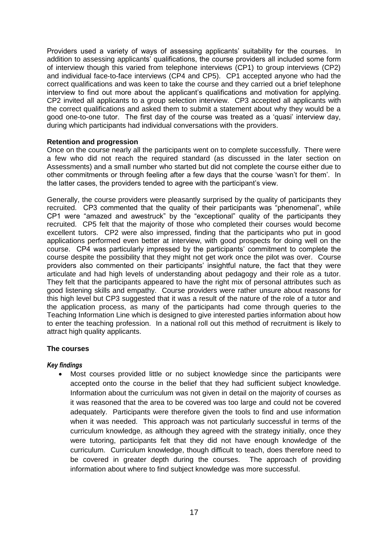Providers used a variety of ways of assessing applicants" suitability for the courses. In addition to assessing applicants' qualifications, the course providers all included some form of interview though this varied from telephone interviews (CP1) to group interviews (CP2) and individual face-to-face interviews (CP4 and CP5). CP1 accepted anyone who had the correct qualifications and was keen to take the course and they carried out a brief telephone interview to find out more about the applicant's qualifications and motivation for applying. CP2 invited all applicants to a group selection interview. CP3 accepted all applicants with the correct qualifications and asked them to submit a statement about why they would be a good one-to-one tutor. The first day of the course was treated as a "quasi" interview day, during which participants had individual conversations with the providers.

# **Retention and progression**

Once on the course nearly all the participants went on to complete successfully. There were a few who did not reach the required standard (as discussed in the later section on Assessments) and a small number who started but did not complete the course either due to other commitments or through feeling after a few days that the course "wasn"t for them". In the latter cases, the providers tended to agree with the participant"s view.

Generally, the course providers were pleasantly surprised by the quality of participants they recruited. CP3 commented that the quality of their participants was "phenomenal", while CP1 were "amazed and awestruck" by the "exceptional" quality of the participants they recruited. CP5 felt that the majority of those who completed their courses would become excellent tutors. CP2 were also impressed, finding that the participants who put in good applications performed even better at interview, with good prospects for doing well on the course. CP4 was particularly impressed by the participants" commitment to complete the course despite the possibility that they might not get work once the pilot was over. Course providers also commented on their participants" insightful nature, the fact that they were articulate and had high levels of understanding about pedagogy and their role as a tutor. They felt that the participants appeared to have the right mix of personal attributes such as good listening skills and empathy. Course providers were rather unsure about reasons for this high level but CP3 suggested that it was a result of the nature of the role of a tutor and the application process, as many of the participants had come through queries to the Teaching Information Line which is designed to give interested parties information about how to enter the teaching profession. In a national roll out this method of recruitment is likely to attract high quality applicants.

# **The courses**

# *Key findings*

 Most courses provided little or no subject knowledge since the participants were accepted onto the course in the belief that they had sufficient subject knowledge. Information about the curriculum was not given in detail on the majority of courses as it was reasoned that the area to be covered was too large and could not be covered adequately. Participants were therefore given the tools to find and use information when it was needed. This approach was not particularly successful in terms of the curriculum knowledge, as although they agreed with the strategy initially, once they were tutoring, participants felt that they did not have enough knowledge of the curriculum. Curriculum knowledge, though difficult to teach, does therefore need to be covered in greater depth during the courses. The approach of providing information about where to find subject knowledge was more successful.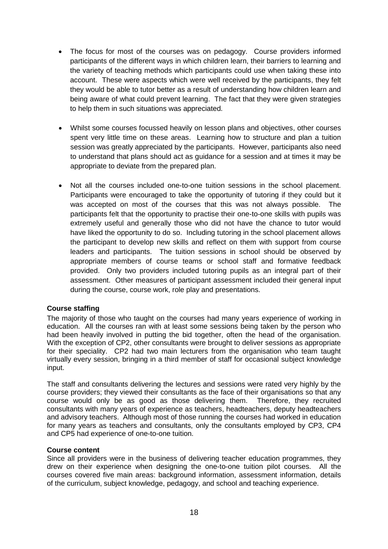- The focus for most of the courses was on pedagogy. Course providers informed participants of the different ways in which children learn, their barriers to learning and the variety of teaching methods which participants could use when taking these into account. These were aspects which were well received by the participants, they felt they would be able to tutor better as a result of understanding how children learn and being aware of what could prevent learning. The fact that they were given strategies to help them in such situations was appreciated.
- Whilst some courses focussed heavily on lesson plans and objectives, other courses spent very little time on these areas. Learning how to structure and plan a tuition session was greatly appreciated by the participants. However, participants also need to understand that plans should act as guidance for a session and at times it may be appropriate to deviate from the prepared plan.
- Not all the courses included one-to-one tuition sessions in the school placement. Participants were encouraged to take the opportunity of tutoring if they could but it was accepted on most of the courses that this was not always possible. The participants felt that the opportunity to practise their one-to-one skills with pupils was extremely useful and generally those who did not have the chance to tutor would have liked the opportunity to do so. Including tutoring in the school placement allows the participant to develop new skills and reflect on them with support from course leaders and participants. The tuition sessions in school should be observed by appropriate members of course teams or school staff and formative feedback provided. Only two providers included tutoring pupils as an integral part of their assessment. Other measures of participant assessment included their general input during the course, course work, role play and presentations.

# **Course staffing**

The majority of those who taught on the courses had many years experience of working in education. All the courses ran with at least some sessions being taken by the person who had been heavily involved in putting the bid together, often the head of the organisation. With the exception of CP2, other consultants were brought to deliver sessions as appropriate for their speciality. CP2 had two main lecturers from the organisation who team taught virtually every session, bringing in a third member of staff for occasional subject knowledge input.

The staff and consultants delivering the lectures and sessions were rated very highly by the course providers; they viewed their consultants as the face of their organisations so that any course would only be as good as those delivering them. Therefore, they recruited consultants with many years of experience as teachers, headteachers, deputy headteachers and advisory teachers. Although most of those running the courses had worked in education for many years as teachers and consultants, only the consultants employed by CP3, CP4 and CP5 had experience of one-to-one tuition.

# **Course content**

Since all providers were in the business of delivering teacher education programmes, they drew on their experience when designing the one-to-one tuition pilot courses. All the courses covered five main areas: background information, assessment information, details of the curriculum, subject knowledge, pedagogy, and school and teaching experience.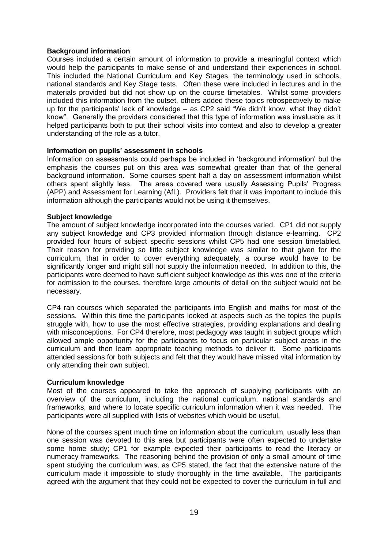# **Background information**

Courses included a certain amount of information to provide a meaningful context which would help the participants to make sense of and understand their experiences in school. This included the National Curriculum and Key Stages, the terminology used in schools, national standards and Key Stage tests. Often these were included in lectures and in the materials provided but did not show up on the course timetables. Whilst some providers included this information from the outset, others added these topics retrospectively to make up for the participants" lack of knowledge – as CP2 said "We didn"t know, what they didn"t know". Generally the providers considered that this type of information was invaluable as it helped participants both to put their school visits into context and also to develop a greater understanding of the role as a tutor.

#### **Information on pupils' assessment in schools**

Information on assessments could perhaps be included in "background information" but the emphasis the courses put on this area was somewhat greater than that of the general background information. Some courses spent half a day on assessment information whilst others spent slightly less. The areas covered were usually Assessing Pupils" Progress (APP) and Assessment for Learning (AfL). Providers felt that it was important to include this information although the participants would not be using it themselves.

#### **Subject knowledge**

The amount of subject knowledge incorporated into the courses varied. CP1 did not supply any subject knowledge and CP3 provided information through distance e-learning. CP2 provided four hours of subject specific sessions whilst CP5 had one session timetabled. Their reason for providing so little subject knowledge was similar to that given for the curriculum, that in order to cover everything adequately, a course would have to be significantly longer and might still not supply the information needed. In addition to this, the participants were deemed to have sufficient subject knowledge as this was one of the criteria for admission to the courses, therefore large amounts of detail on the subject would not be necessary.

CP4 ran courses which separated the participants into English and maths for most of the sessions. Within this time the participants looked at aspects such as the topics the pupils struggle with, how to use the most effective strategies, providing explanations and dealing with misconceptions. For CP4 therefore, most pedagogy was taught in subject groups which allowed ample opportunity for the participants to focus on particular subject areas in the curriculum and then learn appropriate teaching methods to deliver it. Some participants attended sessions for both subjects and felt that they would have missed vital information by only attending their own subject.

#### **Curriculum knowledge**

Most of the courses appeared to take the approach of supplying participants with an overview of the curriculum, including the national curriculum, national standards and frameworks, and where to locate specific curriculum information when it was needed. The participants were all supplied with lists of websites which would be useful,

None of the courses spent much time on information about the curriculum, usually less than one session was devoted to this area but participants were often expected to undertake some home study; CP1 for example expected their participants to read the literacy or numeracy frameworks. The reasoning behind the provision of only a small amount of time spent studying the curriculum was, as CP5 stated, the fact that the extensive nature of the curriculum made it impossible to study thoroughly in the time available. The participants agreed with the argument that they could not be expected to cover the curriculum in full and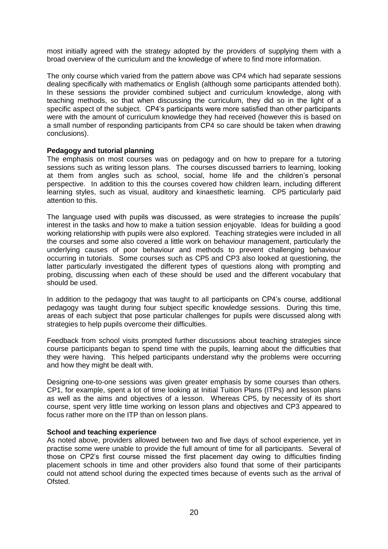most initially agreed with the strategy adopted by the providers of supplying them with a broad overview of the curriculum and the knowledge of where to find more information.

The only course which varied from the pattern above was CP4 which had separate sessions dealing specifically with mathematics or English (although some participants attended both). In these sessions the provider combined subject and curriculum knowledge, along with teaching methods, so that when discussing the curriculum, they did so in the light of a specific aspect of the subject. CP4"s participants were more satisfied than other participants were with the amount of curriculum knowledge they had received (however this is based on a small number of responding participants from CP4 so care should be taken when drawing conclusions).

#### **Pedagogy and tutorial planning**

The emphasis on most courses was on pedagogy and on how to prepare for a tutoring sessions such as writing lesson plans. The courses discussed barriers to learning, looking at them from angles such as school, social, home life and the children"s personal perspective. In addition to this the courses covered how children learn, including different learning styles, such as visual, auditory and kinaesthetic learning. CP5 particularly paid attention to this.

The language used with pupils was discussed, as were strategies to increase the pupils" interest in the tasks and how to make a tuition session enjoyable. Ideas for building a good working relationship with pupils were also explored. Teaching strategies were included in all the courses and some also covered a little work on behaviour management, particularly the underlying causes of poor behaviour and methods to prevent challenging behaviour occurring in tutorials. Some courses such as CP5 and CP3 also looked at questioning, the latter particularly investigated the different types of questions along with prompting and probing, discussing when each of these should be used and the different vocabulary that should be used.

In addition to the pedagogy that was taught to all participants on CP4"s course, additional pedagogy was taught during four subject specific knowledge sessions. During this time, areas of each subject that pose particular challenges for pupils were discussed along with strategies to help pupils overcome their difficulties.

Feedback from school visits prompted further discussions about teaching strategies since course participants began to spend time with the pupils, learning about the difficulties that they were having. This helped participants understand why the problems were occurring and how they might be dealt with.

Designing one-to-one sessions was given greater emphasis by some courses than others. CP1, for example, spent a lot of time looking at Initial Tuition Plans (ITPs) and lesson plans as well as the aims and objectives of a lesson. Whereas CP5, by necessity of its short course, spent very little time working on lesson plans and objectives and CP3 appeared to focus rather more on the ITP than on lesson plans.

#### **School and teaching experience**

As noted above, providers allowed between two and five days of school experience, yet in practise some were unable to provide the full amount of time for all participants. Several of those on CP2"s first course missed the first placement day owing to difficulties finding placement schools in time and other providers also found that some of their participants could not attend school during the expected times because of events such as the arrival of Ofsted.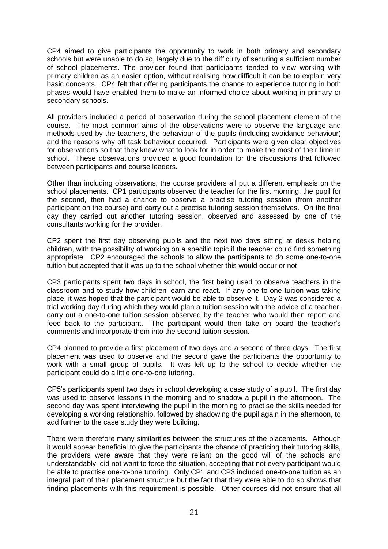CP4 aimed to give participants the opportunity to work in both primary and secondary schools but were unable to do so, largely due to the difficulty of securing a sufficient number of school placements. The provider found that participants tended to view working with primary children as an easier option, without realising how difficult it can be to explain very basic concepts. CP4 felt that offering participants the chance to experience tutoring in both phases would have enabled them to make an informed choice about working in primary or secondary schools.

All providers included a period of observation during the school placement element of the course. The most common aims of the observations were to observe the language and methods used by the teachers, the behaviour of the pupils (including avoidance behaviour) and the reasons why off task behaviour occurred. Participants were given clear objectives for observations so that they knew what to look for in order to make the most of their time in school. These observations provided a good foundation for the discussions that followed between participants and course leaders.

Other than including observations, the course providers all put a different emphasis on the school placements. CP1 participants observed the teacher for the first morning, the pupil for the second, then had a chance to observe a practise tutoring session (from another participant on the course) and carry out a practise tutoring session themselves. On the final day they carried out another tutoring session, observed and assessed by one of the consultants working for the provider.

CP2 spent the first day observing pupils and the next two days sitting at desks helping children, with the possibility of working on a specific topic if the teacher could find something appropriate. CP2 encouraged the schools to allow the participants to do some one-to-one tuition but accepted that it was up to the school whether this would occur or not.

CP3 participants spent two days in school, the first being used to observe teachers in the classroom and to study how children learn and react. If any one-to-one tuition was taking place, it was hoped that the participant would be able to observe it. Day 2 was considered a trial working day during which they would plan a tuition session with the advice of a teacher, carry out a one-to-one tuition session observed by the teacher who would then report and feed back to the participant. The participant would then take on board the teacher"s comments and incorporate them into the second tuition session.

CP4 planned to provide a first placement of two days and a second of three days. The first placement was used to observe and the second gave the participants the opportunity to work with a small group of pupils. It was left up to the school to decide whether the participant could do a little one-to-one tutoring.

CP5"s participants spent two days in school developing a case study of a pupil. The first day was used to observe lessons in the morning and to shadow a pupil in the afternoon. The second day was spent interviewing the pupil in the morning to practise the skills needed for developing a working relationship, followed by shadowing the pupil again in the afternoon, to add further to the case study they were building.

There were therefore many similarities between the structures of the placements. Although it would appear beneficial to give the participants the chance of practicing their tutoring skills, the providers were aware that they were reliant on the good will of the schools and understandably, did not want to force the situation, accepting that not every participant would be able to practise one-to-one tutoring. Only CP1 and CP3 included one-to-one tuition as an integral part of their placement structure but the fact that they were able to do so shows that finding placements with this requirement is possible. Other courses did not ensure that all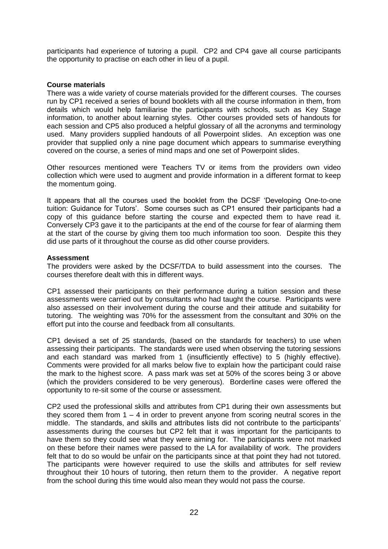participants had experience of tutoring a pupil. CP2 and CP4 gave all course participants the opportunity to practise on each other in lieu of a pupil.

#### **Course materials**

There was a wide variety of course materials provided for the different courses. The courses run by CP1 received a series of bound booklets with all the course information in them, from details which would help familiarise the participants with schools, such as Key Stage information, to another about learning styles. Other courses provided sets of handouts for each session and CP5 also produced a helpful glossary of all the acronyms and terminology used. Many providers supplied handouts of all Powerpoint slides. An exception was one provider that supplied only a nine page document which appears to summarise everything covered on the course, a series of mind maps and one set of Powerpoint slides.

Other resources mentioned were Teachers TV or items from the providers own video collection which were used to augment and provide information in a different format to keep the momentum going.

It appears that all the courses used the booklet from the DCSF "Developing One-to-one tuition: Guidance for Tutors'. Some courses such as CP1 ensured their participants had a copy of this guidance before starting the course and expected them to have read it. Conversely CP3 gave it to the participants at the end of the course for fear of alarming them at the start of the course by giving them too much information too soon. Despite this they did use parts of it throughout the course as did other course providers.

#### **Assessment**

The providers were asked by the DCSF/TDA to build assessment into the courses. The courses therefore dealt with this in different ways.

CP1 assessed their participants on their performance during a tuition session and these assessments were carried out by consultants who had taught the course. Participants were also assessed on their involvement during the course and their attitude and suitability for tutoring. The weighting was 70% for the assessment from the consultant and 30% on the effort put into the course and feedback from all consultants.

CP1 devised a set of 25 standards, (based on the standards for teachers) to use when assessing their participants. The standards were used when observing the tutoring sessions and each standard was marked from 1 (insufficiently effective) to 5 (highly effective). Comments were provided for all marks below five to explain how the participant could raise the mark to the highest score. A pass mark was set at 50% of the scores being 3 or above (which the providers considered to be very generous). Borderline cases were offered the opportunity to re-sit some of the course or assessment.

CP2 used the professional skills and attributes from CP1 during their own assessments but they scored them from  $1 - 4$  in order to prevent anyone from scoring neutral scores in the middle. The standards, and skills and attributes lists did not contribute to the participants" assessments during the courses but CP2 felt that it was important for the participants to have them so they could see what they were aiming for. The participants were not marked on these before their names were passed to the LA for availability of work. The providers felt that to do so would be unfair on the participants since at that point they had not tutored. The participants were however required to use the skills and attributes for self review throughout their 10 hours of tutoring, then return them to the provider. A negative report from the school during this time would also mean they would not pass the course.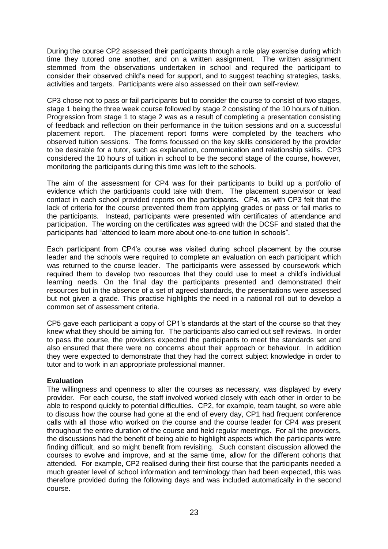During the course CP2 assessed their participants through a role play exercise during which time they tutored one another, and on a written assignment. The written assignment stemmed from the observations undertaken in school and required the participant to consider their observed child"s need for support, and to suggest teaching strategies, tasks, activities and targets. Participants were also assessed on their own self-review.

CP3 chose not to pass or fail participants but to consider the course to consist of two stages, stage 1 being the three week course followed by stage 2 consisting of the 10 hours of tuition. Progression from stage 1 to stage 2 was as a result of completing a presentation consisting of feedback and reflection on their performance in the tuition sessions and on a successful placement report. The placement report forms were completed by the teachers who observed tuition sessions. The forms focussed on the key skills considered by the provider to be desirable for a tutor, such as explanation, communication and relationship skills. CP3 considered the 10 hours of tuition in school to be the second stage of the course, however, monitoring the participants during this time was left to the schools.

The aim of the assessment for CP4 was for their participants to build up a portfolio of evidence which the participants could take with them. The placement supervisor or lead contact in each school provided reports on the participants. CP4, as with CP3 felt that the lack of criteria for the course prevented them from applying grades or pass or fail marks to the participants. Instead, participants were presented with certificates of attendance and participation. The wording on the certificates was agreed with the DCSF and stated that the participants had "attended to learn more about one-to-one tuition in schools".

Each participant from CP4"s course was visited during school placement by the course leader and the schools were required to complete an evaluation on each participant which was returned to the course leader. The participants were assessed by coursework which required them to develop two resources that they could use to meet a child"s individual learning needs. On the final day the participants presented and demonstrated their resources but in the absence of a set of agreed standards, the presentations were assessed but not given a grade. This practise highlights the need in a national roll out to develop a common set of assessment criteria.

CP5 gave each participant a copy of CP1"s standards at the start of the course so that they knew what they should be aiming for. The participants also carried out self reviews. In order to pass the course, the providers expected the participants to meet the standards set and also ensured that there were no concerns about their approach or behaviour. In addition they were expected to demonstrate that they had the correct subject knowledge in order to tutor and to work in an appropriate professional manner.

# **Evaluation**

The willingness and openness to alter the courses as necessary, was displayed by every provider. For each course, the staff involved worked closely with each other in order to be able to respond quickly to potential difficulties. CP2, for example, team taught, so were able to discuss how the course had gone at the end of every day, CP1 had frequent conference calls with all those who worked on the course and the course leader for CP4 was present throughout the entire duration of the course and held regular meetings. For all the providers, the discussions had the benefit of being able to highlight aspects which the participants were finding difficult, and so might benefit from revisiting. Such constant discussion allowed the courses to evolve and improve, and at the same time, allow for the different cohorts that attended. For example, CP2 realised during their first course that the participants needed a much greater level of school information and terminology than had been expected, this was therefore provided during the following days and was included automatically in the second course.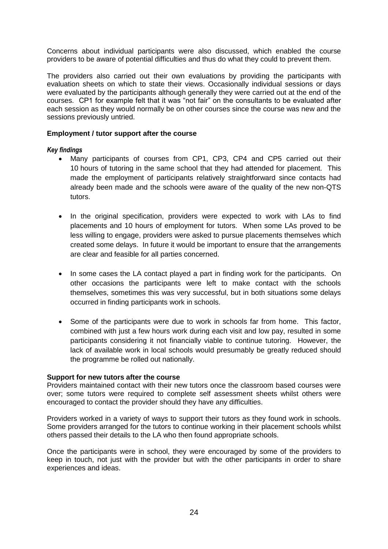Concerns about individual participants were also discussed, which enabled the course providers to be aware of potential difficulties and thus do what they could to prevent them.

The providers also carried out their own evaluations by providing the participants with evaluation sheets on which to state their views. Occasionally individual sessions or days were evaluated by the participants although generally they were carried out at the end of the courses. CP1 for example felt that it was "not fair" on the consultants to be evaluated after each session as they would normally be on other courses since the course was new and the sessions previously untried.

#### **Employment / tutor support after the course**

#### *Key findings*

- Many participants of courses from CP1, CP3, CP4 and CP5 carried out their 10 hours of tutoring in the same school that they had attended for placement. This made the employment of participants relatively straightforward since contacts had already been made and the schools were aware of the quality of the new non-QTS tutors.
- In the original specification, providers were expected to work with LAs to find placements and 10 hours of employment for tutors. When some LAs proved to be less willing to engage, providers were asked to pursue placements themselves which created some delays. In future it would be important to ensure that the arrangements are clear and feasible for all parties concerned.
- In some cases the LA contact played a part in finding work for the participants. On other occasions the participants were left to make contact with the schools themselves, sometimes this was very successful, but in both situations some delays occurred in finding participants work in schools.
- Some of the participants were due to work in schools far from home. This factor, combined with just a few hours work during each visit and low pay, resulted in some participants considering it not financially viable to continue tutoring. However, the lack of available work in local schools would presumably be greatly reduced should the programme be rolled out nationally.

#### **Support for new tutors after the course**

Providers maintained contact with their new tutors once the classroom based courses were over; some tutors were required to complete self assessment sheets whilst others were encouraged to contact the provider should they have any difficulties.

Providers worked in a variety of ways to support their tutors as they found work in schools. Some providers arranged for the tutors to continue working in their placement schools whilst others passed their details to the LA who then found appropriate schools.

Once the participants were in school, they were encouraged by some of the providers to keep in touch, not just with the provider but with the other participants in order to share experiences and ideas.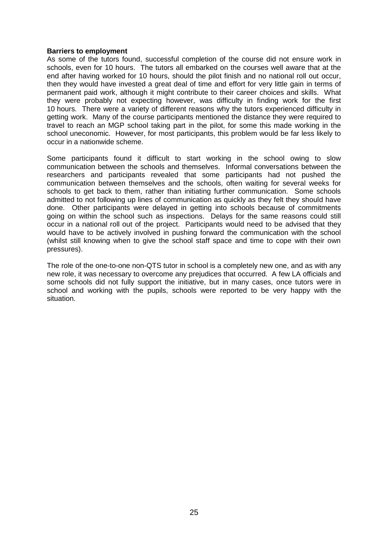#### **Barriers to employment**

As some of the tutors found, successful completion of the course did not ensure work in schools, even for 10 hours. The tutors all embarked on the courses well aware that at the end after having worked for 10 hours, should the pilot finish and no national roll out occur, then they would have invested a great deal of time and effort for very little gain in terms of permanent paid work, although it might contribute to their career choices and skills. What they were probably not expecting however, was difficulty in finding work for the first 10 hours. There were a variety of different reasons why the tutors experienced difficulty in getting work. Many of the course participants mentioned the distance they were required to travel to reach an MGP school taking part in the pilot, for some this made working in the school uneconomic. However, for most participants, this problem would be far less likely to occur in a nationwide scheme.

Some participants found it difficult to start working in the school owing to slow communication between the schools and themselves. Informal conversations between the researchers and participants revealed that some participants had not pushed the communication between themselves and the schools, often waiting for several weeks for schools to get back to them, rather than initiating further communication. Some schools admitted to not following up lines of communication as quickly as they felt they should have done. Other participants were delayed in getting into schools because of commitments going on within the school such as inspections. Delays for the same reasons could still occur in a national roll out of the project. Participants would need to be advised that they would have to be actively involved in pushing forward the communication with the school (whilst still knowing when to give the school staff space and time to cope with their own pressures).

The role of the one-to-one non-QTS tutor in school is a completely new one, and as with any new role, it was necessary to overcome any prejudices that occurred. A few LA officials and some schools did not fully support the initiative, but in many cases, once tutors were in school and working with the pupils, schools were reported to be very happy with the situation.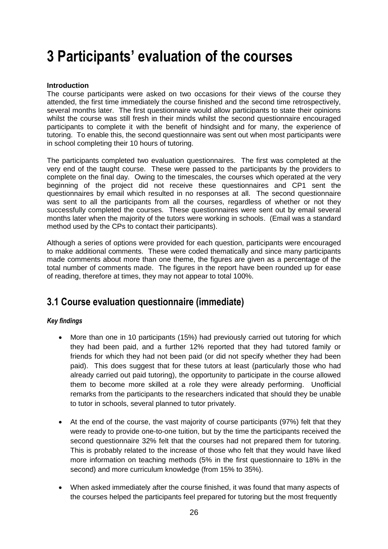# <span id="page-25-0"></span>**3 Participants' evaluation of the courses**

# **Introduction**

The course participants were asked on two occasions for their views of the course they attended, the first time immediately the course finished and the second time retrospectively, several months later. The first questionnaire would allow participants to state their opinions whilst the course was still fresh in their minds whilst the second questionnaire encouraged participants to complete it with the benefit of hindsight and for many, the experience of tutoring. To enable this, the second questionnaire was sent out when most participants were in school completing their 10 hours of tutoring.

The participants completed two evaluation questionnaires. The first was completed at the very end of the taught course. These were passed to the participants by the providers to complete on the final day. Owing to the timescales, the courses which operated at the very beginning of the project did not receive these questionnaires and CP1 sent the questionnaires by email which resulted in no responses at all. The second questionnaire was sent to all the participants from all the courses, regardless of whether or not they successfully completed the courses. These questionnaires were sent out by email several months later when the majority of the tutors were working in schools. (Email was a standard method used by the CPs to contact their participants).

Although a series of options were provided for each question, participants were encouraged to make additional comments. These were coded thematically and since many participants made comments about more than one theme, the figures are given as a percentage of the total number of comments made. The figures in the report have been rounded up for ease of reading, therefore at times, they may not appear to total 100%.

# <span id="page-25-1"></span>**3.1 Course evaluation questionnaire (immediate)**

# *Key findings*

- More than one in 10 participants (15%) had previously carried out tutoring for which they had been paid, and a further 12% reported that they had tutored family or friends for which they had not been paid (or did not specify whether they had been paid). This does suggest that for these tutors at least (particularly those who had already carried out paid tutoring), the opportunity to participate in the course allowed them to become more skilled at a role they were already performing. Unofficial remarks from the participants to the researchers indicated that should they be unable to tutor in schools, several planned to tutor privately.
- At the end of the course, the vast majority of course participants (97%) felt that they were ready to provide one-to-one tuition, but by the time the participants received the second questionnaire 32% felt that the courses had not prepared them for tutoring. This is probably related to the increase of those who felt that they would have liked more information on teaching methods (5% in the first questionnaire to 18% in the second) and more curriculum knowledge (from 15% to 35%).
- When asked immediately after the course finished, it was found that many aspects of the courses helped the participants feel prepared for tutoring but the most frequently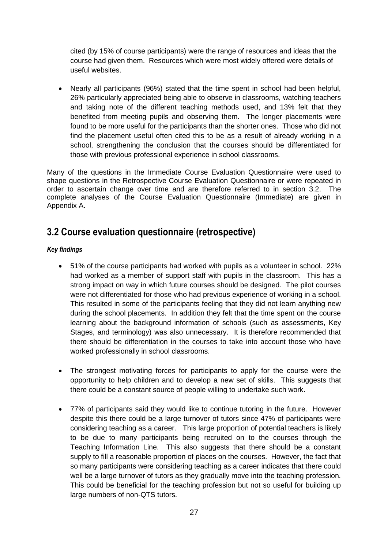cited (by 15% of course participants) were the range of resources and ideas that the course had given them. Resources which were most widely offered were details of useful websites.

 Nearly all participants (96%) stated that the time spent in school had been helpful, 26% particularly appreciated being able to observe in classrooms, watching teachers and taking note of the different teaching methods used, and 13% felt that they benefited from meeting pupils and observing them. The longer placements were found to be more useful for the participants than the shorter ones. Those who did not find the placement useful often cited this to be as a result of already working in a school, strengthening the conclusion that the courses should be differentiated for those with previous professional experience in school classrooms.

Many of the questions in the Immediate Course Evaluation Questionnaire were used to shape questions in the Retrospective Course Evaluation Questionnaire or were repeated in order to ascertain change over time and are therefore referred to in section 3.2. The complete analyses of the Course Evaluation Questionnaire (Immediate) are given in Appendix A.

# <span id="page-26-0"></span>**3.2 Course evaluation questionnaire (retrospective)**

# *Key findings*

- 51% of the course participants had worked with pupils as a volunteer in school. 22% had worked as a member of support staff with pupils in the classroom. This has a strong impact on way in which future courses should be designed. The pilot courses were not differentiated for those who had previous experience of working in a school. This resulted in some of the participants feeling that they did not learn anything new during the school placements. In addition they felt that the time spent on the course learning about the background information of schools (such as assessments, Key Stages, and terminology) was also unnecessary. It is therefore recommended that there should be differentiation in the courses to take into account those who have worked professionally in school classrooms.
- The strongest motivating forces for participants to apply for the course were the opportunity to help children and to develop a new set of skills. This suggests that there could be a constant source of people willing to undertake such work.
- 77% of participants said they would like to continue tutoring in the future. However despite this there could be a large turnover of tutors since 47% of participants were considering teaching as a career. This large proportion of potential teachers is likely to be due to many participants being recruited on to the courses through the Teaching Information Line. This also suggests that there should be a constant supply to fill a reasonable proportion of places on the courses. However, the fact that so many participants were considering teaching as a career indicates that there could well be a large turnover of tutors as they gradually move into the teaching profession. This could be beneficial for the teaching profession but not so useful for building up large numbers of non-QTS tutors.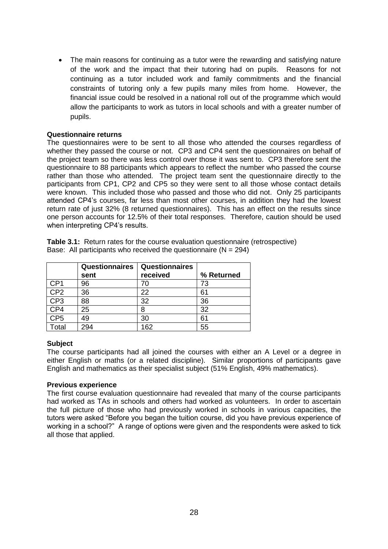• The main reasons for continuing as a tutor were the rewarding and satisfying nature of the work and the impact that their tutoring had on pupils. Reasons for not continuing as a tutor included work and family commitments and the financial constraints of tutoring only a few pupils many miles from home. However, the financial issue could be resolved in a national roll out of the programme which would allow the participants to work as tutors in local schools and with a greater number of pupils.

#### **Questionnaire returns**

The questionnaires were to be sent to all those who attended the courses regardless of whether they passed the course or not. CP3 and CP4 sent the questionnaires on behalf of the project team so there was less control over those it was sent to. CP3 therefore sent the questionnaire to 88 participants which appears to reflect the number who passed the course rather than those who attended. The project team sent the questionnaire directly to the participants from CP1, CP2 and CP5 so they were sent to all those whose contact details were known. This included those who passed and those who did not. Only 25 participants attended CP4"s courses, far less than most other courses, in addition they had the lowest return rate of just 32% (8 returned questionnaires). This has an effect on the results since one person accounts for 12.5% of their total responses. Therefore, caution should be used when interpreting CP4's results.

|  | <b>Table 3.1:</b> Return rates for the course evaluation questionnaire (retrospective) |  |
|--|----------------------------------------------------------------------------------------|--|
|  | Base: All participants who received the questionnaire ( $N = 294$ )                    |  |
|  |                                                                                        |  |

|                 | <b>Questionnaires</b> | <b>Questionnaires</b> |            |
|-----------------|-----------------------|-----------------------|------------|
|                 | sent                  | received              | % Returned |
| CP1             | 96                    | 70                    | 73         |
| CP <sub>2</sub> | 36                    | 22                    | 61         |
| CP <sub>3</sub> | 88                    | 32                    | 36         |
| CP4             | 25                    | 8                     | 32         |
| CP <sub>5</sub> | 49                    | 30                    | 61         |
| Total           | 294                   | 162                   | 55         |

# **Subject**

The course participants had all joined the courses with either an A Level or a degree in either English or maths (or a related discipline). Similar proportions of participants gave English and mathematics as their specialist subject (51% English, 49% mathematics).

#### **Previous experience**

The first course evaluation questionnaire had revealed that many of the course participants had worked as TAs in schools and others had worked as volunteers. In order to ascertain the full picture of those who had previously worked in schools in various capacities, the tutors were asked "Before you began the tuition course, did you have previous experience of working in a school?" A range of options were given and the respondents were asked to tick all those that applied.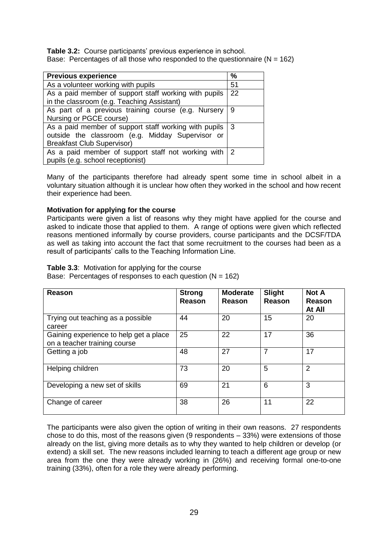**Table 3.2:** Course participants' previous experience in school. Base: Percentages of all those who responded to the questionnaire  $(N = 162)$ 

| <b>Previous experience</b>                                                                    | $\frac{0}{0}$ |
|-----------------------------------------------------------------------------------------------|---------------|
| As a volunteer working with pupils                                                            | 51            |
| As a paid member of support staff working with pupils                                         | 22            |
| in the classroom (e.g. Teaching Assistant)                                                    |               |
| As part of a previous training course (e.g. Nursery                                           | 9             |
| Nursing or PGCE course)                                                                       |               |
| As a paid member of support staff working with pupils                                         | l 3           |
| outside the classroom (e.g. Midday Supervisor or                                              |               |
| <b>Breakfast Club Supervisor)</b>                                                             |               |
| As a paid member of support staff not working with $ 2 $<br>pupils (e.g. school receptionist) |               |

Many of the participants therefore had already spent some time in school albeit in a voluntary situation although it is unclear how often they worked in the school and how recent their experience had been.

# **Motivation for applying for the course**

Participants were given a list of reasons why they might have applied for the course and asked to indicate those that applied to them. A range of options were given which reflected reasons mentioned informally by course providers, course participants and the DCSF/TDA as well as taking into account the fact that some recruitment to the courses had been as a result of participants' calls to the Teaching Information Line.

#### **Table 3.3**: Motivation for applying for the course

Base: Percentages of responses to each question  $(N = 162)$ 

| Reason                                                                 | <b>Strong</b><br><b>Reason</b> | <b>Moderate</b><br>Reason | <b>Slight</b><br>Reason | <b>Not A</b><br>Reason<br>At All |
|------------------------------------------------------------------------|--------------------------------|---------------------------|-------------------------|----------------------------------|
| Trying out teaching as a possible<br>career                            | 44                             | 20                        | 15                      | 20                               |
| Gaining experience to help get a place<br>on a teacher training course | 25                             | 22                        | 17                      | 36                               |
| Getting a job                                                          | 48                             | 27                        | 7                       | 17                               |
| Helping children                                                       | 73                             | 20                        | 5                       | $\overline{2}$                   |
| Developing a new set of skills                                         | 69                             | 21                        | 6                       | 3                                |
| Change of career                                                       | 38                             | 26                        | 11                      | 22                               |

The participants were also given the option of writing in their own reasons. 27 respondents chose to do this, most of the reasons given (9 respondents – 33%) were extensions of those already on the list, giving more details as to why they wanted to help children or develop (or extend) a skill set. The new reasons included learning to teach a different age group or new area from the one they were already working in (26%) and receiving formal one-to-one training (33%), often for a role they were already performing.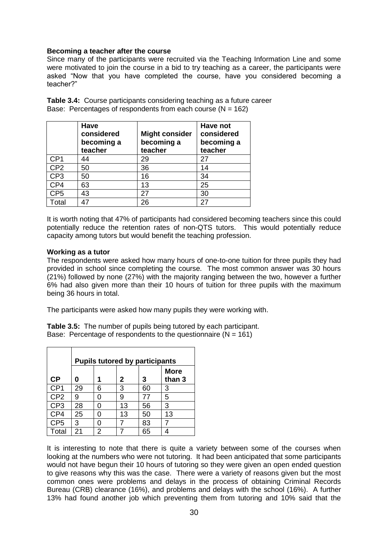#### **Becoming a teacher after the course**

Since many of the participants were recruited via the Teaching Information Line and some were motivated to join the course in a bid to try teaching as a career, the participants were asked "Now that you have completed the course, have you considered becoming a teacher?"

|                 | Have<br>considered<br>becoming a<br>teacher | <b>Might consider</b><br>becoming a<br>teacher | Have not<br>considered<br>becoming a<br>teacher |
|-----------------|---------------------------------------------|------------------------------------------------|-------------------------------------------------|
| CP <sub>1</sub> | 44                                          | 29                                             | 27                                              |
| CP <sub>2</sub> | 50                                          | 36                                             | 14                                              |
| CP <sub>3</sub> | 50                                          | 16                                             | 34                                              |
| CP4             | 63                                          | 13                                             | 25                                              |
| CP <sub>5</sub> | 43                                          | 27                                             | 30                                              |
| Total           | 47                                          | 26                                             | 27                                              |

**Table 3.4:** Course participants considering teaching as a future career Base: Percentages of respondents from each course  $(N = 162)$ 

It is worth noting that 47% of participants had considered becoming teachers since this could potentially reduce the retention rates of non-QTS tutors. This would potentially reduce capacity among tutors but would benefit the teaching profession.

#### **Working as a tutor**

The respondents were asked how many hours of one-to-one tuition for three pupils they had provided in school since completing the course. The most common answer was 30 hours (21%) followed by none (27%) with the majority ranging between the two, however a further 6% had also given more than their 10 hours of tuition for three pupils with the maximum being 36 hours in total.

The participants were asked how many pupils they were working with.

**Table 3.5:** The number of pupils being tutored by each participant. Base: Percentage of respondents to the questionnaire  $(N = 161)$ 

|                 | <b>Pupils tutored by participants</b> |   |    |    |                       |
|-----------------|---------------------------------------|---|----|----|-----------------------|
| <b>CP</b>       | Ω                                     | 1 | 2  | 3  | <b>More</b><br>than 3 |
| CP <sub>1</sub> | 29                                    | 6 | 3  | 60 | 3                     |
| CP <sub>2</sub> | 9                                     | ი | 9  | 77 | 5                     |
| CP <sub>3</sub> | 28                                    | ი | 13 | 56 | 3                     |
| CP4             | 25                                    | ი | 13 | 50 | 13                    |
| CP <sub>5</sub> | 3                                     | 0 |    | 83 | 7                     |
| Total           | 21                                    | 2 |    | 65 |                       |

It is interesting to note that there is quite a variety between some of the courses when looking at the numbers who were not tutoring. It had been anticipated that some participants would not have begun their 10 hours of tutoring so they were given an open ended question to give reasons why this was the case. There were a variety of reasons given but the most common ones were problems and delays in the process of obtaining Criminal Records Bureau (CRB) clearance (16%), and problems and delays with the school (16%). A further 13% had found another job which preventing them from tutoring and 10% said that the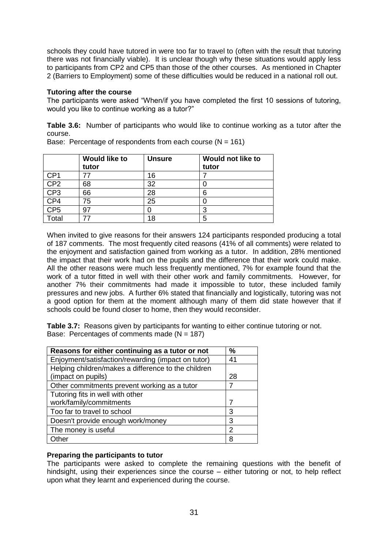schools they could have tutored in were too far to travel to (often with the result that tutoring there was not financially viable). It is unclear though why these situations would apply less to participants from CP2 and CP5 than those of the other courses. As mentioned in Chapter 2 (Barriers to Employment) some of these difficulties would be reduced in a national roll out.

# **Tutoring after the course**

The participants were asked "When/if you have completed the first 10 sessions of tutoring, would you like to continue working as a tutor?"

**Table 3.6:** Number of participants who would like to continue working as a tutor after the course.

|                 | <b>Would like to</b><br>tutor | <b>Unsure</b> | Would not like to<br>tutor |
|-----------------|-------------------------------|---------------|----------------------------|
| CP1             | 77                            | 16            |                            |
| CP <sub>2</sub> | 68                            | 32            |                            |
| CP <sub>3</sub> | 66                            | 28            | 6                          |
| CP4             | 75                            | 25            |                            |
| CP <sub>5</sub> | 97                            |               | 3                          |
| otal            |                               | 18            | 5                          |

Base: Percentage of respondents from each course  $(N = 161)$ 

When invited to give reasons for their answers 124 participants responded producing a total of 187 comments. The most frequently cited reasons (41% of all comments) were related to the enjoyment and satisfaction gained from working as a tutor. In addition, 28% mentioned the impact that their work had on the pupils and the difference that their work could make. All the other reasons were much less frequently mentioned, 7% for example found that the work of a tutor fitted in well with their other work and family commitments. However, for another 7% their commitments had made it impossible to tutor, these included family pressures and new jobs. A further 6% stated that financially and logistically, tutoring was not a good option for them at the moment although many of them did state however that if schools could be found closer to home, then they would reconsider.

**Table 3.7:** Reasons given by participants for wanting to either continue tutoring or not. Base: Percentages of comments made  $(N = 187)$ 

| Reasons for either continuing as a tutor or not     | $\frac{0}{0}$ |
|-----------------------------------------------------|---------------|
| Enjoyment/satisfaction/rewarding (impact on tutor)  | 41            |
| Helping children/makes a difference to the children |               |
| (impact on pupils)                                  | 28            |
| Other commitments prevent working as a tutor        |               |
| Tutoring fits in well with other                    |               |
| work/family/commitments                             |               |
| Too far to travel to school                         | 3             |
| Doesn't provide enough work/money                   | 3             |
| The money is useful                                 | 2             |
| Other                                               | 8             |

# **Preparing the participants to tutor**

The participants were asked to complete the remaining questions with the benefit of hindsight, using their experiences since the course – either tutoring or not, to help reflect upon what they learnt and experienced during the course.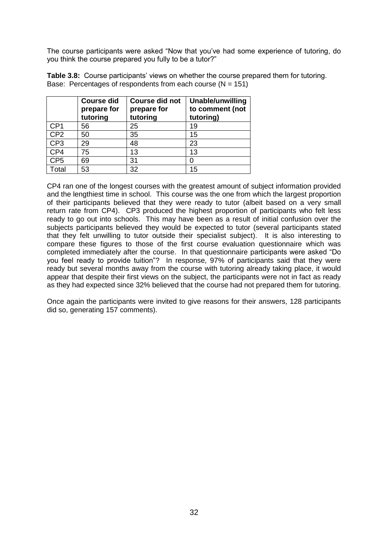The course participants were asked "Now that you"ve had some experience of tutoring, do you think the course prepared you fully to be a tutor?"

**Table 3.8:** Course participants' views on whether the course prepared them for tutoring. Base: Percentages of respondents from each course  $(N = 151)$ 

|                 | <b>Course did</b><br>prepare for<br>tutoring | <b>Course did not</b><br>prepare for<br>tutoring | Unable/unwilling<br>to comment (not<br>tutoring) |
|-----------------|----------------------------------------------|--------------------------------------------------|--------------------------------------------------|
| CP <sub>1</sub> | 56                                           | 25                                               | 19                                               |
| CP <sub>2</sub> | 50                                           | 35                                               | 15                                               |
| CP <sub>3</sub> | 29                                           | 48                                               | 23                                               |
| CP4             | 75                                           | 13                                               | 13                                               |
| CP <sub>5</sub> | 69                                           | 31                                               | 0                                                |
| Total           | 53                                           | 32                                               | 15                                               |

CP4 ran one of the longest courses with the greatest amount of subject information provided and the lengthiest time in school. This course was the one from which the largest proportion of their participants believed that they were ready to tutor (albeit based on a very small return rate from CP4). CP3 produced the highest proportion of participants who felt less ready to go out into schools. This may have been as a result of initial confusion over the subjects participants believed they would be expected to tutor (several participants stated that they felt unwilling to tutor outside their specialist subject). It is also interesting to compare these figures to those of the first course evaluation questionnaire which was completed immediately after the course. In that questionnaire participants were asked "Do you feel ready to provide tuition"? In response, 97% of participants said that they were ready but several months away from the course with tutoring already taking place, it would appear that despite their first views on the subject, the participants were not in fact as ready as they had expected since 32% believed that the course had not prepared them for tutoring.

Once again the participants were invited to give reasons for their answers, 128 participants did so, generating 157 comments).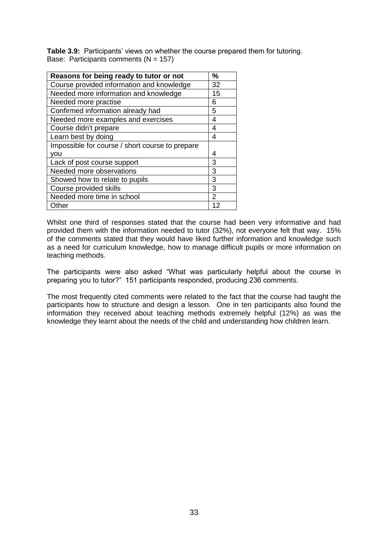Table 3.9: Participants' views on whether the course prepared them for tutoring. Base: Participants comments  $(N = 157)$ 

| Reasons for being ready to tutor or not         | %  |
|-------------------------------------------------|----|
|                                                 |    |
| Course provided information and knowledge       | 32 |
| Needed more information and knowledge           | 15 |
| Needed more practise                            | 6  |
| Confirmed information already had               | 5  |
| Needed more examples and exercises              | 4  |
| Course didn't prepare                           | 4  |
| Learn best by doing                             | 4  |
| Impossible for course / short course to prepare |    |
| vou                                             | 4  |
| Lack of post course support                     | 3  |
| Needed more observations                        | 3  |
| Showed how to relate to pupils                  | 3  |
| Course provided skills                          | 3  |
| Needed more time in school                      | 2  |
| Other                                           |    |

Whilst one third of responses stated that the course had been very informative and had provided them with the information needed to tutor (32%), not everyone felt that way. 15% of the comments stated that they would have liked further information and knowledge such as a need for curriculum knowledge, how to manage difficult pupils or more information on teaching methods.

The participants were also asked "What was particularly helpful about the course in preparing you to tutor?" 151 participants responded, producing 236 comments.

The most frequently cited comments were related to the fact that the course had taught the participants how to structure and design a lesson. One in ten participants also found the information they received about teaching methods extremely helpful (12%) as was the knowledge they learnt about the needs of the child and understanding how children learn.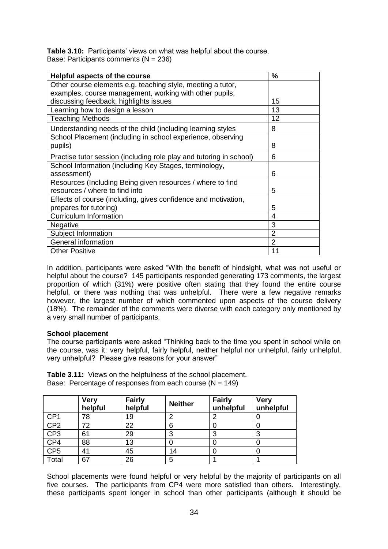**Table 3.10:** Participants' views on what was helpful about the course. Base: Participants comments (N = 236)

| <b>Helpful aspects of the course</b>                                | %              |
|---------------------------------------------------------------------|----------------|
| Other course elements e.g. teaching style, meeting a tutor,         |                |
| examples, course management, working with other pupils,             |                |
| discussing feedback, highlights issues                              | 15             |
| Learning how to design a lesson                                     | 13             |
| <b>Teaching Methods</b>                                             | 12             |
| Understanding needs of the child (including learning styles         | 8              |
| School Placement (including in school experience, observing         |                |
| pupils)                                                             | 8              |
| Practise tutor session (including role play and tutoring in school) | 6              |
| School Information (including Key Stages, terminology,              |                |
| assessment)                                                         | 6              |
| Resources (Including Being given resources / where to find          |                |
| resources / where to find info                                      | 5              |
| Effects of course (including, gives confidence and motivation,      |                |
| prepares for tutoring)                                              | 5              |
| <b>Curriculum Information</b>                                       | 4              |
| Negative                                                            | 3              |
| Subject Information                                                 | 2              |
| <b>General information</b>                                          | $\overline{2}$ |
| <b>Other Positive</b>                                               | 11             |

In addition, participants were asked "With the benefit of hindsight, what was not useful or helpful about the course? 145 participants responded generating 173 comments, the largest proportion of which (31%) were positive often stating that they found the entire course helpful, or there was nothing that was unhelpful. There were a few negative remarks however, the largest number of which commented upon aspects of the course delivery (18%). The remainder of the comments were diverse with each category only mentioned by a very small number of participants.

# **School placement**

The course participants were asked "Thinking back to the time you spent in school while on the course, was it: very helpful, fairly helpful, neither helpful nor unhelpful, fairly unhelpful, very unhelpful? Please give reasons for your answer"

**Table 3.11:** Views on the helpfulness of the school placement. Base: Percentage of responses from each course  $(N = 149)$ 

|                 | <b>Very</b><br>helpful | <b>Fairly</b><br>helpful | <b>Neither</b> | <b>Fairly</b><br>unhelpful | <b>Very</b><br>unhelpful |
|-----------------|------------------------|--------------------------|----------------|----------------------------|--------------------------|
| CP <sub>1</sub> | 78                     | 19                       | ົ              |                            |                          |
| CP <sub>2</sub> | 72                     | 22                       | 6              |                            |                          |
| CP <sub>3</sub> | 61                     | 29                       | 3              | 3                          |                          |
| CP4             | 88                     | 13                       |                |                            |                          |
| CP <sub>5</sub> | 41                     | 45                       | 14             |                            |                          |
| Total           | 67                     | 26                       | 5              |                            |                          |

School placements were found helpful or very helpful by the majority of participants on all five courses. The participants from CP4 were more satisfied than others. Interestingly, these participants spent longer in school than other participants (although it should be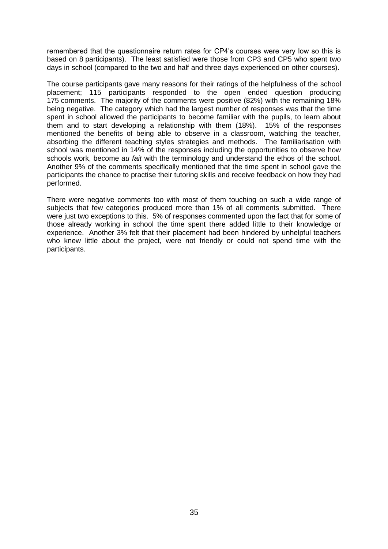remembered that the questionnaire return rates for CP4"s courses were very low so this is based on 8 participants). The least satisfied were those from CP3 and CP5 who spent two days in school (compared to the two and half and three days experienced on other courses).

The course participants gave many reasons for their ratings of the helpfulness of the school placement; 115 participants responded to the open ended question producing 175 comments. The majority of the comments were positive (82%) with the remaining 18% being negative. The category which had the largest number of responses was that the time spent in school allowed the participants to become familiar with the pupils, to learn about them and to start developing a relationship with them (18%). 15% of the responses mentioned the benefits of being able to observe in a classroom, watching the teacher, absorbing the different teaching styles strategies and methods. The familiarisation with school was mentioned in 14% of the responses including the opportunities to observe how schools work, become *au fait* with the terminology and understand the ethos of the school. Another 9% of the comments specifically mentioned that the time spent in school gave the participants the chance to practise their tutoring skills and receive feedback on how they had performed.

There were negative comments too with most of them touching on such a wide range of subjects that few categories produced more than 1% of all comments submitted. There were just two exceptions to this. 5% of responses commented upon the fact that for some of those already working in school the time spent there added little to their knowledge or experience. Another 3% felt that their placement had been hindered by unhelpful teachers who knew little about the project, were not friendly or could not spend time with the participants.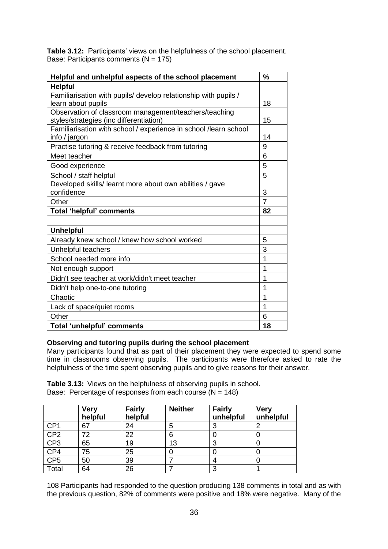|                                           | <b>Table 3.12:</b> Participants' views on the helpfulness of the school placement. |  |
|-------------------------------------------|------------------------------------------------------------------------------------|--|
| Base: Participants comments ( $N = 175$ ) |                                                                                    |  |

| Helpful and unhelpful aspects of the school placement            | $\%$           |
|------------------------------------------------------------------|----------------|
| <b>Helpful</b>                                                   |                |
| Familiarisation with pupils/ develop relationship with pupils /  |                |
| learn about pupils                                               | 18             |
| Observation of classroom management/teachers/teaching            |                |
| styles/strategies (inc differentiation)                          | 15             |
| Familiarisation with school / experience in school /learn school |                |
| info / jargon                                                    | 14             |
| Practise tutoring & receive feedback from tutoring               | 9              |
| Meet teacher                                                     | 6              |
| Good experience                                                  | 5              |
| School / staff helpful                                           | 5              |
| Developed skills/ learnt more about own abilities / gave         |                |
| confidence                                                       | 3              |
| Other                                                            | $\overline{7}$ |
| <b>Total 'helpful' comments</b>                                  | 82             |
|                                                                  |                |
| <b>Unhelpful</b>                                                 |                |
| Already knew school / knew how school worked                     | 5              |
| Unhelpful teachers                                               | 3              |
| School needed more info                                          | 1              |
| Not enough support                                               | 1              |
| Didn't see teacher at work/didn't meet teacher                   | 1              |
| Didn't help one-to-one tutoring                                  | 1              |
| Chaotic                                                          | 1              |
| Lack of space/quiet rooms                                        | 1              |
| Other                                                            | 6              |
| Total 'unhelpful' comments                                       | 18             |

# **Observing and tutoring pupils during the school placement**

Many participants found that as part of their placement they were expected to spend some time in classrooms observing pupils. The participants were therefore asked to rate the helpfulness of the time spent observing pupils and to give reasons for their answer.

**Table 3.13:** Views on the helpfulness of observing pupils in school. Base: Percentage of responses from each course  $(N = 148)$ 

|                 | <b>Very</b><br>helpful | <b>Fairly</b><br>helpful | <b>Neither</b> | <b>Fairly</b><br>unhelpful | <b>Very</b><br>unhelpful |
|-----------------|------------------------|--------------------------|----------------|----------------------------|--------------------------|
| CP <sub>1</sub> | 67                     | 24                       | 5              | 3                          |                          |
| CP <sub>2</sub> | 72                     | 22                       | 6              |                            |                          |
| CP3             | 65                     | 19                       | 13             | 3                          |                          |
| CP4             | 75                     | 25                       |                |                            |                          |
| CP <sub>5</sub> | 50                     | 39                       |                | 4                          |                          |
| Total           | 64                     | 26                       |                | 3                          |                          |

108 Participants had responded to the question producing 138 comments in total and as with the previous question, 82% of comments were positive and 18% were negative. Many of the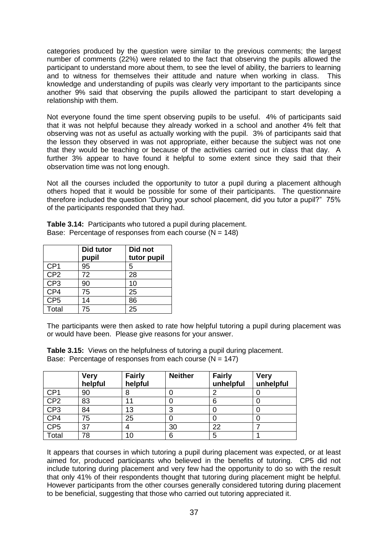categories produced by the question were similar to the previous comments; the largest number of comments (22%) were related to the fact that observing the pupils allowed the participant to understand more about them, to see the level of ability, the barriers to learning and to witness for themselves their attitude and nature when working in class. This knowledge and understanding of pupils was clearly very important to the participants since another 9% said that observing the pupils allowed the participant to start developing a relationship with them.

Not everyone found the time spent observing pupils to be useful. 4% of participants said that it was not helpful because they already worked in a school and another 4% felt that observing was not as useful as actually working with the pupil. 3% of participants said that the lesson they observed in was not appropriate, either because the subject was not one that they would be teaching or because of the activities carried out in class that day. A further 3% appear to have found it helpful to some extent since they said that their observation time was not long enough.

Not all the courses included the opportunity to tutor a pupil during a placement although others hoped that it would be possible for some of their participants. The questionnaire therefore included the question "During your school placement, did you tutor a pupil?" 75% of the participants responded that they had.

**Table 3.14:** Participants who tutored a pupil during placement. Base: Percentage of responses from each course  $(N = 148)$ 

|                 | Did tutor | Did not     |
|-----------------|-----------|-------------|
|                 | pupil     | tutor pupil |
| CP <sub>1</sub> | 95        | 5           |
| CP <sub>2</sub> | 72        | 28          |
| CP <sub>3</sub> | 90        | 10          |
| CP4             | 75        | 25          |
| CP <sub>5</sub> | 14        | 86          |
| Total           | 75        | 25          |

The participants were then asked to rate how helpful tutoring a pupil during placement was or would have been. Please give reasons for your answer.

| <b>Table 3.15:</b> Views on the helpfulness of tutoring a pupil during placement. |
|-----------------------------------------------------------------------------------|
| Base: Percentage of responses from each course ( $N = 147$ )                      |

|                   | <b>Very</b><br>helpful | <b>Fairly</b><br>helpful | <b>Neither</b> | <b>Fairly</b><br>unhelpful | <b>Very</b><br>unhelpful |
|-------------------|------------------------|--------------------------|----------------|----------------------------|--------------------------|
| CP <sub>1</sub>   | 90                     | 8                        |                |                            |                          |
| CP <sub>2</sub>   | 83                     | 11                       |                | 6                          |                          |
| CP3               | 84                     | 13                       | 3              |                            |                          |
| $\frac{CP4}{CP5}$ | 75                     | 25                       |                |                            |                          |
|                   | 37                     | 4                        | 30             | 22                         |                          |
| Total             | 78                     | 10                       | 6              | 5                          |                          |

It appears that courses in which tutoring a pupil during placement was expected, or at least aimed for, produced participants who believed in the benefits of tutoring. CP5 did not include tutoring during placement and very few had the opportunity to do so with the result that only 41% of their respondents thought that tutoring during placement might be helpful. However participants from the other courses generally considered tutoring during placement to be beneficial, suggesting that those who carried out tutoring appreciated it.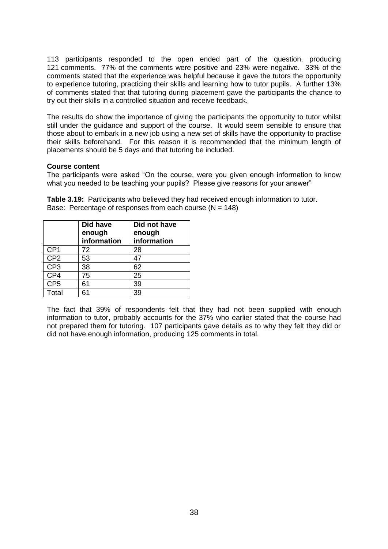113 participants responded to the open ended part of the question, producing 121 comments. 77% of the comments were positive and 23% were negative. 33% of the comments stated that the experience was helpful because it gave the tutors the opportunity to experience tutoring, practicing their skills and learning how to tutor pupils. A further 13% of comments stated that that tutoring during placement gave the participants the chance to try out their skills in a controlled situation and receive feedback.

The results do show the importance of giving the participants the opportunity to tutor whilst still under the guidance and support of the course. It would seem sensible to ensure that those about to embark in a new job using a new set of skills have the opportunity to practise their skills beforehand. For this reason it is recommended that the minimum length of placements should be 5 days and that tutoring be included.

### **Course content**

The participants were asked "On the course, were you given enough information to know what you needed to be teaching your pupils? Please give reasons for your answer"

**Table 3.19:** Participants who believed they had received enough information to tutor. Base: Percentage of responses from each course  $(N = 148)$ 

|                 | <b>Did have</b><br>enough<br>information | Did not have<br>enough<br>information |
|-----------------|------------------------------------------|---------------------------------------|
| CP <sub>1</sub> | 72                                       | 28                                    |
| CP <sub>2</sub> | 53                                       | 47                                    |
| CP <sub>3</sub> | 38                                       | 62                                    |
| CP4             | 75                                       | 25                                    |
| CP <sub>5</sub> | 61                                       | 39                                    |
| Total           | 61                                       | 39                                    |

The fact that 39% of respondents felt that they had not been supplied with enough information to tutor, probably accounts for the 37% who earlier stated that the course had not prepared them for tutoring. 107 participants gave details as to why they felt they did or did not have enough information, producing 125 comments in total.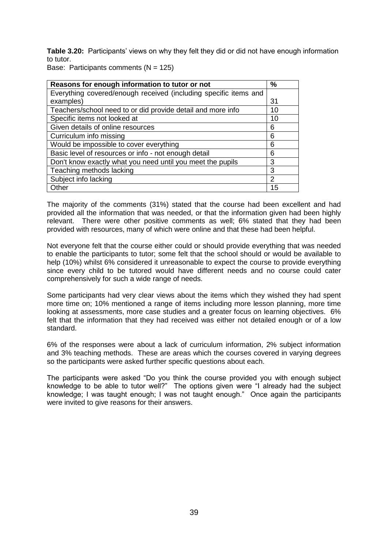**Table 3.20:** Participants' views on why they felt they did or did not have enough information to tutor.

Base: Participants comments  $(N = 125)$ 

| Reasons for enough information to tutor or not                   | %             |
|------------------------------------------------------------------|---------------|
| Everything covered/enough received (including specific items and |               |
| examples)                                                        | 31            |
| Teachers/school need to or did provide detail and more info      | 10            |
| Specific items not looked at                                     | 10            |
| Given details of online resources                                | 6             |
| Curriculum info missing                                          | 6             |
| Would be impossible to cover everything                          | 6             |
| Basic level of resources or info - not enough detail             | 6             |
| Don't know exactly what you need until you meet the pupils       | 3             |
| Teaching methods lacking                                         | 3             |
| Subject info lacking                                             | $\mathcal{P}$ |
| Other                                                            | 15            |

The majority of the comments (31%) stated that the course had been excellent and had provided all the information that was needed, or that the information given had been highly relevant. There were other positive comments as well; 6% stated that they had been provided with resources, many of which were online and that these had been helpful.

Not everyone felt that the course either could or should provide everything that was needed to enable the participants to tutor; some felt that the school should or would be available to help (10%) whilst 6% considered it unreasonable to expect the course to provide everything since every child to be tutored would have different needs and no course could cater comprehensively for such a wide range of needs.

Some participants had very clear views about the items which they wished they had spent more time on; 10% mentioned a range of items including more lesson planning, more time looking at assessments, more case studies and a greater focus on learning objectives. 6% felt that the information that they had received was either not detailed enough or of a low standard.

6% of the responses were about a lack of curriculum information, 2% subject information and 3% teaching methods. These are areas which the courses covered in varying degrees so the participants were asked further specific questions about each.

The participants were asked "Do you think the course provided you with enough subject knowledge to be able to tutor well?" The options given were "I already had the subject knowledge; I was taught enough; I was not taught enough." Once again the participants were invited to give reasons for their answers.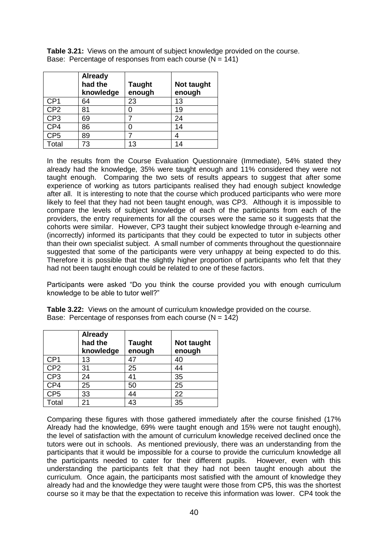**Table 3.21:** Views on the amount of subject knowledge provided on the course. Base: Percentage of responses from each course  $(N = 141)$ 

|                 | <b>Already</b><br>had the<br>knowledge | <b>Taught</b><br>enough | Not taught<br>enough |
|-----------------|----------------------------------------|-------------------------|----------------------|
| CP <sub>1</sub> | 64                                     | 23                      | 13                   |
| CP <sub>2</sub> | 81                                     |                         | 19                   |
| CP <sub>3</sub> | 69                                     |                         | 24                   |
| CP4             | 86                                     |                         | 14                   |
| CP <sub>5</sub> | 89                                     |                         |                      |
| Total           | 73                                     | 13                      | 14                   |

In the results from the Course Evaluation Questionnaire (Immediate), 54% stated they already had the knowledge, 35% were taught enough and 11% considered they were not taught enough. Comparing the two sets of results appears to suggest that after some experience of working as tutors participants realised they had enough subject knowledge after all. It is interesting to note that the course which produced participants who were more likely to feel that they had not been taught enough, was CP3. Although it is impossible to compare the levels of subject knowledge of each of the participants from each of the providers, the entry requirements for all the courses were the same so it suggests that the cohorts were similar. However, CP3 taught their subject knowledge through e-learning and (incorrectly) informed its participants that they could be expected to tutor in subjects other than their own specialist subject. A small number of comments throughout the questionnaire suggested that some of the participants were very unhappy at being expected to do this. Therefore it is possible that the slightly higher proportion of participants who felt that they had not been taught enough could be related to one of these factors.

Participants were asked "Do you think the course provided you with enough curriculum knowledge to be able to tutor well?"

|  |  | Table 3.22: Views on the amount of curriculum knowledge provided on the course. |  |  |  |  |  |
|--|--|---------------------------------------------------------------------------------|--|--|--|--|--|
|  |  | Base: Percentage of responses from each course $(N = 142)$                      |  |  |  |  |  |

|                 | <b>Already</b><br>had the<br>knowledge | <b>Taught</b><br>enough | Not taught<br>enough |
|-----------------|----------------------------------------|-------------------------|----------------------|
| CP <sub>1</sub> | 13                                     | 47                      | 40                   |
| CP <sub>2</sub> | 31                                     | 25                      | 44                   |
| CP <sub>3</sub> | 24                                     | 41                      | 35                   |
| CP4             | 25                                     | 50                      | 25                   |
| CP <sub>5</sub> | 33                                     | 44                      | 22                   |
| Total           | 21                                     | 43                      | 35                   |

Comparing these figures with those gathered immediately after the course finished (17% Already had the knowledge, 69% were taught enough and 15% were not taught enough), the level of satisfaction with the amount of curriculum knowledge received declined once the tutors were out in schools. As mentioned previously, there was an understanding from the participants that it would be impossible for a course to provide the curriculum knowledge all the participants needed to cater for their different pupils. However, even with this understanding the participants felt that they had not been taught enough about the curriculum. Once again, the participants most satisfied with the amount of knowledge they already had and the knowledge they were taught were those from CP5, this was the shortest course so it may be that the expectation to receive this information was lower. CP4 took the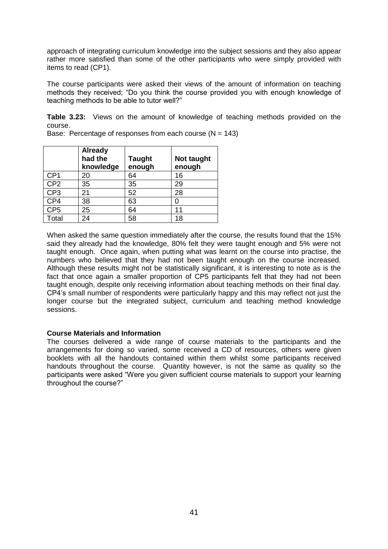approach of integrating curriculum knowledge into the subject sessions and they also appear rather more satisfied than some of the other participants who were simply provided with items to read (CP1).

The course participants were asked their views of the amount of information on teaching methods they received; "Do you think the course provided you with enough knowledge of teaching methods to be able to tutor well?"

**Table 3.23:** Views on the amount of knowledge of teaching methods provided on the course.

|                 | <b>Already</b><br>had the<br>knowledge | <b>Taught</b><br>enough | Not taught<br>enough |
|-----------------|----------------------------------------|-------------------------|----------------------|
| CP <sub>1</sub> | 20                                     | 64                      | 16                   |
| CP <sub>2</sub> | 35                                     | 35                      | 29                   |
| CP <sub>3</sub> | 21                                     | 52                      | 28                   |
| CP4             | 38                                     | 63                      |                      |
| CP <sub>5</sub> | 25                                     | 64                      | 11                   |
| Total           | 24                                     | 58                      | 18                   |

Base: Percentage of responses from each course  $(N = 143)$ 

When asked the same question immediately after the course, the results found that the 15% said they already had the knowledge, 80% felt they were taught enough and 5% were not taught enough. Once again, when putting what was learnt on the course into practise, the numbers who believed that they had not been taught enough on the course increased. Although these results might not be statistically significant, it is interesting to note as is the fact that once again a smaller proportion of CP5 participants felt that they had not been taught enough, despite only receiving information about teaching methods on their final day. CP4"s small number of respondents were particularly happy and this may reflect not just the longer course but the integrated subject, curriculum and teaching method knowledge sessions.

### **Course Materials and Information**

The courses delivered a wide range of course materials to the participants and the arrangements for doing so varied, some received a CD of resources, others were given booklets with all the handouts contained within them whilst some participants received handouts throughout the course. Quantity however, is not the same as quality so the participants were asked "Were you given sufficient course materials to support your learning throughout the course?"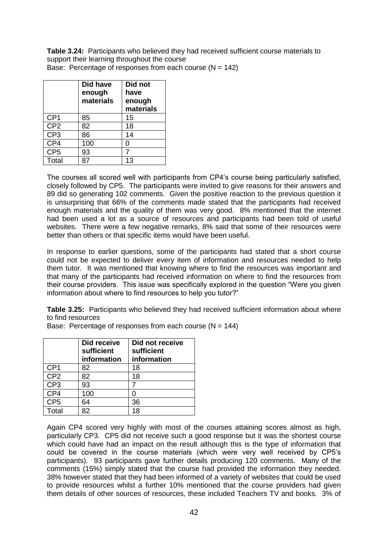**Table 3.24:** Participants who believed they had received sufficient course materials to support their learning throughout the course Base: Percentage of responses from each course  $(N = 142)$ 

|                 | <b>Did have</b><br>enough<br>materials | Did not<br>have<br>enough<br>materials |
|-----------------|----------------------------------------|----------------------------------------|
| CP <sub>1</sub> | 85                                     | 15                                     |
| CP <sub>2</sub> | 82                                     | 18                                     |
| CP <sub>3</sub> | 86                                     | 14                                     |
| CP4             | 100                                    | ი                                      |
| CP <sub>5</sub> | 93                                     |                                        |
| Total           |                                        | 13                                     |

The courses all scored well with participants from CP4"s course being particularly satisfied, closely followed by CP5. The participants were invited to give reasons for their answers and 89 did so generating 102 comments. Given the positive reaction to the previous question it is unsurprising that 66% of the comments made stated that the participants had received enough materials and the quality of them was very good. 8% mentioned that the internet had been used a lot as a source of resources and participants had been told of useful websites. There were a few negative remarks, 8% said that some of their resources were better than others or that specific items would have been useful.

In response to earlier questions, some of the participants had stated that a short course could not be expected to deliver every item of information and resources needed to help them tutor. It was mentioned that knowing where to find the resources was important and that many of the participants had received information on where to find the resources from their course providers. This issue was specifically explored in the question "Were you given information about where to find resources to help you tutor?"

**Table 3.25:** Participants who believed they had received sufficient information about where to find resources

Base: Percentage of responses from each course  $(N = 144)$ 

|                 | Did receive<br>sufficient<br>information | Did not receive<br>sufficient<br>information |
|-----------------|------------------------------------------|----------------------------------------------|
| CP <sub>1</sub> | 82                                       | 18                                           |
| CP <sub>2</sub> | 82                                       | 18                                           |
| CP <sub>3</sub> | 93                                       |                                              |
| CP4             | 100                                      |                                              |
| CP <sub>5</sub> | 64                                       | 36                                           |
| Total           | 82                                       | 18                                           |

Again CP4 scored very highly with most of the courses attaining scores almost as high, particularly CP3. CP5 did not receive such a good response but it was the shortest course which could have had an impact on the result although this is the type of information that could be covered in the course materials (which were very well received by CP5"s participants). 93 participants gave further details producing 120 comments. Many of the comments (15%) simply stated that the course had provided the information they needed. 38% however stated that they had been informed of a variety of websites that could be used to provide resources whilst a further 10% mentioned that the course providers had given them details of other sources of resources, these included Teachers TV and books. 3% of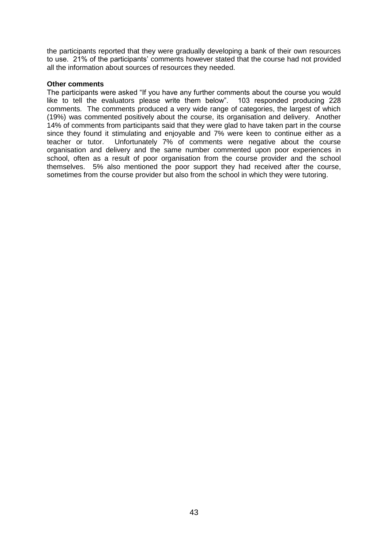the participants reported that they were gradually developing a bank of their own resources to use. 21% of the participants" comments however stated that the course had not provided all the information about sources of resources they needed.

### **Other comments**

The participants were asked "If you have any further comments about the course you would like to tell the evaluators please write them below". 103 responded producing 228 comments. The comments produced a very wide range of categories, the largest of which (19%) was commented positively about the course, its organisation and delivery. Another 14% of comments from participants said that they were glad to have taken part in the course since they found it stimulating and enjoyable and 7% were keen to continue either as a teacher or tutor. Unfortunately 7% of comments were negative about the course organisation and delivery and the same number commented upon poor experiences in school, often as a result of poor organisation from the course provider and the school themselves. 5% also mentioned the poor support they had received after the course, sometimes from the course provider but also from the school in which they were tutoring.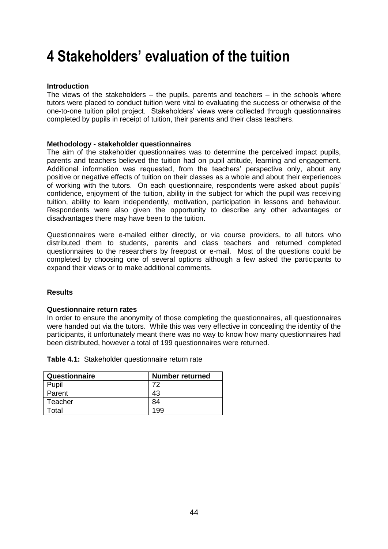# **4 Stakeholders' evaluation of the tuition**

### **Introduction**

The views of the stakeholders – the pupils, parents and teachers – in the schools where tutors were placed to conduct tuition were vital to evaluating the success or otherwise of the one-to-one tuition pilot project. Stakeholders" views were collected through questionnaires completed by pupils in receipt of tuition, their parents and their class teachers.

### **Methodology - stakeholder questionnaires**

The aim of the stakeholder questionnaires was to determine the perceived impact pupils, parents and teachers believed the tuition had on pupil attitude, learning and engagement. Additional information was requested, from the teachers" perspective only, about any positive or negative effects of tuition on their classes as a whole and about their experiences of working with the tutors. On each questionnaire, respondents were asked about pupils" confidence, enjoyment of the tuition, ability in the subject for which the pupil was receiving tuition, ability to learn independently, motivation, participation in lessons and behaviour. Respondents were also given the opportunity to describe any other advantages or disadvantages there may have been to the tuition.

Questionnaires were e-mailed either directly, or via course providers, to all tutors who distributed them to students, parents and class teachers and returned completed questionnaires to the researchers by freepost or e-mail. Most of the questions could be completed by choosing one of several options although a few asked the participants to expand their views or to make additional comments.

### **Results**

### **Questionnaire return rates**

In order to ensure the anonymity of those completing the questionnaires, all questionnaires were handed out via the tutors. While this was very effective in concealing the identity of the participants, it unfortunately meant there was no way to know how many questionnaires had been distributed, however a total of 199 questionnaires were returned.

|  | Table 4.1: Stakeholder questionnaire return rate |  |  |
|--|--------------------------------------------------|--|--|
|--|--------------------------------------------------|--|--|

| Questionnaire | <b>Number returned</b> |
|---------------|------------------------|
| Pupil         |                        |
| Parent        | 43                     |
| Teacher       | 84                     |
| Total         |                        |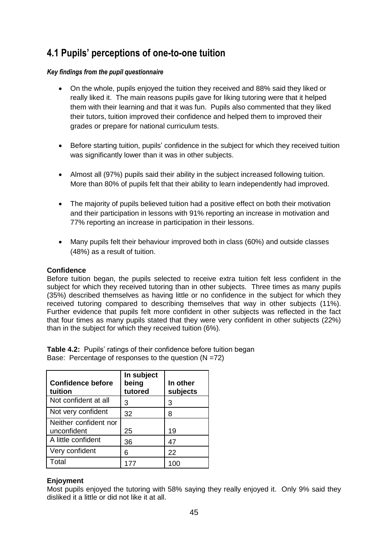# **4.1 Pupils' perceptions of one-to-one tuition**

## *Key findings from the pupil questionnaire*

- On the whole, pupils enjoyed the tuition they received and 88% said they liked or really liked it. The main reasons pupils gave for liking tutoring were that it helped them with their learning and that it was fun. Pupils also commented that they liked their tutors, tuition improved their confidence and helped them to improved their grades or prepare for national curriculum tests.
- Before starting tuition, pupils' confidence in the subject for which they received tuition was significantly lower than it was in other subjects.
- Almost all (97%) pupils said their ability in the subject increased following tuition. More than 80% of pupils felt that their ability to learn independently had improved.
- The majority of pupils believed tuition had a positive effect on both their motivation and their participation in lessons with 91% reporting an increase in motivation and 77% reporting an increase in participation in their lessons.
- Many pupils felt their behaviour improved both in class (60%) and outside classes (48%) as a result of tuition.

# **Confidence**

Before tuition began, the pupils selected to receive extra tuition felt less confident in the subject for which they received tutoring than in other subjects. Three times as many pupils (35%) described themselves as having little or no confidence in the subject for which they received tutoring compared to describing themselves that way in other subjects (11%). Further evidence that pupils felt more confident in other subjects was reflected in the fact that four times as many pupils stated that they were very confident in other subjects (22%) than in the subject for which they received tuition (6%).

**Table 4.2:** Pupils' ratings of their confidence before tuition began Base: Percentage of responses to the question (N =72)

| <b>Confidence before</b><br>tuition  | In subject<br>being<br>tutored | In other<br>subjects |
|--------------------------------------|--------------------------------|----------------------|
| Not confident at all                 | 3                              | 3                    |
| Not very confident                   | 32                             | 8                    |
| Neither confident nor<br>unconfident | 25                             | 19                   |
| A little confident                   | 36                             | 47                   |
| Very confident                       | 6                              | 22                   |
| Total                                |                                |                      |

# **Enjoyment**

Most pupils enjoyed the tutoring with 58% saying they really enjoyed it. Only 9% said they disliked it a little or did not like it at all.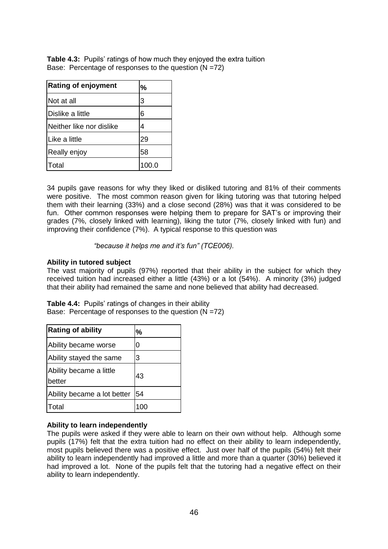**Table 4.3:** Pupils' ratings of how much they enjoyed the extra tuition Base: Percentage of responses to the question (N =72)

| <b>Rating of enjoyment</b> | %     |
|----------------------------|-------|
| Not at all                 | 3     |
| Dislike a little           | 6     |
| lNeither like nor dislike  | 4     |
| Like a little              | 29    |
| Really enjoy               | 58    |
| otal <sup>-</sup>          | 100.0 |

34 pupils gave reasons for why they liked or disliked tutoring and 81% of their comments were positive. The most common reason given for liking tutoring was that tutoring helped them with their learning (33%) and a close second (28%) was that it was considered to be fun. Other common responses were helping them to prepare for SAT"s or improving their grades (7%, closely linked with learning), liking the tutor (7%, closely linked with fun) and improving their confidence (7%). A typical response to this question was

*"because it helps me and it"s fun" (TCE006).*

# **Ability in tutored subject**

The vast majority of pupils (97%) reported that their ability in the subject for which they received tuition had increased either a little (43%) or a lot (54%). A minority (3%) judged that their ability had remained the same and none believed that ability had decreased.

**Table 4.4:** Pupils' ratings of changes in their ability Base: Percentage of responses to the question  $(N = 72)$ 

| <b>Rating of ability</b>          | %  |
|-----------------------------------|----|
| Ability became worse              | 0  |
| Ability stayed the same           | 3  |
| Ability became a little<br>better | 43 |
| Ability became a lot better       | 54 |
| `otal                             |    |

### **Ability to learn independently**

The pupils were asked if they were able to learn on their own without help. Although some pupils (17%) felt that the extra tuition had no effect on their ability to learn independently, most pupils believed there was a positive effect. Just over half of the pupils (54%) felt their ability to learn independently had improved a little and more than a quarter (30%) believed it had improved a lot. None of the pupils felt that the tutoring had a negative effect on their ability to learn independently.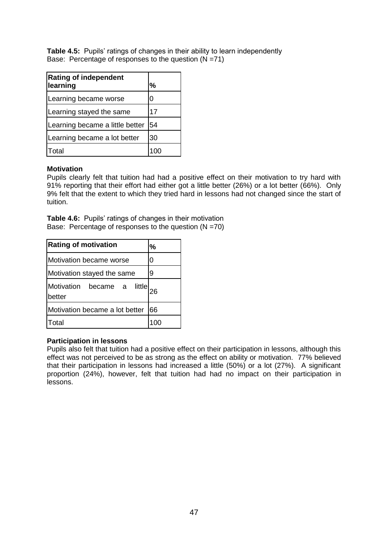**Table 4.5:** Pupils' ratings of changes in their ability to learn independently Base: Percentage of responses to the question  $(N = 71)$ 

| <b>Rating of independent</b><br>learning | %  |
|------------------------------------------|----|
| Learning became worse                    | 0  |
| Learning stayed the same                 | 17 |
| Learning became a little better          | 54 |
| Learning became a lot better             | 30 |
| otal <sup>-</sup>                        |    |

## **Motivation**

Pupils clearly felt that tuition had had a positive effect on their motivation to try hard with 91% reporting that their effort had either got a little better (26%) or a lot better (66%). Only 9% felt that the extent to which they tried hard in lessons had not changed since the start of tuition.

**Table 4.6:** Pupils' ratings of changes in their motivation Base: Percentage of responses to the question  $(N = 70)$ 

| <b>Rating of motivation</b>                    | %  |
|------------------------------------------------|----|
| Motivation became worse                        | 0  |
| Motivation stayed the same                     | 9  |
| <b>little</b><br>Motivation became a<br>better |    |
| Motivation became a lot better                 | 66 |
| otal                                           |    |

### **Participation in lessons**

Pupils also felt that tuition had a positive effect on their participation in lessons, although this effect was not perceived to be as strong as the effect on ability or motivation. 77% believed that their participation in lessons had increased a little (50%) or a lot (27%). A significant proportion (24%), however, felt that tuition had had no impact on their participation in lessons.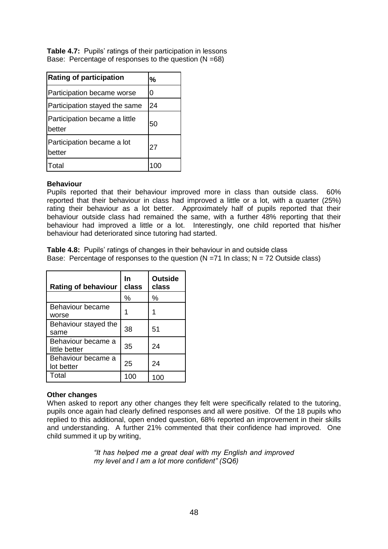**Table 4.7:** Pupils' ratings of their participation in lessons Base: Percentage of responses to the question (N =68)

| <b>Rating of participation</b>          | %  |
|-----------------------------------------|----|
| Participation became worse              | ი  |
| Participation stayed the same           | 24 |
| Participation became a little<br>better | 50 |
| Participation became a lot<br>better    | 27 |
| Total                                   |    |

### **Behaviour**

Pupils reported that their behaviour improved more in class than outside class. 60% reported that their behaviour in class had improved a little or a lot, with a quarter (25%) rating their behaviour as a lot better. Approximately half of pupils reported that their behaviour outside class had remained the same, with a further 48% reporting that their behaviour had improved a little or a lot. Interestingly, one child reported that his/her behaviour had deteriorated since tutoring had started.

**Table 4.8:** Pupils' ratings of changes in their behaviour in and outside class Base: Percentage of responses to the question  $(N = 71 \text{ In class}; N = 72 \text{ Outside class})$ 

| <b>Rating of behaviour</b>          | In<br>class | <b>Outside</b><br>class |
|-------------------------------------|-------------|-------------------------|
|                                     | %           | %                       |
| Behaviour became<br>worse           | 1           |                         |
| Behaviour stayed the<br>same        | 38          | 51                      |
| Behaviour became a<br>little better | 35          | 24                      |
| Behaviour became a<br>lot better    | 25          | 24                      |
| Total                               | 100         | 100                     |

# **Other changes**

When asked to report any other changes they felt were specifically related to the tutoring, pupils once again had clearly defined responses and all were positive. Of the 18 pupils who replied to this additional, open ended question, 68% reported an improvement in their skills and understanding. A further 21% commented that their confidence had improved. One child summed it up by writing,

> *"It has helped me a great deal with my English and improved my level and I am a lot more confident" (SQ6)*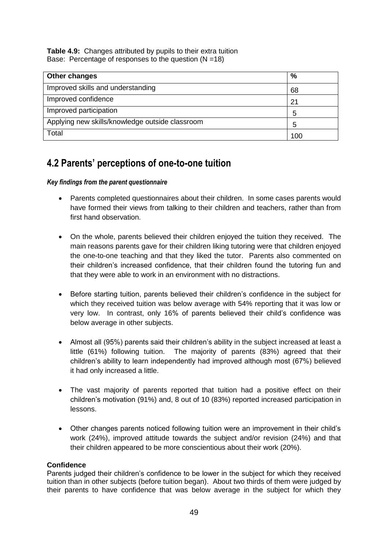**Table 4.9:** Changes attributed by pupils to their extra tuition Base: Percentage of responses to the question  $(N = 18)$ 

| Other changes                                   | %   |
|-------------------------------------------------|-----|
| Improved skills and understanding               | 68  |
| Improved confidence                             | 21  |
| Improved participation                          | 5   |
| Applying new skills/knowledge outside classroom | 5   |
| Total                                           | 100 |

# **4.2 Parents' perceptions of one-to-one tuition**

# *Key findings from the parent questionnaire*

- Parents completed questionnaires about their children. In some cases parents would have formed their views from talking to their children and teachers, rather than from first hand observation.
- On the whole, parents believed their children enjoyed the tuition they received. The main reasons parents gave for their children liking tutoring were that children enjoyed the one-to-one teaching and that they liked the tutor. Parents also commented on their children"s increased confidence, that their children found the tutoring fun and that they were able to work in an environment with no distractions.
- Before starting tuition, parents believed their children"s confidence in the subject for which they received tuition was below average with 54% reporting that it was low or very low. In contrast, only 16% of parents believed their child"s confidence was below average in other subjects.
- Almost all (95%) parents said their children"s ability in the subject increased at least a little (61%) following tuition. The majority of parents (83%) agreed that their children"s ability to learn independently had improved although most (67%) believed it had only increased a little.
- The vast majority of parents reported that tuition had a positive effect on their children"s motivation (91%) and, 8 out of 10 (83%) reported increased participation in lessons.
- Other changes parents noticed following tuition were an improvement in their child"s work (24%), improved attitude towards the subject and/or revision (24%) and that their children appeared to be more conscientious about their work (20%).

# **Confidence**

Parents judged their children"s confidence to be lower in the subject for which they received tuition than in other subjects (before tuition began). About two thirds of them were judged by their parents to have confidence that was below average in the subject for which they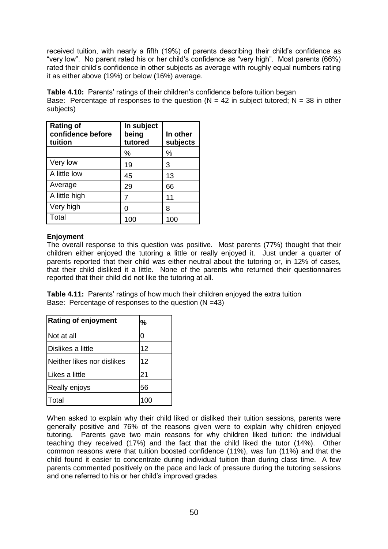received tuition, with nearly a fifth (19%) of parents describing their child"s confidence as "very low". No parent rated his or her child"s confidence as "very high". Most parents (66%) rated their child"s confidence in other subjects as average with roughly equal numbers rating it as either above (19%) or below (16%) average.

**Table 4.10:** Parents' ratings of their children's confidence before tuition began Base: Percentage of responses to the question ( $N = 42$  in subject tutored;  $N = 38$  in other subjects)

| <b>Rating of</b><br>confidence before<br>tuition | In subject<br>being<br>tutored | In other<br>subjects |
|--------------------------------------------------|--------------------------------|----------------------|
|                                                  | %                              | %                    |
| Very low                                         | 19                             | 3                    |
| A little low                                     | 45                             | 13                   |
| Average                                          | 29                             | 66                   |
| A little high                                    | 7                              | 11                   |
| Very high                                        | O                              | 8                    |
| Total                                            | 100                            | 100                  |

# **Enjoyment**

The overall response to this question was positive. Most parents (77%) thought that their children either enjoyed the tutoring a little or really enjoyed it. Just under a quarter of parents reported that their child was either neutral about the tutoring or, in 12% of cases, that their child disliked it a little. None of the parents who returned their questionnaires reported that their child did not like the tutoring at all.

**Table 4.11:** Parents' ratings of how much their children enjoyed the extra tuition Base: Percentage of responses to the question (N =43)

| <b>Rating of enjoyment</b> | %  |
|----------------------------|----|
| Not at all                 | ი  |
| Dislikes a little          | 12 |
| Neither likes nor dislikes | 12 |
| Likes a little             | 21 |
| Really enjoys              | 56 |
| ัดtal                      |    |

When asked to explain why their child liked or disliked their tuition sessions, parents were generally positive and 76% of the reasons given were to explain why children enjoyed tutoring. Parents gave two main reasons for why children liked tuition: the individual teaching they received (17%) and the fact that the child liked the tutor (14%). Other common reasons were that tuition boosted confidence (11%), was fun (11%) and that the child found it easier to concentrate during individual tuition than during class time. A few parents commented positively on the pace and lack of pressure during the tutoring sessions and one referred to his or her child"s improved grades.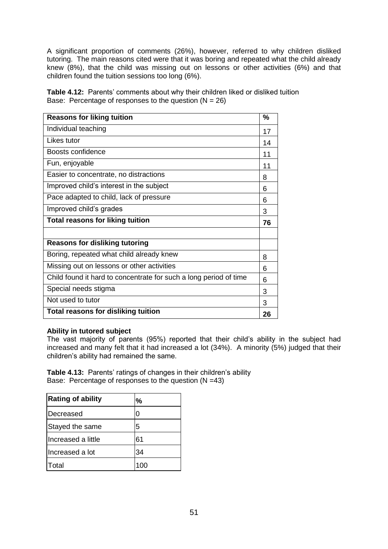A significant proportion of comments (26%), however, referred to why children disliked tutoring. The main reasons cited were that it was boring and repeated what the child already knew (8%), that the child was missing out on lessons or other activities (6%) and that children found the tuition sessions too long (6%).

Table 4.12: Parents' comments about why their children liked or disliked tuition Base: Percentage of responses to the question  $(N = 26)$ 

| <b>Reasons for liking tuition</b>                                 | $\frac{0}{0}$ |
|-------------------------------------------------------------------|---------------|
| Individual teaching                                               | 17            |
| Likes tutor                                                       | 14            |
| Boosts confidence                                                 | 11            |
| Fun, enjoyable                                                    | 11            |
| Easier to concentrate, no distractions                            | 8             |
| Improved child's interest in the subject                          | 6             |
| Pace adapted to child, lack of pressure                           | 6             |
| Improved child's grades                                           | 3             |
| <b>Total reasons for liking tuition</b>                           | 76            |
|                                                                   |               |
| <b>Reasons for disliking tutoring</b>                             |               |
| Boring, repeated what child already knew                          | 8             |
| Missing out on lessons or other activities                        | 6             |
| Child found it hard to concentrate for such a long period of time | 6             |
| Special needs stigma                                              | 3             |
| Not used to tutor                                                 | 3             |
| Total reasons for disliking tuition                               | 26            |

### **Ability in tutored subject**

The vast majority of parents (95%) reported that their child"s ability in the subject had increased and many felt that it had increased a lot (34%). A minority (5%) judged that their children"s ability had remained the same.

**Table 4.13:** Parents' ratings of changes in their children's ability Base: Percentage of responses to the question (N =43)

| <b>Rating of ability</b> | %   |
|--------------------------|-----|
| Decreased                | 0   |
| Stayed the same          | 5   |
| Increased a little       | 61  |
| Increased a lot          | 34  |
| Total                    | 100 |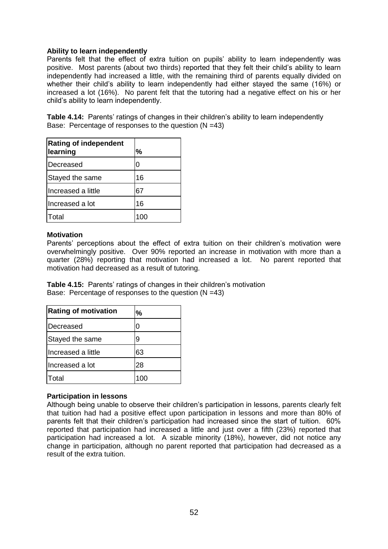### **Ability to learn independently**

Parents felt that the effect of extra tuition on pupils' ability to learn independently was positive. Most parents (about two thirds) reported that they felt their child"s ability to learn independently had increased a little, with the remaining third of parents equally divided on whether their child's ability to learn independently had either stayed the same (16%) or increased a lot (16%). No parent felt that the tutoring had a negative effect on his or her child"s ability to learn independently.

**Table 4.14:** Parents' ratings of changes in their children's ability to learn independently Base: Percentage of responses to the question (N =43)

| <b>Rating of independent</b><br>learning | %  |
|------------------------------------------|----|
| Decreased                                | 0  |
| Stayed the same                          | 16 |
| Ilncreased a little                      | 67 |
| Increased a lot                          | 16 |
| Total                                    |    |

### **Motivation**

Parents" perceptions about the effect of extra tuition on their children"s motivation were overwhelmingly positive. Over 90% reported an increase in motivation with more than a quarter (28%) reporting that motivation had increased a lot. No parent reported that motivation had decreased as a result of tutoring.

**Table 4.15:** Parents' ratings of changes in their children's motivation Base: Percentage of responses to the question (N =43)

| <b>Rating of motivation</b> | %  |
|-----------------------------|----|
| Decreased                   | 0  |
| Stayed the same             | 9  |
| Increased a little          | 63 |
| Increased a lot             | 28 |
| Total                       |    |

### **Participation in lessons**

Although being unable to observe their children"s participation in lessons, parents clearly felt that tuition had had a positive effect upon participation in lessons and more than 80% of parents felt that their children"s participation had increased since the start of tuition. 60% reported that participation had increased a little and just over a fifth (23%) reported that participation had increased a lot. A sizable minority (18%), however, did not notice any change in participation, although no parent reported that participation had decreased as a result of the extra tuition.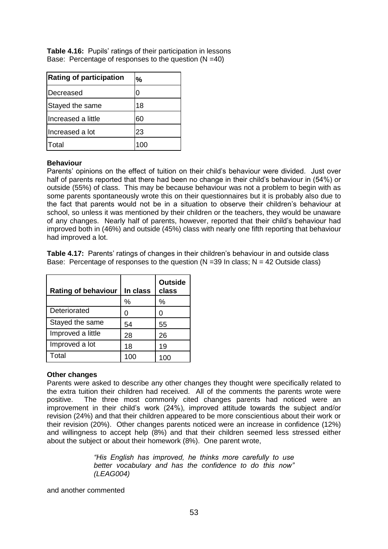| <b>Rating of participation</b> | %  |
|--------------------------------|----|
| Decreased                      | 0  |
| Stayed the same                | 18 |
| Increased a little             | 60 |
| Increased a lot                | 23 |
| lTotal                         |    |

**Table 4.16:** Pupils' ratings of their participation in lessons Base: Percentage of responses to the question (N =40)

### **Behaviour**

Parents" opinions on the effect of tuition on their child"s behaviour were divided. Just over half of parents reported that there had been no change in their child's behaviour in (54%) or outside (55%) of class. This may be because behaviour was not a problem to begin with as some parents spontaneously wrote this on their questionnaires but it is probably also due to the fact that parents would not be in a situation to observe their children"s behaviour at school, so unless it was mentioned by their children or the teachers, they would be unaware of any changes. Nearly half of parents, however, reported that their child"s behaviour had improved both in (46%) and outside (45%) class with nearly one fifth reporting that behaviour had improved a lot.

**Table 4.17:** Parents' ratings of changes in their children's behaviour in and outside class Base: Percentage of responses to the question  $(N = 39 \text{ In class}; N = 42 \text{ Outside class})$ 

| <b>Rating of behaviour</b> | In class | <b>Outside</b><br>class |
|----------------------------|----------|-------------------------|
|                            | %        | ℅                       |
| Deteriorated               | O        | 0                       |
| Stayed the same            | 54       | 55                      |
| Improved a little          | 28       | 26                      |
| Improved a lot             | 18       | 19                      |
| Total                      | 100      | 100                     |

### **Other changes**

Parents were asked to describe any other changes they thought were specifically related to the extra tuition their children had received. All of the comments the parents wrote were positive. The three most commonly cited changes parents had noticed were an improvement in their child"s work (24%), improved attitude towards the subject and/or revision (24%) and that their children appeared to be more conscientious about their work or their revision (20%). Other changes parents noticed were an increase in confidence (12%) and willingness to accept help (8%) and that their children seemed less stressed either about the subject or about their homework (8%). One parent wrote,

> *"His English has improved, he thinks more carefully to use better vocabulary and has the confidence to do this now" (LEAG004)*

and another commented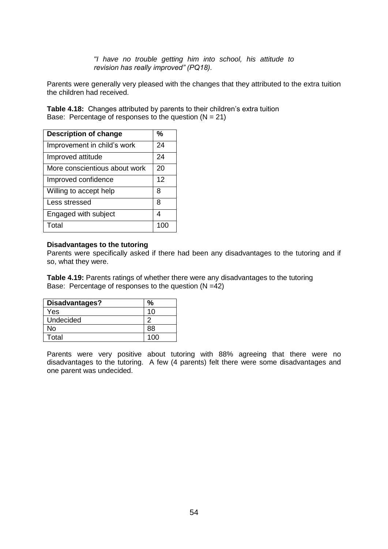*"I have no trouble getting him into school, his attitude to revision has really improved" (PQ18).*

Parents were generally very pleased with the changes that they attributed to the extra tuition the children had received.

**Table 4.18:** Changes attributed by parents to their children"s extra tuition Base: Percentage of responses to the question  $(N = 21)$ 

| <b>Description of change</b>  | %   |
|-------------------------------|-----|
| Improvement in child's work   | 24  |
| Improved attitude             | 24  |
| More conscientious about work | 20  |
| Improved confidence           | 12  |
| Willing to accept help        | 8   |
| Less stressed                 | 8   |
| Engaged with subject          | Δ   |
| Total                         | 100 |

### **Disadvantages to the tutoring**

Parents were specifically asked if there had been any disadvantages to the tutoring and if so, what they were.

**Table 4.19:** Parents ratings of whether there were any disadvantages to the tutoring Base: Percentage of responses to the question (N =42)

| Disadvantages? |     |
|----------------|-----|
| Yes            | 10  |
| Undecided      |     |
| No             | 88  |
| Total          | 1ሰሰ |

Parents were very positive about tutoring with 88% agreeing that there were no disadvantages to the tutoring. A few (4 parents) felt there were some disadvantages and one parent was undecided.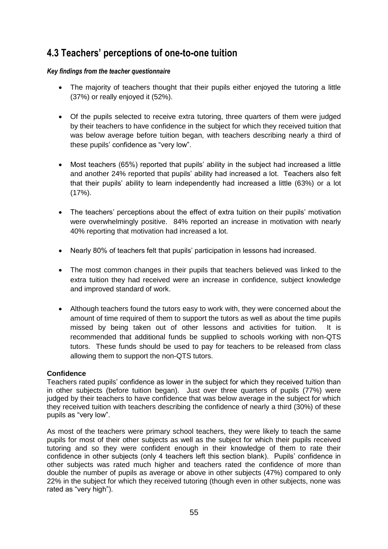# **4.3 Teachers' perceptions of one-to-one tuition**

# *Key findings from the teacher questionnaire*

- The majority of teachers thought that their pupils either enjoyed the tutoring a little (37%) or really enjoyed it (52%).
- Of the pupils selected to receive extra tutoring, three quarters of them were judged by their teachers to have confidence in the subject for which they received tuition that was below average before tuition began, with teachers describing nearly a third of these pupils" confidence as "very low".
- Most teachers (65%) reported that pupils' ability in the subject had increased a little and another 24% reported that pupils" ability had increased a lot. Teachers also felt that their pupils" ability to learn independently had increased a little (63%) or a lot (17%).
- The teachers' perceptions about the effect of extra tuition on their pupils' motivation were overwhelmingly positive. 84% reported an increase in motivation with nearly 40% reporting that motivation had increased a lot.
- Nearly 80% of teachers felt that pupils' participation in lessons had increased.
- The most common changes in their pupils that teachers believed was linked to the extra tuition they had received were an increase in confidence, subject knowledge and improved standard of work.
- Although teachers found the tutors easy to work with, they were concerned about the amount of time required of them to support the tutors as well as about the time pupils missed by being taken out of other lessons and activities for tuition. It is recommended that additional funds be supplied to schools working with non-QTS tutors. These funds should be used to pay for teachers to be released from class allowing them to support the non-QTS tutors.

# **Confidence**

Teachers rated pupils" confidence as lower in the subject for which they received tuition than in other subjects (before tuition began). Just over three quarters of pupils (77%) were judged by their teachers to have confidence that was below average in the subject for which they received tuition with teachers describing the confidence of nearly a third (30%) of these pupils as "very low".

As most of the teachers were primary school teachers, they were likely to teach the same pupils for most of their other subjects as well as the subject for which their pupils received tutoring and so they were confident enough in their knowledge of them to rate their confidence in other subjects (only 4 teachers left this section blank). Pupils" confidence in other subjects was rated much higher and teachers rated the confidence of more than double the number of pupils as average or above in other subjects (47%) compared to only 22% in the subject for which they received tutoring (though even in other subjects, none was rated as "very high").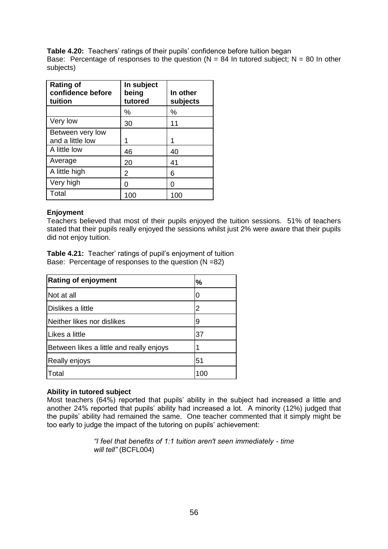**Table 4.20:** Teachers' ratings of their pupils' confidence before tuition began Base: Percentage of responses to the question ( $N = 84$  In tutored subject;  $N = 80$  In other subjects)

| <b>Rating of</b><br>confidence before<br>tuition | In subject<br>being<br>tutored | In other<br>subjects |
|--------------------------------------------------|--------------------------------|----------------------|
|                                                  | ℅                              | $\%$                 |
| Very low                                         | 30                             | 11                   |
| Between very low<br>and a little low             |                                |                      |
| A little low                                     | 46                             | 40                   |
| Average                                          | 20                             | 41                   |
| A little high                                    | 2                              | 6                    |
| Very high                                        | O                              | O                    |
| Total                                            | 100                            | 100                  |

# **Enjoyment**

Teachers believed that most of their pupils enjoyed the tuition sessions. 51% of teachers stated that their pupils really enjoyed the sessions whilst just 2% were aware that their pupils did not enjoy tuition.

**Table 4.21:** Teacher' ratings of pupil's enjoyment of tuition Base: Percentage of responses to the question (N =82)

| <b>Rating of enjoyment</b>               | %  |
|------------------------------------------|----|
| Not at all                               | 0  |
| <b>Dislikes a little</b>                 | 2  |
| Neither likes nor dislikes               | 9  |
| Likes a little                           | 37 |
| Between likes a little and really enjoys |    |
| Really enjoys                            | 51 |
| <b>Total</b>                             |    |

### **Ability in tutored subject**

Most teachers (64%) reported that pupils" ability in the subject had increased a little and another 24% reported that pupils" ability had increased a lot. A minority (12%) judged that the pupils" ability had remained the same. One teacher commented that it simply might be too early to judge the impact of the tutoring on pupils' achievement:

> *"I feel that benefits of 1:1 tuition aren't seen immediately - time will tell"* (BCFL004)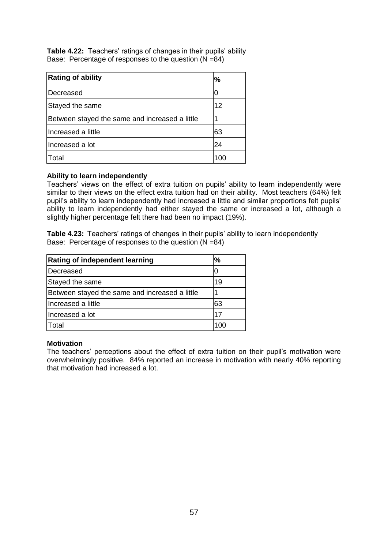**Table 4.22:** Teachers' ratings of changes in their pupils' ability Base: Percentage of responses to the question (N =84)

| <b>Rating of ability</b>                       | %   |
|------------------------------------------------|-----|
| Decreased                                      |     |
| Stayed the same                                | 12  |
| Between stayed the same and increased a little |     |
| Increased a little                             | 63  |
| Increased a lot                                | 24  |
| Γotal                                          | 10C |

# **Ability to learn independently**

Teachers' views on the effect of extra tuition on pupils' ability to learn independently were similar to their views on the effect extra tuition had on their ability. Most teachers (64%) felt pupil's ability to learn independently had increased a little and similar proportions felt pupils' ability to learn independently had either stayed the same or increased a lot, although a slightly higher percentage felt there had been no impact (19%).

**Table 4.23:** Teachers' ratings of changes in their pupils' ability to learn independently Base: Percentage of responses to the question (N =84)

| <b>Rating of independent learning</b>          | $\frac{0}{0}$ |
|------------------------------------------------|---------------|
| Decreased                                      |               |
| Stayed the same                                | 19            |
| Between stayed the same and increased a little |               |
| Increased a little                             | 63            |
| Increased a lot                                | 17            |
| Total                                          | 100           |

### **Motivation**

The teachers' perceptions about the effect of extra tuition on their pupil's motivation were overwhelmingly positive. 84% reported an increase in motivation with nearly 40% reporting that motivation had increased a lot.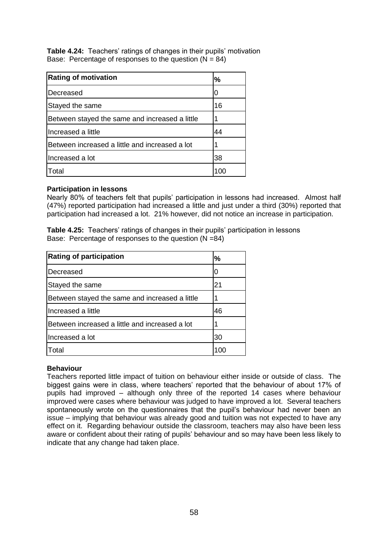**Table 4.24:** Teachers' ratings of changes in their pupils' motivation Base: Percentage of responses to the question  $(N = 84)$ 

| <b>Rating of motivation</b>                    | $\frac{0}{0}$ |
|------------------------------------------------|---------------|
| Decreased                                      |               |
| Stayed the same                                | 16            |
| Between stayed the same and increased a little |               |
| Increased a little                             | 44            |
| Between increased a little and increased a lot |               |
| Increased a lot                                | 38            |
| Total                                          |               |

### **Participation in lessons**

Nearly 80% of teachers felt that pupils" participation in lessons had increased. Almost half (47%) reported participation had increased a little and just under a third (30%) reported that participation had increased a lot. 21% however, did not notice an increase in participation.

**Table 4.25:** Teachers' ratings of changes in their pupils' participation in lessons Base: Percentage of responses to the question (N =84)

| <b>Rating of participation</b>                 | $\frac{9}{6}$ |
|------------------------------------------------|---------------|
| Decreased                                      |               |
| Stayed the same                                | 21            |
| Between stayed the same and increased a little |               |
| Increased a little                             | 46            |
| Between increased a little and increased a lot |               |
| Increased a lot                                | 30            |
| Total                                          |               |

### **Behaviour**

Teachers reported little impact of tuition on behaviour either inside or outside of class. The biggest gains were in class, where teachers" reported that the behaviour of about 17% of pupils had improved – although only three of the reported 14 cases where behaviour improved were cases where behaviour was judged to have improved a lot. Several teachers spontaneously wrote on the questionnaires that the pupil"s behaviour had never been an issue – implying that behaviour was already good and tuition was not expected to have any effect on it. Regarding behaviour outside the classroom, teachers may also have been less aware or confident about their rating of pupils" behaviour and so may have been less likely to indicate that any change had taken place.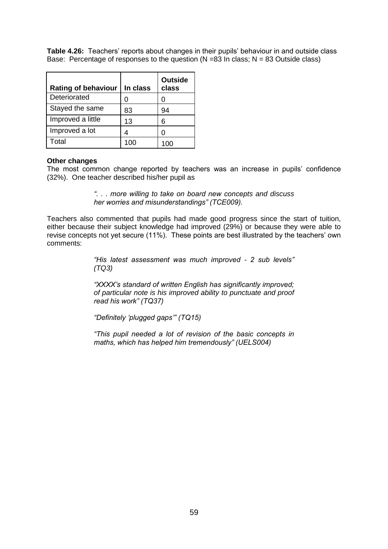**Table 4.26:** Teachers' reports about changes in their pupils' behaviour in and outside class Base: Percentage of responses to the question  $(N = 83 \text{ In class}; N = 83 \text{ Outside class})$ 

| <b>Rating of behaviour</b> | In class | <b>Outside</b><br>class |
|----------------------------|----------|-------------------------|
| Deteriorated               |          |                         |
| Stayed the same            | 83       | 94                      |
| Improved a little          | 13       | 6                       |
| Improved a lot             |          |                         |
| Total                      |          |                         |

### **Other changes**

The most common change reported by teachers was an increase in pupils" confidence (32%). One teacher described his/her pupil as

> *". . . more willing to take on board new concepts and discuss her worries and misunderstandings" (TCE009).*

Teachers also commented that pupils had made good progress since the start of tuition, either because their subject knowledge had improved (29%) or because they were able to revise concepts not yet secure (11%). These points are best illustrated by the teachers" own comments:

> *"His latest assessment was much improved - 2 sub levels" (TQ3)*

> *"XXXX"s standard of written English has significantly improved; of particular note is his improved ability to punctuate and proof read his work" (TQ37)*

*"Definitely "plugged gaps"" (TQ15)*

*"This pupil needed a lot of revision of the basic concepts in maths, which has helped him tremendously" (UELS004)*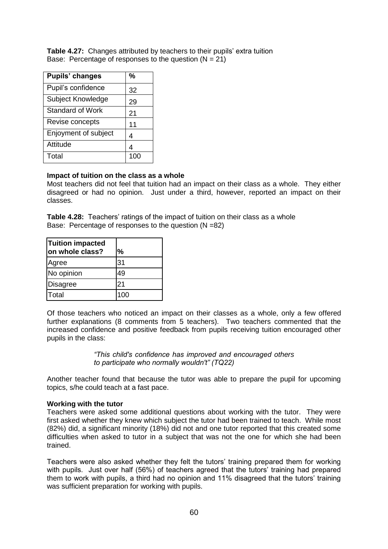Table 4.27: Changes attributed by teachers to their pupils' extra tuition Base: Percentage of responses to the question  $(N = 21)$ 

| Pupils' changes      | %   |
|----------------------|-----|
| Pupil's confidence   | 32  |
| Subject Knowledge    | 29  |
| Standard of Work     | 21  |
| Revise concepts      | 11  |
| Enjoyment of subject | 4   |
| Attitude             | Δ   |
| Total                | 100 |

### **Impact of tuition on the class as a whole**

Most teachers did not feel that tuition had an impact on their class as a whole. They either disagreed or had no opinion. Just under a third, however, reported an impact on their classes.

**Table 4.28:** Teachers' ratings of the impact of tuition on their class as a whole Base: Percentage of responses to the question (N =82)

| <b>Tuition impacted</b><br>on whole class? | %   |
|--------------------------------------------|-----|
| Agree                                      | 31  |
| No opinion                                 | 49  |
| Disagree                                   | 21  |
| Total                                      | 100 |

Of those teachers who noticed an impact on their classes as a whole, only a few offered further explanations (8 comments from 5 teachers). Two teachers commented that the increased confidence and positive feedback from pupils receiving tuition encouraged other pupils in the class:

> *"This child's confidence has improved and encouraged others to participate who normally wouldn't" (TQ22)*

Another teacher found that because the tutor was able to prepare the pupil for upcoming topics, s/he could teach at a fast pace.

### **Working with the tutor**

Teachers were asked some additional questions about working with the tutor. They were first asked whether they knew which subject the tutor had been trained to teach. While most (82%) did, a significant minority (18%) did not and one tutor reported that this created some difficulties when asked to tutor in a subject that was not the one for which she had been trained.

Teachers were also asked whether they felt the tutors" training prepared them for working with pupils. Just over half (56%) of teachers agreed that the tutors' training had prepared them to work with pupils, a third had no opinion and 11% disagreed that the tutors" training was sufficient preparation for working with pupils.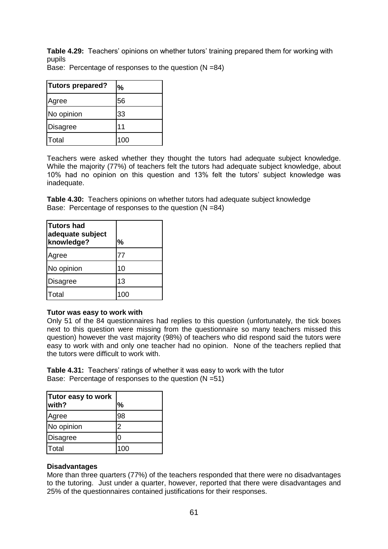**Table 4.29:** Teachers' opinions on whether tutors' training prepared them for working with pupils

Base: Percentage of responses to the question  $(N = 84)$ 

| Tutors prepared? | %   |
|------------------|-----|
| Agree            | 56  |
| No opinion       | 33  |
| Disagree         | 11  |
| <b>Total</b>     | 100 |

Teachers were asked whether they thought the tutors had adequate subject knowledge. While the majority (77%) of teachers felt the tutors had adequate subject knowledge, about 10% had no opinion on this question and 13% felt the tutors" subject knowledge was inadequate.

**Table 4.30:** Teachers opinions on whether tutors had adequate subject knowledge Base: Percentage of responses to the question (N =84)

| <b>Tutors had</b><br>adequate subject<br>knowledge? | $\frac{0}{0}$ |
|-----------------------------------------------------|---------------|
| Agree                                               | 77            |
| No opinion                                          | 10            |
| Disagree                                            | 13            |
| Total                                               | 100           |

### **Tutor was easy to work with**

Only 51 of the 84 questionnaires had replies to this question (unfortunately, the tick boxes next to this question were missing from the questionnaire so many teachers missed this question) however the vast majority (98%) of teachers who did respond said the tutors were easy to work with and only one teacher had no opinion. None of the teachers replied that the tutors were difficult to work with.

**Table 4.31:** Teachers' ratings of whether it was easy to work with the tutor Base: Percentage of responses to the question (N =51)

| Tutor easy to work<br>with? | %   |
|-----------------------------|-----|
| Agree                       | 98  |
| No opinion                  | 2   |
| Disagree                    |     |
| <b>Total</b>                | 100 |

### **Disadvantages**

More than three quarters (77%) of the teachers responded that there were no disadvantages to the tutoring. Just under a quarter, however, reported that there were disadvantages and 25% of the questionnaires contained justifications for their responses.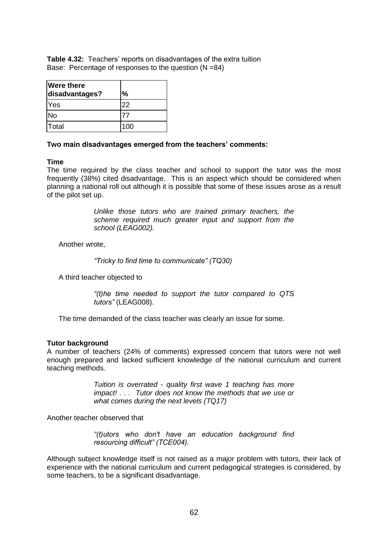**Table 4.32:** Teachers' reports on disadvantages of the extra tuition Base: Percentage of responses to the question (N =84)

| <b>Were there</b><br>disadvantages? | %   |
|-------------------------------------|-----|
| Yes                                 | 22  |
| <b>No</b>                           |     |
| lTotal                              | 100 |

### **Two main disadvantages emerged from the teachers' comments:**

### **Time**

The time required by the class teacher and school to support the tutor was the most frequently (38%) cited disadvantage. This is an aspect which should be considered when planning a national roll out although it is possible that some of these issues arose as a result of the pilot set up.

> *Unlike those tutors who are trained primary teachers, the scheme required much greater input and support from the school (LEAG002).*

Another wrote,

*"Tricky to find time to communicate" (TQ30)*

A third teacher objected to

*"(t)he time needed to support the tutor compared to QTS tutors"* (LEAG008).

The time demanded of the class teacher was clearly an issue for some.

### **Tutor background**

A number of teachers (24% of comments) expressed concern that tutors were not well enough prepared and lacked sufficient knowledge of the national curriculum and current teaching methods.

> *Tuition is overrated - quality first wave 1 teaching has more impact! . . . Tutor does not know the methods that we use or what comes during the next levels (TQ17)*

Another teacher observed that

*"(t)utors who don't have an education background find resourcing difficult" (TCE004).*

Although subject knowledge itself is not raised as a major problem with tutors, their lack of experience with the national curriculum and current pedagogical strategies is considered, by some teachers, to be a significant disadvantage.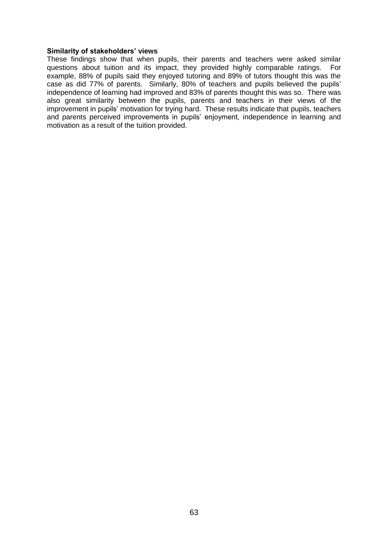#### **Similarity of stakeholders' views**

These findings show that when pupils, their parents and teachers were asked similar questions about tuition and its impact, they provided highly comparable ratings. For example, 88% of pupils said they enjoyed tutoring and 89% of tutors thought this was the case as did 77% of parents. Similarly, 80% of teachers and pupils believed the pupils' independence of learning had improved and 83% of parents thought this was so. There was also great similarity between the pupils, parents and teachers in their views of the improvement in pupils' motivation for trying hard. These results indicate that pupils, teachers and parents perceived improvements in pupils" enjoyment, independence in learning and motivation as a result of the tuition provided.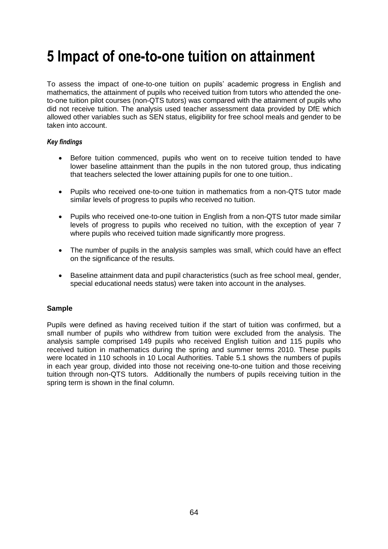# **5 Impact of one-to-one tuition on attainment**

To assess the impact of one-to-one tuition on pupils" academic progress in English and mathematics, the attainment of pupils who received tuition from tutors who attended the oneto-one tuition pilot courses (non-QTS tutors) was compared with the attainment of pupils who did not receive tuition. The analysis used teacher assessment data provided by DfE which allowed other variables such as SEN status, eligibility for free school meals and gender to be taken into account.

### *Key findings*

- Before tuition commenced, pupils who went on to receive tuition tended to have lower baseline attainment than the pupils in the non tutored group, thus indicating that teachers selected the lower attaining pupils for one to one tuition..
- Pupils who received one-to-one tuition in mathematics from a non-QTS tutor made similar levels of progress to pupils who received no tuition.
- Pupils who received one-to-one tuition in English from a non-QTS tutor made similar levels of progress to pupils who received no tuition, with the exception of year 7 where pupils who received tuition made significantly more progress.
- The number of pupils in the analysis samples was small, which could have an effect on the significance of the results.
- Baseline attainment data and pupil characteristics (such as free school meal, gender, special educational needs status) were taken into account in the analyses.

### **Sample**

Pupils were defined as having received tuition if the start of tuition was confirmed, but a small number of pupils who withdrew from tuition were excluded from the analysis. The analysis sample comprised 149 pupils who received English tuition and 115 pupils who received tuition in mathematics during the spring and summer terms 2010. These pupils were located in 110 schools in 10 Local Authorities. Table 5.1 shows the numbers of pupils in each year group, divided into those not receiving one-to-one tuition and those receiving tuition through non-QTS tutors. Additionally the numbers of pupils receiving tuition in the spring term is shown in the final column.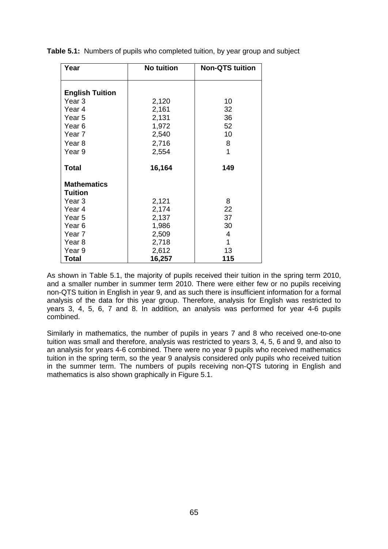| Year                                 | <b>No tuition</b> | <b>Non-QTS tuition</b> |
|--------------------------------------|-------------------|------------------------|
|                                      |                   |                        |
| <b>English Tuition</b>               |                   |                        |
| Year <sub>3</sub>                    | 2,120             | 10                     |
| Year <sub>4</sub>                    | 2,161             | 32                     |
| Year 5                               | 2,131             | 36                     |
| Year <sub>6</sub>                    | 1,972             | 52                     |
| Year <sub>7</sub>                    | 2,540             | 10                     |
| Year <sub>8</sub>                    | 2,716             | 8                      |
| Year 9                               | 2,554             | 1                      |
|                                      |                   |                        |
| <b>Total</b>                         | 16,164            | 149                    |
|                                      |                   |                        |
| <b>Mathematics</b><br><b>Tuition</b> |                   |                        |
|                                      |                   |                        |
| Year <sub>3</sub><br>Year 4          | 2,121             | 8<br>22                |
| Year 5                               | 2,174<br>2,137    | 37                     |
| Year 6                               | 1,986             | 30                     |
| Year <sub>7</sub>                    | 2,509             | 4                      |
| Year <sub>8</sub>                    | 2,718             | 1                      |
| Year 9                               | 2,612             | 13                     |
| <b>Total</b>                         | 16,257            | 115                    |

**Table 5.1:** Numbers of pupils who completed tuition, by year group and subject

As shown in Table 5.1, the majority of pupils received their tuition in the spring term 2010, and a smaller number in summer term 2010. There were either few or no pupils receiving non-QTS tuition in English in year 9, and as such there is insufficient information for a formal analysis of the data for this year group. Therefore, analysis for English was restricted to years 3, 4, 5, 6, 7 and 8. In addition, an analysis was performed for year 4-6 pupils combined.

Similarly in mathematics, the number of pupils in years 7 and 8 who received one-to-one tuition was small and therefore, analysis was restricted to years 3, 4, 5, 6 and 9, and also to an analysis for years 4-6 combined. There were no year 9 pupils who received mathematics tuition in the spring term, so the year 9 analysis considered only pupils who received tuition in the summer term. The numbers of pupils receiving non-QTS tutoring in English and mathematics is also shown graphically in Figure 5.1.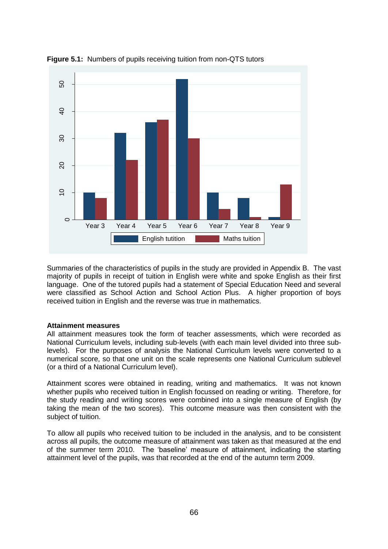

**Figure 5.1:** Numbers of pupils receiving tuition from non-QTS tutors

Summaries of the characteristics of pupils in the study are provided in Appendix B. The vast majority of pupils in receipt of tuition in English were white and spoke English as their first language. One of the tutored pupils had a statement of Special Education Need and several were classified as School Action and School Action Plus. A higher proportion of boys received tuition in English and the reverse was true in mathematics.

### **Attainment measures**

All attainment measures took the form of teacher assessments, which were recorded as National Curriculum levels, including sub-levels (with each main level divided into three sublevels). For the purposes of analysis the National Curriculum levels were converted to a numerical score, so that one unit on the scale represents one National Curriculum sublevel (or a third of a National Curriculum level).

Attainment scores were obtained in reading, writing and mathematics. It was not known whether pupils who received tuition in English focussed on reading or writing. Therefore, for the study reading and writing scores were combined into a single measure of English (by taking the mean of the two scores). This outcome measure was then consistent with the subject of tuition.

To allow all pupils who received tuition to be included in the analysis, and to be consistent across all pupils, the outcome measure of attainment was taken as that measured at the end of the summer term 2010. The "baseline" measure of attainment, indicating the starting attainment level of the pupils, was that recorded at the end of the autumn term 2009.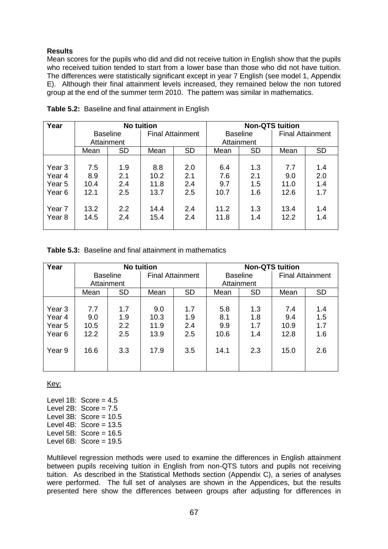## **Results**

Mean scores for the pupils who did and did not receive tuition in English show that the pupils who received tuition tended to start from a lower base than those who did not have tuition. The differences were statistically significant except in year 7 English (see model 1, Appendix E). Although their final attainment levels increased, they remained below the non tutored group at the end of the summer term 2010. The pattern was similar in mathematics.

| Year              | <b>No tuition</b> |                 |                         | <b>Non-QTS tuition</b> |                 |           |                         |           |
|-------------------|-------------------|-----------------|-------------------------|------------------------|-----------------|-----------|-------------------------|-----------|
|                   |                   | <b>Baseline</b> | <b>Final Attainment</b> |                        | <b>Baseline</b> |           | <b>Final Attainment</b> |           |
|                   |                   | Attainment      |                         |                        | Attainment      |           |                         |           |
|                   | Mean              | <b>SD</b>       | Mean                    | <b>SD</b>              | Mean            | <b>SD</b> | Mean                    | <b>SD</b> |
|                   |                   |                 |                         |                        |                 |           |                         |           |
| Year 3            | 7.5               | 1.9             | 8.8                     | 2.0                    | 6.4             | 1.3       | 7.7                     | 1.4       |
| Year 4            | 8.9               | 2.1             | 10.2                    | 2.1                    | 7.6             | 2.1       | 9.0                     | 2.0       |
| Year 5            | 10.4              | 2.4             | 11.8                    | 2.4                    | 9.7             | 1.5       | 11.0                    | 1.4       |
| Year 6            | 12.1              | 2.5             | 13.7                    | 2.5                    | 10.7            | 1.6       | 12.6                    | 1.7       |
|                   |                   |                 |                         |                        |                 |           |                         |           |
| Year 7            | 13.2              | 2.2             | 14.4                    | 2.4                    | 11.2            | 1.3       | 13.4                    | 1.4       |
| Year <sub>8</sub> | 14.5              | 2.4             | 15.4                    | 2.4                    | 11.8            | 1.4       | 12.2                    | 1.4       |
|                   |                   |                 |                         |                        |                 |           |                         |           |

**Table 5.2:** Baseline and final attainment in English

**Table 5.3:** Baseline and final attainment in mathematics

| Year   | <b>No tuition</b> |                  |                         | <b>Non-QTS tuition</b> |                 |           |                         |           |
|--------|-------------------|------------------|-------------------------|------------------------|-----------------|-----------|-------------------------|-----------|
|        |                   | <b>Baseline</b>  | <b>Final Attainment</b> |                        | <b>Baseline</b> |           | <b>Final Attainment</b> |           |
|        |                   | Attainment       |                         |                        | Attainment      |           |                         |           |
|        | Mean              | <b>SD</b>        | Mean                    | <b>SD</b>              | Mean            | <b>SD</b> | Mean                    | <b>SD</b> |
|        |                   |                  |                         |                        |                 |           |                         |           |
| Year 3 | 7.7               | 1.7              | 9.0                     | 1.7                    | 5.8             | 1.3       | 7.4                     | 1.4       |
| Year 4 | 9.0               | 1.9              | 10.3                    | 1.9                    | 8.1             | 1.8       | 9.4                     | 1.5       |
| Year 5 | 10.5              | $2.2\phantom{0}$ | 11.9                    | 2.4                    | 9.9             | 1.7       | 10.9                    | 1.7       |
| Year 6 | 12.2              | 2.5              | 13.9                    | 2.5                    | 10.6            | 1.4       | 12.8                    | 1.6       |
|        |                   |                  |                         |                        |                 |           |                         |           |
| Year 9 | 16.6              | 3.3              | 17.9                    | 3.5                    | 14.1            | 2.3       | 15.0                    | 2.6       |
|        |                   |                  |                         |                        |                 |           |                         |           |
|        |                   |                  |                         |                        |                 |           |                         |           |

Key:

Level  $1B$ : Score =  $4.5$ Level  $2B$ : Score =  $7.5$ Level  $3B$ : Score =  $10.5$ Level  $4B$ : Score =  $13.5$ Level 5B:  $Score = 16.5$ Level  $6B$ : Score = 19.5

Multilevel regression methods were used to examine the differences in English attainment between pupils receiving tuition in English from non-QTS tutors and pupils not receiving tuition. As described in the Statistical Methods section (Appendix C), a series of analyses were performed. The full set of analyses are shown in the Appendices, but the results presented here show the differences between groups after adjusting for differences in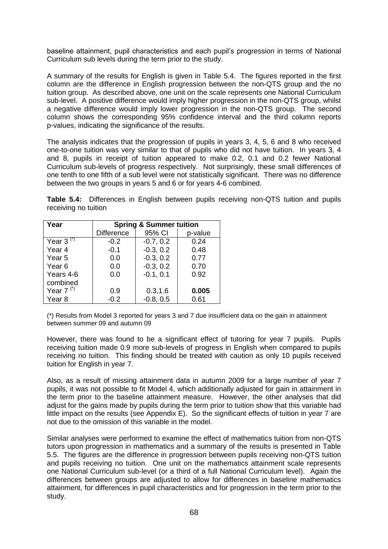baseline attainment, pupil characteristics and each pupil"s progression in terms of National Curriculum sub levels during the term prior to the study.

A summary of the results for English is given in Table 5.4. The figures reported in the first column are the difference in English progression between the non-QTS group and the no tuition group. As described above, one unit on the scale represents one National Curriculum sub-level. A positive difference would imply higher progression in the non-QTS group, whilst a negative difference would imply lower progression in the non-QTS group. The second column shows the corresponding 95% confidence interval and the third column reports p-values, indicating the significance of the results.

The analysis indicates that the progression of pupils in years 3, 4, 5, 6 and 8 who received one-to-one tuition was very similar to that of pupils who did not have tuition. In years 3, 4 and 8, pupils in receipt of tuition appeared to make 0.2, 0.1 and 0.2 fewer National Curriculum sub-levels of progress respectively. Not surprisingly, these small differences of one tenth to one fifth of a sub level were not statistically significant. There was no difference between the two groups in years 5 and 6 or for years 4-6 combined.

**Table 5.4:** Differences in English between pupils receiving non-QTS tuition and pupils receiving no tuition

| Year              | <b>Spring &amp; Summer tuition</b> |             |         |  |  |  |  |
|-------------------|------------------------------------|-------------|---------|--|--|--|--|
|                   | <b>Difference</b>                  | 95% CI      | p-value |  |  |  |  |
| Year 3 $(*)$      | $-0.2$                             | $-0.7, 0.2$ | 0.24    |  |  |  |  |
| Year 4            | $-0.1$                             | $-0.3, 0.2$ | 0.48    |  |  |  |  |
| Year 5            | 0.0                                | $-0.3, 0.2$ | 0.77    |  |  |  |  |
| Year <sub>6</sub> | 0.0                                | $-0.3, 0.2$ | 0.70    |  |  |  |  |
| Years 4-6         | 0.0                                | $-0.1, 0.1$ | 0.92    |  |  |  |  |
| combined          |                                    |             |         |  |  |  |  |
| Year $7^{(*)}$    | 0.9                                | 0.3, 1.6    | 0.005   |  |  |  |  |
| Year 8            | $-0.2$                             | $-0.8, 0.5$ | 0.61    |  |  |  |  |

(\*) Results from Model 3 reported for years 3 and 7 due insufficient data on the gain in attainment between summer 09 and autumn 09

However, there was found to be a significant effect of tutoring for year 7 pupils. Pupils receiving tuition made 0.9 more sub-levels of progress in English when compared to pupils receiving no tuition. This finding should be treated with caution as only 10 pupils received tuition for English in year 7.

Also, as a result of missing attainment data in autumn 2009 for a large number of year 7 pupils, it was not possible to fit Model 4, which additionally adjusted for gain in attainment in the term prior to the baseline attainment measure. However, the other analyses that did adjust for the gains made by pupils during the term prior to tuition show that this variable had little impact on the results (see Appendix E). So the significant effects of tuition in year 7 are not due to the omission of this variable in the model.

Similar analyses were performed to examine the effect of mathematics tuition from non-QTS tutors upon progression in mathematics and a summary of the results is presented in Table 5.5. The figures are the difference in progression between pupils receiving non-QTS tuition and pupils receiving no tuition. One unit on the mathematics attainment scale represents one National Curriculum sub-level (or a third of a full National Curriculum level). Again the differences between groups are adjusted to allow for differences in baseline mathematics attainment, for differences in pupil characteristics and for progression in the term prior to the study.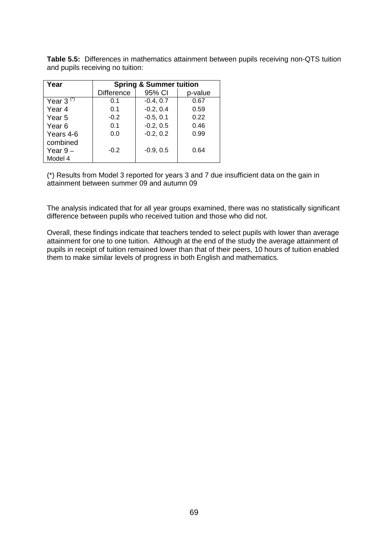| Year              | <b>Spring &amp; Summer tuition</b> |             |         |
|-------------------|------------------------------------|-------------|---------|
|                   | <b>Difference</b>                  | 95% CI      | p-value |
| Year $3^{(7)}$    | 0.1                                | $-0.4, 0.7$ | 0.67    |
| Year <sub>4</sub> | 0.1                                | $-0.2, 0.4$ | 0.59    |
| Year <sub>5</sub> | $-0.2$                             | $-0.5, 0.1$ | 0.22    |
| Year <sub>6</sub> | 0.1                                | $-0.2, 0.5$ | 0.46    |
| Years 4-6         | 0.0                                | $-0.2, 0.2$ | 0.99    |
| combined          |                                    |             |         |
| Year $9-$         | $-0.2$                             | $-0.9, 0.5$ | 0.64    |
| Model 4           |                                    |             |         |

**Table 5.5:** Differences in mathematics attainment between pupils receiving non-QTS tuition and pupils receiving no tuition:

(\*) Results from Model 3 reported for years 3 and 7 due insufficient data on the gain in attainment between summer 09 and autumn 09

The analysis indicated that for all year groups examined, there was no statistically significant difference between pupils who received tuition and those who did not.

Overall, these findings indicate that teachers tended to select pupils with lower than average attainment for one to one tuition. Although at the end of the study the average attainment of pupils in receipt of tuition remained lower than that of their peers, 10 hours of tuition enabled them to make similar levels of progress in both English and mathematics.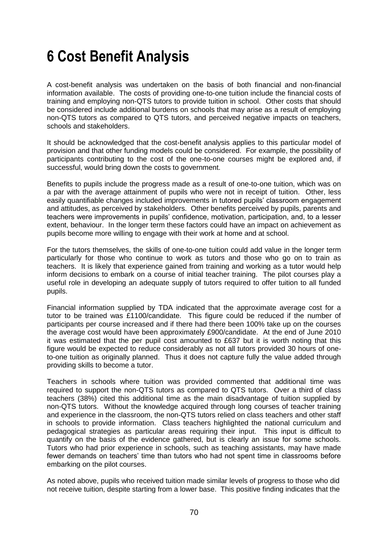# **6 Cost Benefit Analysis**

A cost-benefit analysis was undertaken on the basis of both financial and non-financial information available. The costs of providing one-to-one tuition include the financial costs of training and employing non-QTS tutors to provide tuition in school. Other costs that should be considered include additional burdens on schools that may arise as a result of employing non-QTS tutors as compared to QTS tutors, and perceived negative impacts on teachers, schools and stakeholders.

It should be acknowledged that the cost-benefit analysis applies to this particular model of provision and that other funding models could be considered. For example, the possibility of participants contributing to the cost of the one-to-one courses might be explored and, if successful, would bring down the costs to government.

Benefits to pupils include the progress made as a result of one-to-one tuition, which was on a par with the average attainment of pupils who were not in receipt of tuition. Other, less easily quantifiable changes included improvements in tutored pupils" classroom engagement and attitudes, as perceived by stakeholders. Other benefits perceived by pupils, parents and teachers were improvements in pupils" confidence, motivation, participation, and, to a lesser extent, behaviour. In the longer term these factors could have an impact on achievement as pupils become more willing to engage with their work at home and at school.

For the tutors themselves, the skills of one-to-one tuition could add value in the longer term particularly for those who continue to work as tutors and those who go on to train as teachers. It is likely that experience gained from training and working as a tutor would help inform decisions to embark on a course of initial teacher training. The pilot courses play a useful role in developing an adequate supply of tutors required to offer tuition to all funded pupils.

Financial information supplied by TDA indicated that the approximate average cost for a tutor to be trained was £1100/candidate. This figure could be reduced if the number of participants per course increased and if there had there been 100% take up on the courses the average cost would have been approximately £900/candidate. At the end of June 2010 it was estimated that the per pupil cost amounted to £637 but it is worth noting that this figure would be expected to reduce considerably as not all tutors provided 30 hours of oneto-one tuition as originally planned. Thus it does not capture fully the value added through providing skills to become a tutor.

Teachers in schools where tuition was provided commented that additional time was required to support the non-QTS tutors as compared to QTS tutors. Over a third of class teachers (38%) cited this additional time as the main disadvantage of tuition supplied by non-QTS tutors. Without the knowledge acquired through long courses of teacher training and experience in the classroom, the non-QTS tutors relied on class teachers and other staff in schools to provide information. Class teachers highlighted the national curriculum and pedagogical strategies as particular areas requiring their input. This input is difficult to quantify on the basis of the evidence gathered, but is clearly an issue for some schools. Tutors who had prior experience in schools, such as teaching assistants, may have made fewer demands on teachers" time than tutors who had not spent time in classrooms before embarking on the pilot courses.

As noted above, pupils who received tuition made similar levels of progress to those who did not receive tuition, despite starting from a lower base. This positive finding indicates that the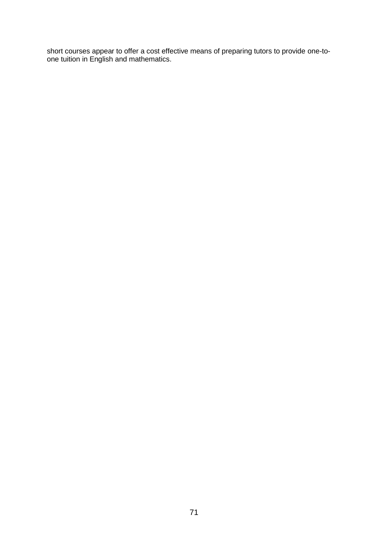short courses appear to offer a cost effective means of preparing tutors to provide one-toone tuition in English and mathematics.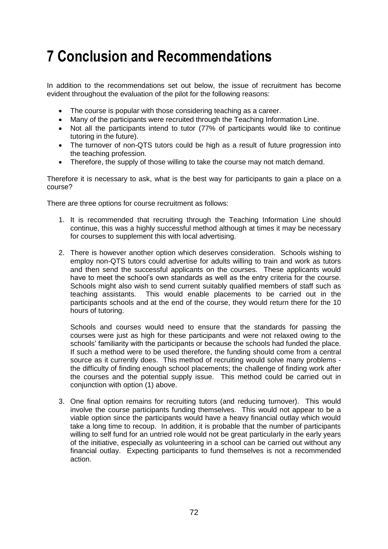# **7 Conclusion and Recommendations**

In addition to the recommendations set out below, the issue of recruitment has become evident throughout the evaluation of the pilot for the following reasons:

- The course is popular with those considering teaching as a career.
- Many of the participants were recruited through the Teaching Information Line.
- Not all the participants intend to tutor (77% of participants would like to continue tutoring in the future).
- The turnover of non-QTS tutors could be high as a result of future progression into the teaching profession.
- Therefore, the supply of those willing to take the course may not match demand.

Therefore it is necessary to ask, what is the best way for participants to gain a place on a course?

There are three options for course recruitment as follows:

- 1. It is recommended that recruiting through the Teaching Information Line should continue, this was a highly successful method although at times it may be necessary for courses to supplement this with local advertising.
- 2. There is however another option which deserves consideration. Schools wishing to employ non-QTS tutors could advertise for adults willing to train and work as tutors and then send the successful applicants on the courses. These applicants would have to meet the school"s own standards as well as the entry criteria for the course. Schools might also wish to send current suitably qualified members of staff such as teaching assistants. This would enable placements to be carried out in the participants schools and at the end of the course, they would return there for the 10 hours of tutoring.

Schools and courses would need to ensure that the standards for passing the courses were just as high for these participants and were not relaxed owing to the schools' familiarity with the participants or because the schools had funded the place. If such a method were to be used therefore, the funding should come from a central source as it currently does. This method of recruiting would solve many problems the difficulty of finding enough school placements; the challenge of finding work after the courses and the potential supply issue. This method could be carried out in conjunction with option (1) above.

3. One final option remains for recruiting tutors (and reducing turnover). This would involve the course participants funding themselves. This would not appear to be a viable option since the participants would have a heavy financial outlay which would take a long time to recoup. In addition, it is probable that the number of participants willing to self fund for an untried role would not be great particularly in the early years of the initiative, especially as volunteering in a school can be carried out without any financial outlay. Expecting participants to fund themselves is not a recommended action.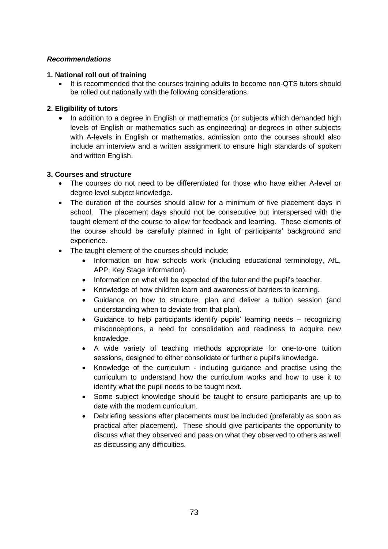# *Recommendations*

## **1. National roll out of training**

 It is recommended that the courses training adults to become non-QTS tutors should be rolled out nationally with the following considerations.

# **2. Eligibility of tutors**

 In addition to a degree in English or mathematics (or subjects which demanded high levels of English or mathematics such as engineering) or degrees in other subjects with A-levels in English or mathematics, admission onto the courses should also include an interview and a written assignment to ensure high standards of spoken and written English.

# **3. Courses and structure**

- The courses do not need to be differentiated for those who have either A-level or degree level subject knowledge.
- The duration of the courses should allow for a minimum of five placement days in school. The placement days should not be consecutive but interspersed with the taught element of the course to allow for feedback and learning. These elements of the course should be carefully planned in light of participants" background and experience.
- The taught element of the courses should include:
	- Information on how schools work (including educational terminology, AfL, APP, Key Stage information).
	- Information on what will be expected of the tutor and the pupil"s teacher.
	- Knowledge of how children learn and awareness of barriers to learning.
	- Guidance on how to structure, plan and deliver a tuition session (and understanding when to deviate from that plan).
	- Guidance to help participants identify pupils" learning needs recognizing misconceptions, a need for consolidation and readiness to acquire new knowledge.
	- A wide variety of teaching methods appropriate for one-to-one tuition sessions, designed to either consolidate or further a pupil's knowledge.
	- Knowledge of the curriculum including guidance and practise using the curriculum to understand how the curriculum works and how to use it to identify what the pupil needs to be taught next.
	- Some subject knowledge should be taught to ensure participants are up to date with the modern curriculum.
	- Debriefing sessions after placements must be included (preferably as soon as practical after placement). These should give participants the opportunity to discuss what they observed and pass on what they observed to others as well as discussing any difficulties.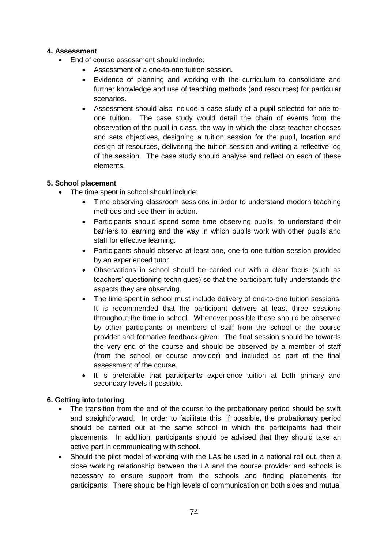# **4. Assessment**

- End of course assessment should include:
	- Assessment of a one-to-one tuition session.
	- Evidence of planning and working with the curriculum to consolidate and further knowledge and use of teaching methods (and resources) for particular scenarios.
	- Assessment should also include a case study of a pupil selected for one-toone tuition. The case study would detail the chain of events from the observation of the pupil in class, the way in which the class teacher chooses and sets objectives, designing a tuition session for the pupil, location and design of resources, delivering the tuition session and writing a reflective log of the session. The case study should analyse and reflect on each of these elements.

# **5. School placement**

- The time spent in school should include:
	- Time observing classroom sessions in order to understand modern teaching methods and see them in action.
	- Participants should spend some time observing pupils, to understand their barriers to learning and the way in which pupils work with other pupils and staff for effective learning.
	- Participants should observe at least one, one-to-one tuition session provided by an experienced tutor.
	- Observations in school should be carried out with a clear focus (such as teachers" questioning techniques) so that the participant fully understands the aspects they are observing.
	- The time spent in school must include delivery of one-to-one tuition sessions. It is recommended that the participant delivers at least three sessions throughout the time in school. Whenever possible these should be observed by other participants or members of staff from the school or the course provider and formative feedback given. The final session should be towards the very end of the course and should be observed by a member of staff (from the school or course provider) and included as part of the final assessment of the course.
	- It is preferable that participants experience tuition at both primary and secondary levels if possible.

# **6. Getting into tutoring**

- The transition from the end of the course to the probationary period should be swift and straightforward. In order to facilitate this, if possible, the probationary period should be carried out at the same school in which the participants had their placements. In addition, participants should be advised that they should take an active part in communicating with school.
- Should the pilot model of working with the LAs be used in a national roll out, then a close working relationship between the LA and the course provider and schools is necessary to ensure support from the schools and finding placements for participants. There should be high levels of communication on both sides and mutual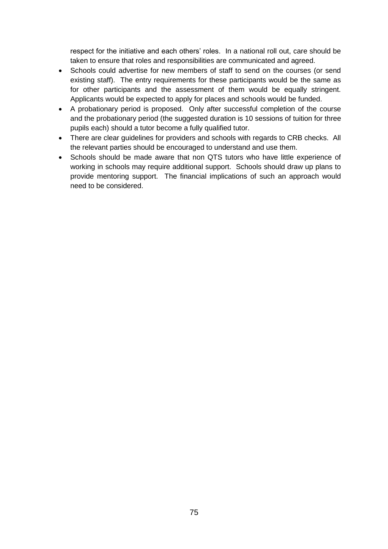respect for the initiative and each others" roles. In a national roll out, care should be taken to ensure that roles and responsibilities are communicated and agreed.

- Schools could advertise for new members of staff to send on the courses (or send existing staff). The entry requirements for these participants would be the same as for other participants and the assessment of them would be equally stringent. Applicants would be expected to apply for places and schools would be funded.
- A probationary period is proposed. Only after successful completion of the course and the probationary period (the suggested duration is 10 sessions of tuition for three pupils each) should a tutor become a fully qualified tutor.
- There are clear guidelines for providers and schools with regards to CRB checks. All the relevant parties should be encouraged to understand and use them.
- Schools should be made aware that non QTS tutors who have little experience of working in schools may require additional support. Schools should draw up plans to provide mentoring support. The financial implications of such an approach would need to be considered.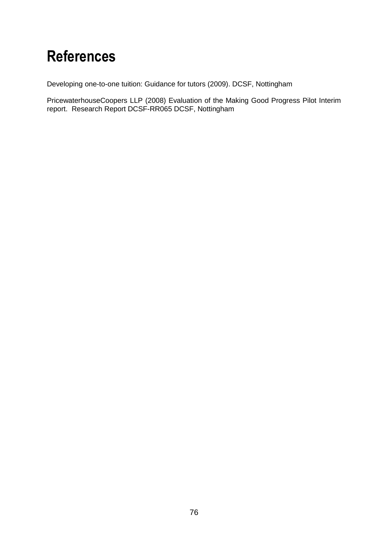# **References**

Developing one-to-one tuition: Guidance for tutors (2009). DCSF, Nottingham

PricewaterhouseCoopers LLP (2008) Evaluation of the Making Good Progress Pilot Interim report. Research Report DCSF-RR065 DCSF, Nottingham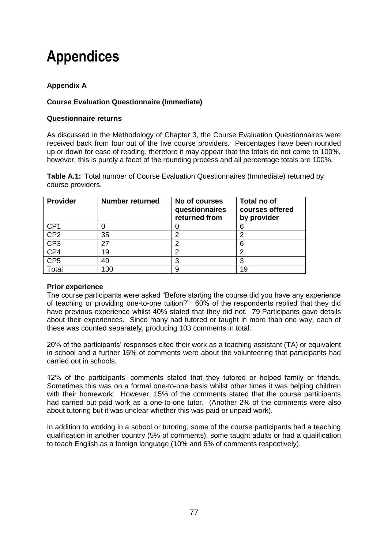# **Appendices**

# **Appendix A**

# **Course Evaluation Questionnaire (Immediate)**

# **Questionnaire returns**

As discussed in the Methodology of Chapter 3, the Course Evaluation Questionnaires were received back from four out of the five course providers. Percentages have been rounded up or down for ease of reading, therefore it may appear that the totals do not come to 100%, however, this is purely a facet of the rounding process and all percentage totals are 100%.

**Table A.1:** Total number of Course Evaluation Questionnaires (Immediate) returned by course providers.

| <b>Provider</b> | <b>Number returned</b> | No of courses<br>questionnaires<br>returned from | Total no of<br>courses offered<br>by provider |
|-----------------|------------------------|--------------------------------------------------|-----------------------------------------------|
| CP <sub>1</sub> |                        |                                                  | 6                                             |
| CP <sub>2</sub> | 35                     |                                                  |                                               |
| CP <sub>3</sub> |                        |                                                  | 6                                             |
| CP4             | 19                     |                                                  |                                               |
| CP <sub>5</sub> | 49                     |                                                  |                                               |
| Total           | 130                    |                                                  | 19                                            |

## **Prior experience**

The course participants were asked "Before starting the course did you have any experience of teaching or providing one-to-one tuition?" 60% of the respondents replied that they did have previous experience whilst 40% stated that they did not. 79 Participants gave details about their experiences. Since many had tutored or taught in more than one way, each of these was counted separately, producing 103 comments in total.

20% of the participants" responses cited their work as a teaching assistant (TA) or equivalent in school and a further 16% of comments were about the volunteering that participants had carried out in schools.

12% of the participants" comments stated that they tutored or helped family or friends. Sometimes this was on a formal one-to-one basis whilst other times it was helping children with their homework. However, 15% of the comments stated that the course participants had carried out paid work as a one-to-one tutor. (Another 2% of the comments were also about tutoring but it was unclear whether this was paid or unpaid work).

In addition to working in a school or tutoring, some of the course participants had a teaching qualification in another country (5% of comments), some taught adults or had a qualification to teach English as a foreign language (10% and 6% of comments respectively).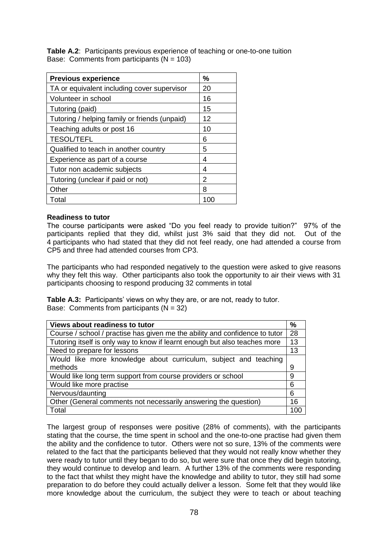**Table A.2**: Participants previous experience of teaching or one-to-one tuition Base: Comments from participants  $(N = 103)$ 

| <b>Previous experience</b>                    | $\frac{0}{0}$ |
|-----------------------------------------------|---------------|
| TA or equivalent including cover supervisor   | 20            |
| Volunteer in school                           | 16            |
| Tutoring (paid)                               | 15            |
| Tutoring / helping family or friends (unpaid) | 12            |
| Teaching adults or post 16                    | 10            |
| <b>TESOL/TEFL</b>                             | 6             |
| Qualified to teach in another country         | 5             |
| Experience as part of a course                | 4             |
| Tutor non academic subjects                   | 4             |
| Tutoring (unclear if paid or not)             | 2             |
| Other                                         | 8             |
| Total                                         | 100           |

#### **Readiness to tutor**

The course participants were asked "Do you feel ready to provide tuition?" 97% of the participants replied that they did, whilst just 3% said that they did not. Out of the 4 participants who had stated that they did not feel ready, one had attended a course from CP5 and three had attended courses from CP3.

The participants who had responded negatively to the question were asked to give reasons why they felt this way. Other participants also took the opportunity to air their views with 31 participants choosing to respond producing 32 comments in total

**Table A.3:** Participants' views on why they are, or are not, ready to tutor. Base: Comments from participants  $(N = 32)$ 

| <b>Views about readiness to tutor</b>                                       | %   |
|-----------------------------------------------------------------------------|-----|
| Course / school / practise has given me the ability and confidence to tutor | 28  |
| Tutoring itself is only way to know if learnt enough but also teaches more  | 13  |
| Need to prepare for lessons                                                 | 13  |
| Would like more knowledge about curriculum, subject and teaching            |     |
| methods                                                                     | 9   |
| Would like long term support from course providers or school                | 9   |
| Would like more practise                                                    | 6   |
| Nervous/daunting                                                            | 6   |
| Other (General comments not necessarily answering the question)             | 16  |
| Total                                                                       | -00 |

The largest group of responses were positive (28% of comments), with the participants stating that the course, the time spent in school and the one-to-one practise had given them the ability and the confidence to tutor. Others were not so sure, 13% of the comments were related to the fact that the participants believed that they would not really know whether they were ready to tutor until they began to do so, but were sure that once they did begin tutoring, they would continue to develop and learn. A further 13% of the comments were responding to the fact that whilst they might have the knowledge and ability to tutor, they still had some preparation to do before they could actually deliver a lesson. Some felt that they would like more knowledge about the curriculum, the subject they were to teach or about teaching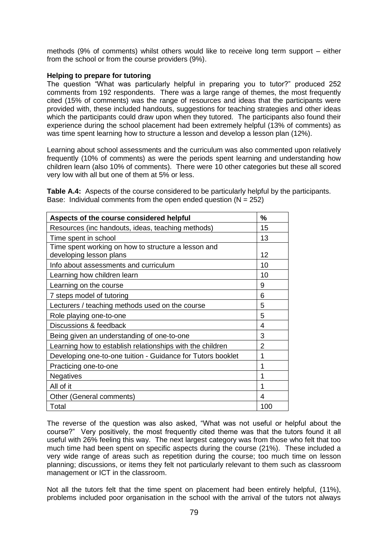methods (9% of comments) whilst others would like to receive long term support – either from the school or from the course providers (9%).

#### **Helping to prepare for tutoring**

The question "What was particularly helpful in preparing you to tutor?" produced 252 comments from 192 respondents. There was a large range of themes, the most frequently cited (15% of comments) was the range of resources and ideas that the participants were provided with, these included handouts, suggestions for teaching strategies and other ideas which the participants could draw upon when they tutored. The participants also found their experience during the school placement had been extremely helpful (13% of comments) as was time spent learning how to structure a lesson and develop a lesson plan (12%).

Learning about school assessments and the curriculum was also commented upon relatively frequently (10% of comments) as were the periods spent learning and understanding how children learn (also 10% of comments). There were 10 other categories but these all scored very low with all but one of them at 5% or less.

**Table A.4:** Aspects of the course considered to be particularly helpful by the participants. Base: Individual comments from the open ended question  $(N = 252)$ 

| Aspects of the course considered helpful                                       | %              |
|--------------------------------------------------------------------------------|----------------|
| Resources (inc handouts, ideas, teaching methods)                              | 15             |
| Time spent in school                                                           | 13             |
| Time spent working on how to structure a lesson and<br>developing lesson plans | 12             |
| Info about assessments and curriculum                                          | 10             |
| Learning how children learn                                                    | 10             |
| Learning on the course                                                         | 9              |
| 7 steps model of tutoring                                                      | 6              |
| Lecturers / teaching methods used on the course                                | 5              |
| Role playing one-to-one                                                        | 5              |
| Discussions & feedback                                                         | 4              |
| Being given an understanding of one-to-one                                     | 3              |
| Learning how to establish relationships with the children                      | $\overline{2}$ |
| Developing one-to-one tuition - Guidance for Tutors booklet                    | 1              |
| Practicing one-to-one                                                          | 1              |
| <b>Negatives</b>                                                               | 1              |
| All of it                                                                      | 1              |
| Other (General comments)                                                       | 4              |
| Total                                                                          | 100            |

The reverse of the question was also asked, "What was not useful or helpful about the course?" Very positively, the most frequently cited theme was that the tutors found it all useful with 26% feeling this way. The next largest category was from those who felt that too much time had been spent on specific aspects during the course (21%). These included a very wide range of areas such as repetition during the course; too much time on lesson planning; discussions, or items they felt not particularly relevant to them such as classroom management or ICT in the classroom.

Not all the tutors felt that the time spent on placement had been entirely helpful, (11%), problems included poor organisation in the school with the arrival of the tutors not always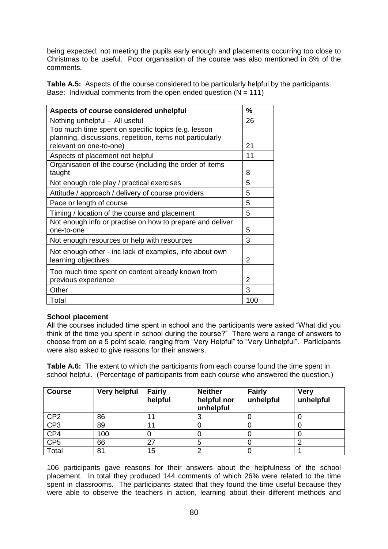being expected, not meeting the pupils early enough and placements occurring too close to Christmas to be useful. Poor organisation of the course was also mentioned in 8% of the comments.

**Table A.5:** Aspects of the course considered to be particularly helpful by the participants. Base: Individual comments from the open ended question  $(N = 111)$ 

| Aspects of course considered unhelpful                                                                           | %   |
|------------------------------------------------------------------------------------------------------------------|-----|
| Nothing unhelpful - All useful                                                                                   | 26  |
| Too much time spent on specific topics (e.g. lesson<br>planning, discussions, repetition, items not particularly |     |
| relevant on one-to-one)                                                                                          | 21  |
| Aspects of placement not helpful                                                                                 | 11  |
| Organisation of the course (including the order of items<br>taught                                               | 8   |
| Not enough role play / practical exercises                                                                       | 5   |
| Attitude / approach / delivery of course providers                                                               | 5   |
| Pace or length of course                                                                                         | 5   |
| Timing / location of the course and placement                                                                    | 5   |
| Not enough info or practise on how to prepare and deliver<br>one-to-one                                          | 5   |
| Not enough resources or help with resources                                                                      | 3   |
| Not enough other - inc lack of examples, info about own<br>learning objectives                                   | 2   |
| Too much time spent on content already known from<br>previous experience                                         | 2   |
| Other                                                                                                            | 3   |
| Total                                                                                                            | 100 |

## **School placement**

All the courses included time spent in school and the participants were asked "What did you think of the time you spent in school during the course?" There were a range of answers to choose from on a 5 point scale, ranging from "Very Helpful" to "Very Unhelpful". Participants were also asked to give reasons for their answers.

**Table A.6:** The extent to which the participants from each course found the time spent in school helpful. (Percentage of participants from each course who answered the question.)

| <b>Course</b>   | <b>Very helpful</b> | <b>Fairly</b><br>helpful | <b>Neither</b><br>helpful nor<br>unhelpful | <b>Fairly</b><br>unhelpful | <b>Very</b><br>unhelpful |
|-----------------|---------------------|--------------------------|--------------------------------------------|----------------------------|--------------------------|
| CP <sub>2</sub> | 86                  |                          | 3                                          |                            |                          |
| CP <sub>3</sub> | 89                  | 11                       |                                            |                            |                          |
| CP4             | 100                 |                          |                                            |                            |                          |
| CP <sub>5</sub> | 66                  | 27                       | 5                                          |                            |                          |
| Total           | 81                  | 15                       | ◠                                          |                            |                          |

106 participants gave reasons for their answers about the helpfulness of the school placement. In total they produced 144 comments of which 26% were related to the time spent in classrooms. The participants stated that they found the time useful because they were able to observe the teachers in action, learning about their different methods and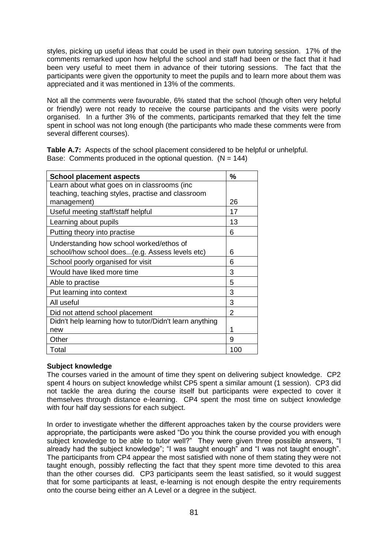styles, picking up useful ideas that could be used in their own tutoring session. 17% of the comments remarked upon how helpful the school and staff had been or the fact that it had been very useful to meet them in advance of their tutoring sessions. The fact that the participants were given the opportunity to meet the pupils and to learn more about them was appreciated and it was mentioned in 13% of the comments.

Not all the comments were favourable, 6% stated that the school (though often very helpful or friendly) were not ready to receive the course participants and the visits were poorly organised. In a further 3% of the comments, participants remarked that they felt the time spent in school was not long enough (the participants who made these comments were from several different courses).

**Table A.7:** Aspects of the school placement considered to be helpful or unhelpful. Base: Comments produced in the optional question.  $(N = 144)$ 

| <b>School placement aspects</b>                         | %   |
|---------------------------------------------------------|-----|
| Learn about what goes on in classrooms (inc             |     |
| teaching, teaching styles, practise and classroom       |     |
| management)                                             | 26  |
| Useful meeting staff/staff helpful                      | 17  |
| Learning about pupils                                   | 13  |
| Putting theory into practise                            | 6   |
| Understanding how school worked/ethos of                |     |
| school/how school does (e.g. Assess levels etc)         | 6   |
| School poorly organised for visit                       | 6   |
| Would have liked more time                              | 3   |
| Able to practise                                        | 5   |
| Put learning into context                               | 3   |
| All useful                                              | 3   |
| Did not attend school placement                         | 2   |
| Didn't help learning how to tutor/Didn't learn anything |     |
| new                                                     | 1   |
| Other                                                   | 9   |
| Total                                                   | 100 |

## **Subject knowledge**

The courses varied in the amount of time they spent on delivering subject knowledge. CP2 spent 4 hours on subject knowledge whilst CP5 spent a similar amount (1 session). CP3 did not tackle the area during the course itself but participants were expected to cover it themselves through distance e-learning. CP4 spent the most time on subject knowledge with four half day sessions for each subject.

In order to investigate whether the different approaches taken by the course providers were appropriate, the participants were asked "Do you think the course provided you with enough subiect knowledge to be able to tutor well?" They were given three possible answers, "I already had the subject knowledge"; "I was taught enough" and "I was not taught enough". The participants from CP4 appear the most satisfied with none of them stating they were not taught enough, possibly reflecting the fact that they spent more time devoted to this area than the other courses did. CP3 participants seem the least satisfied, so it would suggest that for some participants at least, e-learning is not enough despite the entry requirements onto the course being either an A Level or a degree in the subject.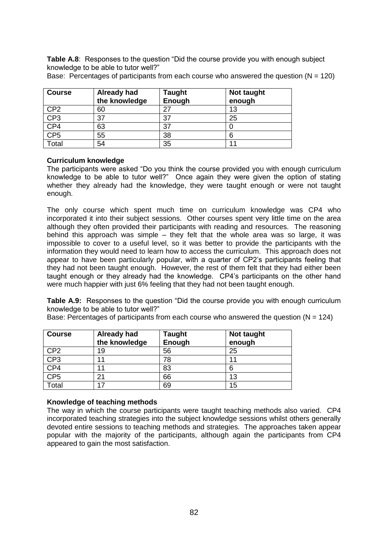**Table A.8:** Responses to the question "Did the course provide you with enough subject knowledge to be able to tutor well?"

| <b>Course</b>    | Already had<br>the knowledge | <b>Taught</b><br>Enough | Not taught<br>enough |
|------------------|------------------------------|-------------------------|----------------------|
| $\overline{CP2}$ | 60                           |                         | 13                   |
| CP3              | 37                           | 37                      | 25                   |
| CP4              | 63                           | 37                      |                      |
| CF5              | 55                           | 38                      | 6                    |
| Total            | 54                           | 35                      |                      |

Base: Percentages of participants from each course who answered the question ( $N = 120$ )

# **Curriculum knowledge**

The participants were asked "Do you think the course provided you with enough curriculum knowledge to be able to tutor well?" Once again they were given the option of stating whether they already had the knowledge, they were taught enough or were not taught enough.

The only course which spent much time on curriculum knowledge was CP4 who incorporated it into their subject sessions. Other courses spent very little time on the area although they often provided their participants with reading and resources. The reasoning behind this approach was simple – they felt that the whole area was so large, it was impossible to cover to a useful level, so it was better to provide the participants with the information they would need to learn how to access the curriculum. This approach does not appear to have been particularly popular, with a quarter of CP2"s participants feeling that they had not been taught enough. However, the rest of them felt that they had either been taught enough or they already had the knowledge. CP4"s participants on the other hand were much happier with just 6% feeling that they had not been taught enough.

**Table A.9:** Responses to the question "Did the course provide you with enough curriculum knowledge to be able to tutor well?"

Base: Percentages of participants from each course who answered the question ( $N = 124$ )

| <b>Course</b>   | <b>Already had</b><br>the knowledge | <b>Taught</b><br>Enough | Not taught<br>enough |
|-----------------|-------------------------------------|-------------------------|----------------------|
| CP <sub>2</sub> | 19                                  | 56                      | 25                   |
| CP3             |                                     | 78                      | 11                   |
| CP4             |                                     | 83                      | 6                    |
| CP <sub>5</sub> | つ1                                  | 66                      | 13                   |
| Total           | 17                                  | 69                      | 15                   |

## **Knowledge of teaching methods**

The way in which the course participants were taught teaching methods also varied. CP4 incorporated teaching strategies into the subject knowledge sessions whilst others generally devoted entire sessions to teaching methods and strategies. The approaches taken appear popular with the majority of the participants, although again the participants from CP4 appeared to gain the most satisfaction.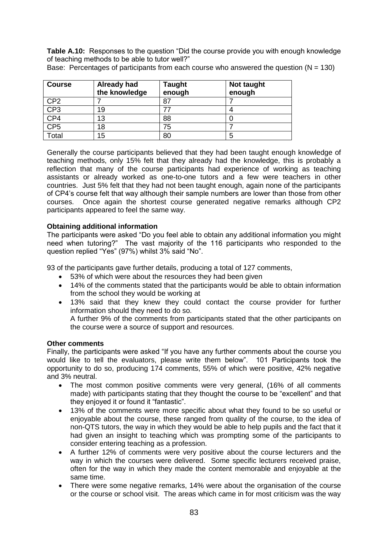**Table A.10:** Responses to the question "Did the course provide you with enough knowledge of teaching methods to be able to tutor well?"

| <b>Course</b>   | <b>Already had</b><br>the knowledge | <b>Taught</b><br>enough | Not taught<br>enough |
|-----------------|-------------------------------------|-------------------------|----------------------|
| CP <sub>2</sub> |                                     | 87                      |                      |
| CP3             | 19                                  |                         |                      |
| CP4             | 13                                  | 88                      |                      |
| CP <sub>5</sub> | 18                                  | 75                      |                      |
| Total           | 15                                  | 80                      | 5                    |

Base: Percentages of participants from each course who answered the question  $(N = 130)$ 

Generally the course participants believed that they had been taught enough knowledge of teaching methods, only 15% felt that they already had the knowledge, this is probably a reflection that many of the course participants had experience of working as teaching assistants or already worked as one-to-one tutors and a few were teachers in other countries. Just 5% felt that they had not been taught enough, again none of the participants of CP4"s course felt that way although their sample numbers are lower than those from other courses. Once again the shortest course generated negative remarks although CP2 participants appeared to feel the same way.

# **Obtaining additional information**

The participants were asked "Do you feel able to obtain any additional information you might need when tutoring?" The vast majority of the 116 participants who responded to the question replied "Yes" (97%) whilst 3% said "No".

93 of the participants gave further details, producing a total of 127 comments,

- 53% of which were about the resources they had been given
- 14% of the comments stated that the participants would be able to obtain information from the school they would be working at
- 13% said that they knew they could contact the course provider for further information should they need to do so.
	- A further 9% of the comments from participants stated that the other participants on the course were a source of support and resources.

#### **Other comments**

Finally, the participants were asked "If you have any further comments about the course you would like to tell the evaluators, please write them below". 101 Participants took the opportunity to do so, producing 174 comments, 55% of which were positive, 42% negative and 3% neutral.

- The most common positive comments were very general, (16% of all comments made) with participants stating that they thought the course to be "excellent" and that they enjoyed it or found it "fantastic".
- 13% of the comments were more specific about what they found to be so useful or enjoyable about the course, these ranged from quality of the course, to the idea of non-QTS tutors, the way in which they would be able to help pupils and the fact that it had given an insight to teaching which was prompting some of the participants to consider entering teaching as a profession.
- A further 12% of comments were very positive about the course lecturers and the way in which the courses were delivered. Some specific lecturers received praise, often for the way in which they made the content memorable and enjoyable at the same time.
- There were some negative remarks, 14% were about the organisation of the course or the course or school visit. The areas which came in for most criticism was the way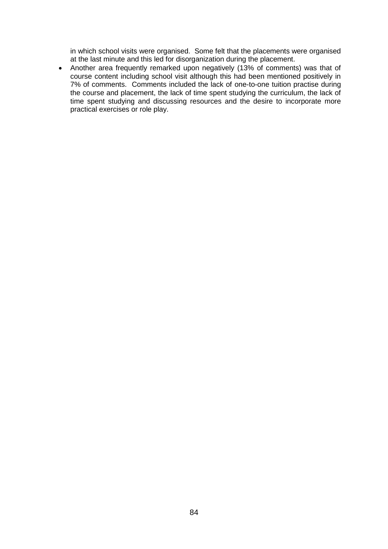in which school visits were organised. Some felt that the placements were organised at the last minute and this led for disorganization during the placement.

 Another area frequently remarked upon negatively (13% of comments) was that of course content including school visit although this had been mentioned positively in 7% of comments. Comments included the lack of one-to-one tuition practise during the course and placement, the lack of time spent studying the curriculum, the lack of time spent studying and discussing resources and the desire to incorporate more practical exercises or role play.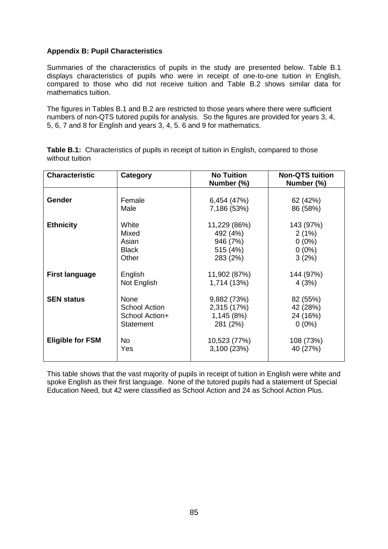## **Appendix B: Pupil Characteristics**

Summaries of the characteristics of pupils in the study are presented below. Table B.1 displays characteristics of pupils who were in receipt of one-to-one tuition in English, compared to those who did not receive tuition and Table B.2 shows similar data for mathematics tuition.

The figures in Tables B.1 and B.2 are restricted to those years where there were sufficient numbers of non-QTS tutored pupils for analysis. So the figures are provided for years 3, 4, 5, 6, 7 and 8 for English and years 3, 4, 5. 6 and 9 for mathematics.

| <b>Characteristic</b>   | Category       | <b>No Tuition</b><br>Number (%) | <b>Non-QTS tuition</b><br>Number (%) |
|-------------------------|----------------|---------------------------------|--------------------------------------|
| Gender                  | Female         | 6,454 (47%)                     | 62 (42%)                             |
|                         | Male           | 7,186 (53%)                     | 86 (58%)                             |
| <b>Ethnicity</b>        | White          | 11,229 (86%)                    | 143 (97%)                            |
|                         | Mixed          | 492 (4%)                        | 2(1%)                                |
|                         | Asian          | 946 (7%)                        | $0(0\%)$                             |
|                         | <b>Black</b>   | 515 (4%)                        | $0(0\%)$                             |
|                         | Other          | 283 (2%)                        | 3(2%)                                |
| <b>First language</b>   | English        | 11,902 (87%)                    | 144 (97%)                            |
|                         | Not English    | 1,714 (13%)                     | 4(3%)                                |
| <b>SEN status</b>       | <b>None</b>    | 9,882 (73%)                     | 82 (55%)                             |
|                         | School Action  | 2,315 (17%)                     | 42 (28%)                             |
|                         | School Action+ | 1,145 (8%)                      | 24 (16%)                             |
|                         | Statement      | 281 (2%)                        | $0(0\%)$                             |
| <b>Eligible for FSM</b> | No             | 10,523 (77%)                    | 108 (73%)                            |
|                         | Yes            | 3,100 (23%)                     | 40 (27%)                             |

**Table B.1:** Characteristics of pupils in receipt of tuition in English, compared to those without tuition

This table shows that the vast majority of pupils in receipt of tuition in English were white and spoke English as their first language. None of the tutored pupils had a statement of Special Education Need, but 42 were classified as School Action and 24 as School Action Plus.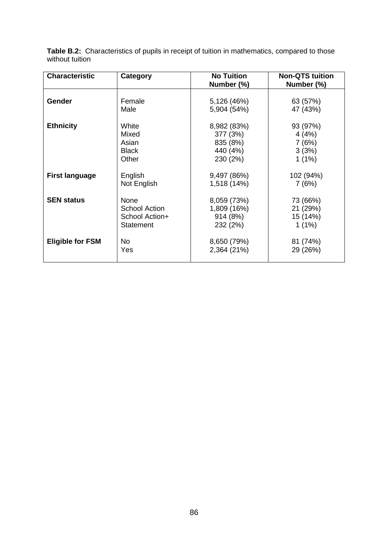| <b>Characteristic</b>   | Category             | <b>No Tuition</b> | <b>Non-QTS tuition</b> |
|-------------------------|----------------------|-------------------|------------------------|
|                         |                      | Number (%)        | Number (%)             |
|                         |                      |                   |                        |
| <b>Gender</b>           | Female               | 5,126 (46%)       | 63 (57%)               |
|                         | Male                 | 5,904 (54%)       | 47 (43%)               |
| <b>Ethnicity</b>        | White                | 8,982 (83%)       | 93 (97%)               |
|                         | Mixed                | 377 (3%)          | 4(4%)                  |
|                         | Asian                | 835 (8%)          | 7(6%)                  |
|                         | <b>Black</b>         | 440 (4%)          | 3(3%)                  |
|                         | Other                | 230 (2%)          | $1(1\%)$               |
| <b>First language</b>   | English              | 9,497 (86%)       | 102 (94%)              |
|                         | Not English          | 1,518 (14%)       | 7(6%)                  |
|                         |                      |                   |                        |
| <b>SEN status</b>       | None                 | 8,059 (73%)       | 73 (66%)               |
|                         | <b>School Action</b> | 1,809 (16%)       | 21 (29%)               |
|                         | School Action+       | 914 (8%)          | 15 (14%)               |
|                         | <b>Statement</b>     | 232 (2%)          | $1(1\%)$               |
| <b>Eligible for FSM</b> | No                   | 8,650 (79%)       | 81 (74%)               |
|                         | Yes                  | 2,364 (21%)       | 29 (26%)               |
|                         |                      |                   |                        |

**Table B.2:** Characteristics of pupils in receipt of tuition in mathematics, compared to those without tuition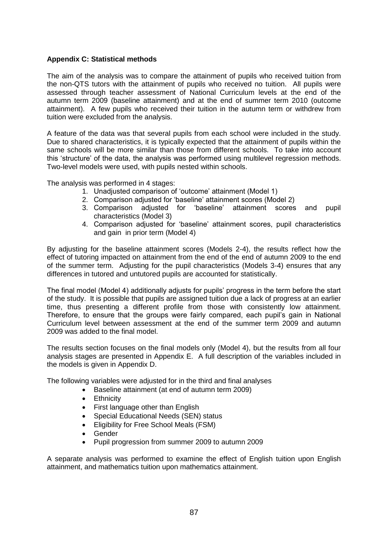## **Appendix C: Statistical methods**

The aim of the analysis was to compare the attainment of pupils who received tuition from the non-QTS tutors with the attainment of pupils who received no tuition. All pupils were assessed through teacher assessment of National Curriculum levels at the end of the autumn term 2009 (baseline attainment) and at the end of summer term 2010 (outcome attainment). A few pupils who received their tuition in the autumn term or withdrew from tuition were excluded from the analysis.

A feature of the data was that several pupils from each school were included in the study. Due to shared characteristics, it is typically expected that the attainment of pupils within the same schools will be more similar than those from different schools. To take into account this "structure" of the data, the analysis was performed using multilevel regression methods. Two-level models were used, with pupils nested within schools.

The analysis was performed in 4 stages:

- 1. Unadjusted comparison of "outcome" attainment (Model 1)
- 2. Comparison adjusted for 'baseline' attainment scores (Model 2)
- 3. Comparison adjusted for "baseline" attainment scores and pupil characteristics (Model 3)
- 4. Comparison adjusted for "baseline" attainment scores, pupil characteristics and gain in prior term (Model 4)

By adjusting for the baseline attainment scores (Models 2-4), the results reflect how the effect of tutoring impacted on attainment from the end of the end of autumn 2009 to the end of the summer term. Adjusting for the pupil characteristics (Models 3-4) ensures that any differences in tutored and untutored pupils are accounted for statistically.

The final model (Model 4) additionally adjusts for pupils" progress in the term before the start of the study. It is possible that pupils are assigned tuition due a lack of progress at an earlier time, thus presenting a different profile from those with consistently low attainment. Therefore, to ensure that the groups were fairly compared, each pupil"s gain in National Curriculum level between assessment at the end of the summer term 2009 and autumn 2009 was added to the final model.

The results section focuses on the final models only (Model 4), but the results from all four analysis stages are presented in Appendix E. A full description of the variables included in the models is given in Appendix D.

The following variables were adjusted for in the third and final analyses

- Baseline attainment (at end of autumn term 2009)
- **•** Ethnicity
- First language other than English
- Special Educational Needs (SEN) status
- Eligibility for Free School Meals (FSM)
- Gender
- Pupil progression from summer 2009 to autumn 2009

A separate analysis was performed to examine the effect of English tuition upon English attainment, and mathematics tuition upon mathematics attainment.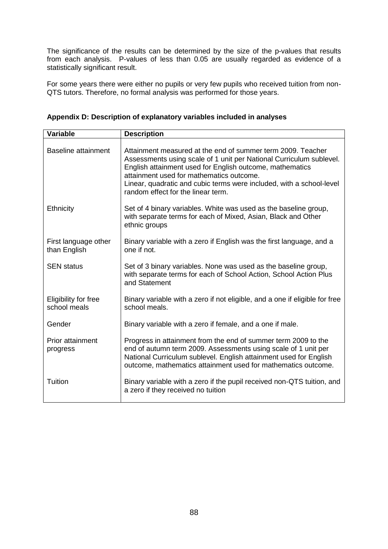The significance of the results can be determined by the size of the p-values that results from each analysis. P-values of less than 0.05 are usually regarded as evidence of a statistically significant result.

For some years there were either no pupils or very few pupils who received tuition from non-QTS tutors. Therefore, no formal analysis was performed for those years.

|  | Appendix D: Description of explanatory variables included in analyses |  |  |  |
|--|-----------------------------------------------------------------------|--|--|--|
|  |                                                                       |  |  |  |

| <b>Variable</b>                      | <b>Description</b>                                                                                                                                                                                                                                                                                                                                       |  |  |  |  |
|--------------------------------------|----------------------------------------------------------------------------------------------------------------------------------------------------------------------------------------------------------------------------------------------------------------------------------------------------------------------------------------------------------|--|--|--|--|
| <b>Baseline attainment</b>           | Attainment measured at the end of summer term 2009. Teacher<br>Assessments using scale of 1 unit per National Curriculum sublevel.<br>English attainment used for English outcome, mathematics<br>attainment used for mathematics outcome.<br>Linear, quadratic and cubic terms were included, with a school-level<br>random effect for the linear term. |  |  |  |  |
| Ethnicity                            | Set of 4 binary variables. White was used as the baseline group,<br>with separate terms for each of Mixed, Asian, Black and Other<br>ethnic groups                                                                                                                                                                                                       |  |  |  |  |
| First language other<br>than English | Binary variable with a zero if English was the first language, and a<br>one if not.                                                                                                                                                                                                                                                                      |  |  |  |  |
| <b>SEN</b> status                    | Set of 3 binary variables. None was used as the baseline group,<br>with separate terms for each of School Action, School Action Plus<br>and Statement                                                                                                                                                                                                    |  |  |  |  |
| Eligibility for free<br>school meals | Binary variable with a zero if not eligible, and a one if eligible for free<br>school meals.                                                                                                                                                                                                                                                             |  |  |  |  |
| Gender                               | Binary variable with a zero if female, and a one if male.                                                                                                                                                                                                                                                                                                |  |  |  |  |
| Prior attainment<br>progress         | Progress in attainment from the end of summer term 2009 to the<br>end of autumn term 2009. Assessments using scale of 1 unit per<br>National Curriculum sublevel. English attainment used for English<br>outcome, mathematics attainment used for mathematics outcome.                                                                                   |  |  |  |  |
| Tuition                              | Binary variable with a zero if the pupil received non-QTS tuition, and<br>a zero if they received no tuition                                                                                                                                                                                                                                             |  |  |  |  |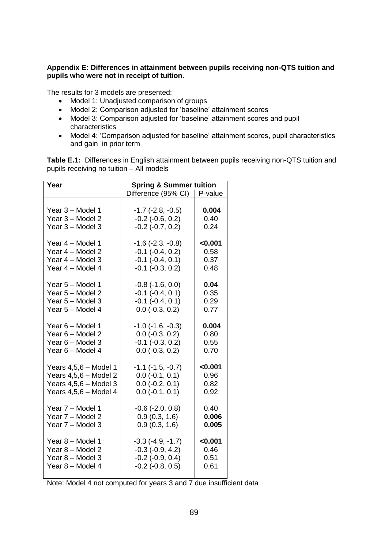# **Appendix E: Differences in attainment between pupils receiving non-QTS tuition and pupils who were not in receipt of tuition.**

The results for 3 models are presented:

- Model 1: Unadjusted comparison of groups
- Model 2: Comparison adjusted for 'baseline' attainment scores
- Model 3: Comparison adjusted for 'baseline' attainment scores and pupil characteristics
- Model 4: 'Comparison adjusted for baseline' attainment scores, pupil characteristics and gain in prior term

**Table E.1:** Differences in English attainment between pupils receiving non-QTS tuition and pupils receiving no tuition – All models

| Year                    | <b>Spring &amp; Summer tuition</b> |         |  |  |
|-------------------------|------------------------------------|---------|--|--|
|                         | Difference (95% CI)   P-value      |         |  |  |
| Year 3 - Model 1        | $-1.7$ $(-2.8, -0.5)$              | 0.004   |  |  |
| Year 3 - Model 2        | $-0.2$ $(-0.6, 0.2)$               | 0.40    |  |  |
| Year 3 - Model 3        | $-0.2$ $(-0.7, 0.2)$               | 0.24    |  |  |
| Year 4 - Model 1        | $-1.6$ $(-2.3. -0.8)$              | < 0.001 |  |  |
| Year 4 - Model 2        | $-0.1$ $(-0.4, 0.2)$               | 0.58    |  |  |
| Year 4 - Model 3        | $-0.1$ $(-0.4, 0.1)$               | 0.37    |  |  |
| Year 4 - Model 4        | $-0.1$ $(-0.3, 0.2)$               | 0.48    |  |  |
| Year 5 - Model 1        | $-0.8$ $(-1.6, 0.0)$               | 0.04    |  |  |
| Year 5 - Model 2        | $-0.1$ $(-0.4, 0.1)$               | 0.35    |  |  |
| Year 5 - Model 3        | $-0.1$ $(-0.4, 0.1)$               | 0.29    |  |  |
| Year 5 - Model 4        | $0.0$ ( $-0.3$ , $0.2$ )           | 0.77    |  |  |
| Year 6 - Model 1        | $-1.0$ ( $-1.6$ , $-0.3$ )         | 0.004   |  |  |
| Year 6 - Model 2        | $0.0$ (-0.3, 0.2)                  | 0.80    |  |  |
| Year 6 - Model 3        | $-0.1$ $(-0.3, 0.2)$               | 0.55    |  |  |
| Year 6 - Model 4        | $0.0$ ( $-0.3$ , $0.2$ )           | 0.70    |  |  |
| Years $4,5,6$ – Model 1 | $-1.1$ $(-1.5, -0.7)$              | < 0.001 |  |  |
| Years $4,5,6$ - Model 2 | $0.0$ ( $-0.1$ , $0.1$ )           | 0.96    |  |  |
| Years $4,5,6$ – Model 3 | $0.0$ ( $-0.2$ , $0.1$ )           | 0.82    |  |  |
| Years $4,5,6$ – Model 4 | $0.0$ (-0.1, 0.1)                  | 0.92    |  |  |
| Year 7 - Model 1        | $-0.6$ $(-2.0, 0.8)$               | 0.40    |  |  |
| Year 7 - Model 2        | 0.9(0.3, 1.6)                      | 0.006   |  |  |
| Year 7 - Model 3        | 0.9(0.3, 1.6)                      | 0.005   |  |  |
| Year 8 - Model 1        | $-3.3$ $(-4.9, -1.7)$              | < 0.001 |  |  |
| Year 8 - Model 2        | $-0.3$ $(-0.9, 4.2)$               | 0.46    |  |  |
| Year 8 - Model 3        | $-0.2$ $(-0.9, 0.4)$               | 0.51    |  |  |
| Year 8 - Model 4        | $-0.2$ $(-0.8, 0.5)$               | 0.61    |  |  |
|                         |                                    |         |  |  |

Note: Model 4 not computed for years 3 and 7 due insufficient data